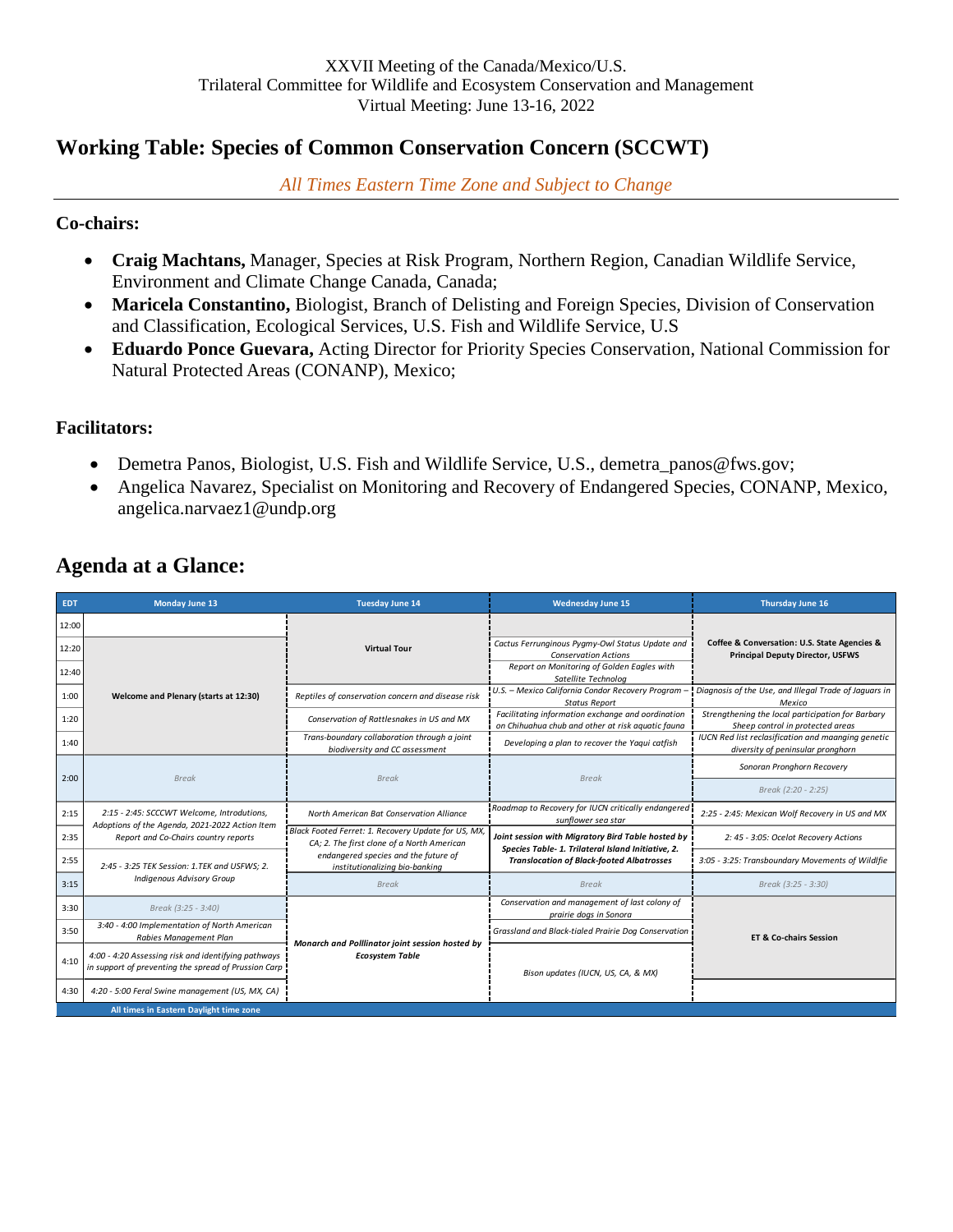# **Working Table: Species of Common Conservation Concern (SCCWT)**

*All Times Eastern Time Zone and Subject to Change* 

### **Co-chairs:**

- **Craig Machtans,** Manager, Species at Risk Program, Northern Region, Canadian Wildlife Service, Environment and Climate Change Canada, Canada;
- **Maricela Constantino,** Biologist, Branch of Delisting and Foreign Species, Division of Conservation and Classification, Ecological Services, U.S. Fish and Wildlife Service, U.S
- **Eduardo Ponce Guevara,** Acting Director for Priority Species Conservation, National Commission for Natural Protected Areas (CONANP), Mexico;

### **Facilitators:**

- Demetra Panos, Biologist, U.S. Fish and Wildlife Service, U.S., demetra\_panos@fws.gov;
- Angelica Navarez, Specialist on Monitoring and Recovery of Endangered Species, CONANP, Mexico, angelica.narvaez1@undp.org

| <b>EDT</b> | Monday June 13                                                                                                                                                                                                                                                     | <b>Tuesday June 14</b>                                                                                                                                                      | <b>Wednesday June 15</b>                                                                                                                                    | Thursday June 16                                                                               |
|------------|--------------------------------------------------------------------------------------------------------------------------------------------------------------------------------------------------------------------------------------------------------------------|-----------------------------------------------------------------------------------------------------------------------------------------------------------------------------|-------------------------------------------------------------------------------------------------------------------------------------------------------------|------------------------------------------------------------------------------------------------|
| 12:00      |                                                                                                                                                                                                                                                                    |                                                                                                                                                                             |                                                                                                                                                             |                                                                                                |
| 12:20      |                                                                                                                                                                                                                                                                    | <b>Virtual Tour</b>                                                                                                                                                         | Cactus Ferrunginous Pygmy-Owl Status Update and<br><b>Conservation Actions</b>                                                                              | Coffee & Conversation: U.S. State Agencies &<br><b>Principal Deputy Director, USFWS</b>        |
| 12:40      |                                                                                                                                                                                                                                                                    |                                                                                                                                                                             | Report on Monitoring of Golden Eagles with<br>Satellite Technolog                                                                                           |                                                                                                |
| 1:00       | Welcome and Plenary (starts at 12:30)                                                                                                                                                                                                                              | Reptiles of conservation concern and disease risk                                                                                                                           | U.S. - Mexico California Condor Recovery Program<br><b>Status Report</b>                                                                                    | Diagnosis of the Use, and Illegal Trade of Jaguars in<br>Mexico                                |
| 1:20       |                                                                                                                                                                                                                                                                    | Conservation of Rattlesnakes in US and MX                                                                                                                                   | Facilitating information exchange and oordination<br>on Chihuahua chub and other at risk aquatic fauna                                                      | Strengthening the local participation for Barbary<br>Sheep control in protected areas          |
| 1:40       |                                                                                                                                                                                                                                                                    | Trans-boundary collaboration through a joint<br>biodiversity and CC assessment                                                                                              | Developing a plan to recover the Yaqui catfish                                                                                                              | <b>IUCN Red list reclasification and maanging genetic</b><br>diversity of peninsular pronghorn |
| 2:00       | <b>Break</b>                                                                                                                                                                                                                                                       | <b>Break</b>                                                                                                                                                                | <b>Break</b>                                                                                                                                                | Sonoran Pronghorn Recovery                                                                     |
|            |                                                                                                                                                                                                                                                                    |                                                                                                                                                                             |                                                                                                                                                             | Break (2:20 - 2:25)                                                                            |
| 2:15       | 2:15 - 2:45: SCCCWT Welcome, Introdutions,<br>Adoptions of the Agenda, 2021-2022 Action Item<br>Report and Co-Chairs country reports                                                                                                                               | North American Bat Conservation Alliance                                                                                                                                    | Roadmap to Recovery for IUCN critically endangered<br>sunflower sea star                                                                                    | 2:25 - 2:45: Mexican Wolf Recovery in US and MX                                                |
| 2:35       |                                                                                                                                                                                                                                                                    | Black Footed Ferret: 1. Recovery Update for US, MX,<br>CA; 2. The first clone of a North American<br>endangered species and the future of<br>institutionalizing bio-banking | Joint session with Migratory Bird Table hosted by<br>Species Table- 1. Trilateral Island Initiative, 2.<br><b>Translocation of Black-footed Albatrosses</b> | 2: 45 - 3:05: Ocelot Recovery Actions                                                          |
| 2:55       | 2:45 - 3:25 TEK Session: 1.TEK and USFWS: 2.                                                                                                                                                                                                                       |                                                                                                                                                                             |                                                                                                                                                             | 3:05 - 3:25: Transboundary Movements of Wildlfie                                               |
| 3:15       | <b>Indigenous Advisory Group</b>                                                                                                                                                                                                                                   | <b>Break</b>                                                                                                                                                                | <b>Break</b>                                                                                                                                                | Break (3:25 - 3:30)                                                                            |
| 3:30       | Break (3:25 - 3:40)                                                                                                                                                                                                                                                |                                                                                                                                                                             | Conservation and management of last colony of<br>prairie dogs in Sonora                                                                                     |                                                                                                |
| 3:50       | 3:40 - 4:00 Implementation of North American<br>Rabies Management Plan<br>Monarch and Polllinator joint session hosted by<br>4:00 - 4:20 Assessing risk and identifying pathways<br><b>Ecosystem Table</b><br>in support of preventing the spread of Prussion Carp | Grassland and Black-tialed Prairie Dog Conservation                                                                                                                         | <b>ET &amp; Co-chairs Session</b>                                                                                                                           |                                                                                                |
| 4:10       |                                                                                                                                                                                                                                                                    | Bison updates (IUCN, US, CA, & MX)                                                                                                                                          |                                                                                                                                                             |                                                                                                |
| 4:30       | 4:20 - 5:00 Feral Swine management (US, MX, CA)                                                                                                                                                                                                                    |                                                                                                                                                                             |                                                                                                                                                             |                                                                                                |
|            | All times in Eastern Daylight time zone                                                                                                                                                                                                                            |                                                                                                                                                                             |                                                                                                                                                             |                                                                                                |

# **Agenda at a Glance:**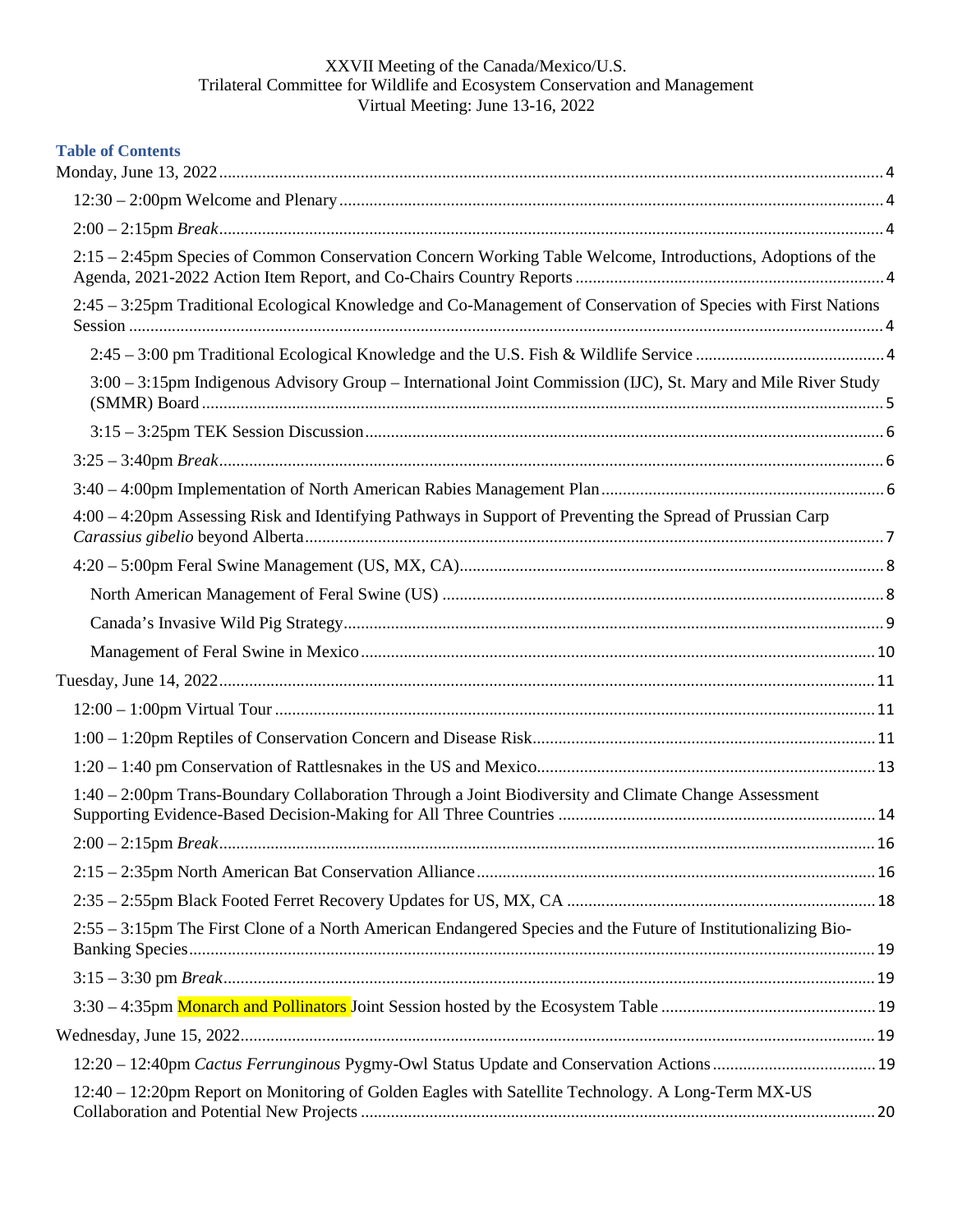| <b>Table of Contents</b>                                                                                       |  |
|----------------------------------------------------------------------------------------------------------------|--|
|                                                                                                                |  |
|                                                                                                                |  |
| 2:15 – 2:45pm Species of Common Conservation Concern Working Table Welcome, Introductions, Adoptions of the    |  |
| 2:45 – 3:25pm Traditional Ecological Knowledge and Co-Management of Conservation of Species with First Nations |  |
|                                                                                                                |  |
| 3:00 – 3:15pm Indigenous Advisory Group – International Joint Commission (IJC), St. Mary and Mile River Study  |  |
|                                                                                                                |  |
|                                                                                                                |  |
|                                                                                                                |  |
| 4:00 – 4:20pm Assessing Risk and Identifying Pathways in Support of Preventing the Spread of Prussian Carp     |  |
|                                                                                                                |  |
|                                                                                                                |  |
|                                                                                                                |  |
|                                                                                                                |  |
|                                                                                                                |  |
|                                                                                                                |  |
|                                                                                                                |  |
|                                                                                                                |  |
| 1:40 – 2:00pm Trans-Boundary Collaboration Through a Joint Biodiversity and Climate Change Assessment          |  |
|                                                                                                                |  |
|                                                                                                                |  |
|                                                                                                                |  |
| 2:55 - 3:15pm The First Clone of a North American Endangered Species and the Future of Institutionalizing Bio- |  |
|                                                                                                                |  |
|                                                                                                                |  |
|                                                                                                                |  |
|                                                                                                                |  |
| 12:40 – 12:20pm Report on Monitoring of Golden Eagles with Satellite Technology. A Long-Term MX-US             |  |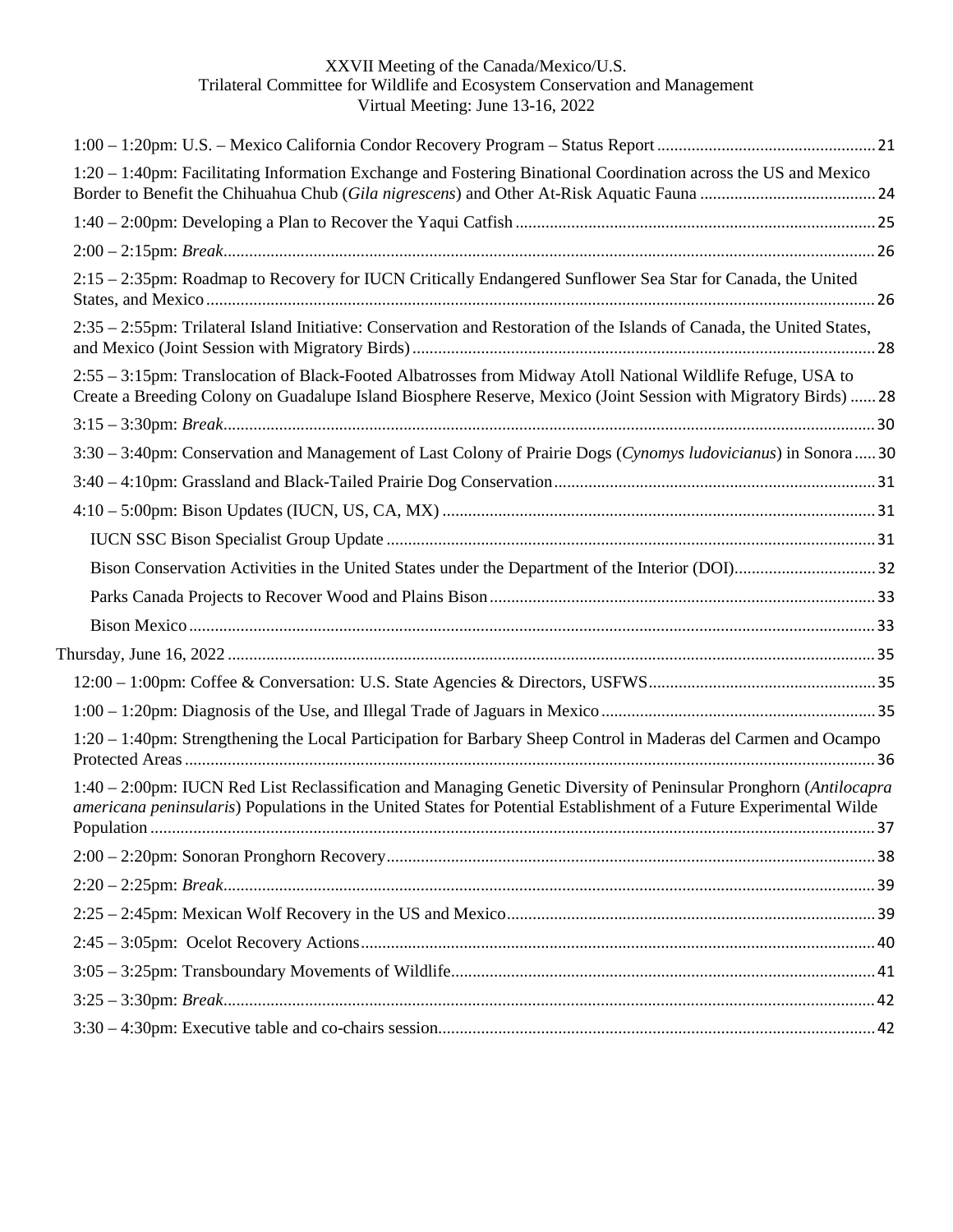| 1:20 – 1:40pm: Facilitating Information Exchange and Fostering Binational Coordination across the US and Mexico                                                                                                                          |  |
|------------------------------------------------------------------------------------------------------------------------------------------------------------------------------------------------------------------------------------------|--|
|                                                                                                                                                                                                                                          |  |
|                                                                                                                                                                                                                                          |  |
| 2:15 - 2:35pm: Roadmap to Recovery for IUCN Critically Endangered Sunflower Sea Star for Canada, the United                                                                                                                              |  |
| 2:35 – 2:55pm: Trilateral Island Initiative: Conservation and Restoration of the Islands of Canada, the United States,                                                                                                                   |  |
| 2:55 - 3:15pm: Translocation of Black-Footed Albatrosses from Midway Atoll National Wildlife Refuge, USA to<br>Create a Breeding Colony on Guadalupe Island Biosphere Reserve, Mexico (Joint Session with Migratory Birds)  28           |  |
|                                                                                                                                                                                                                                          |  |
| 3:30 – 3:40pm: Conservation and Management of Last Colony of Prairie Dogs (Cynomys ludovicianus) in Sonora30                                                                                                                             |  |
|                                                                                                                                                                                                                                          |  |
|                                                                                                                                                                                                                                          |  |
|                                                                                                                                                                                                                                          |  |
|                                                                                                                                                                                                                                          |  |
|                                                                                                                                                                                                                                          |  |
|                                                                                                                                                                                                                                          |  |
|                                                                                                                                                                                                                                          |  |
|                                                                                                                                                                                                                                          |  |
|                                                                                                                                                                                                                                          |  |
| 1:20 - 1:40pm: Strengthening the Local Participation for Barbary Sheep Control in Maderas del Carmen and Ocampo                                                                                                                          |  |
| 1:40 – 2:00pm: IUCN Red List Reclassification and Managing Genetic Diversity of Peninsular Pronghorn (Antilocapra<br>americana peninsularis) Populations in the United States for Potential Establishment of a Future Experimental Wilde |  |
|                                                                                                                                                                                                                                          |  |
|                                                                                                                                                                                                                                          |  |
|                                                                                                                                                                                                                                          |  |
|                                                                                                                                                                                                                                          |  |
|                                                                                                                                                                                                                                          |  |
|                                                                                                                                                                                                                                          |  |
|                                                                                                                                                                                                                                          |  |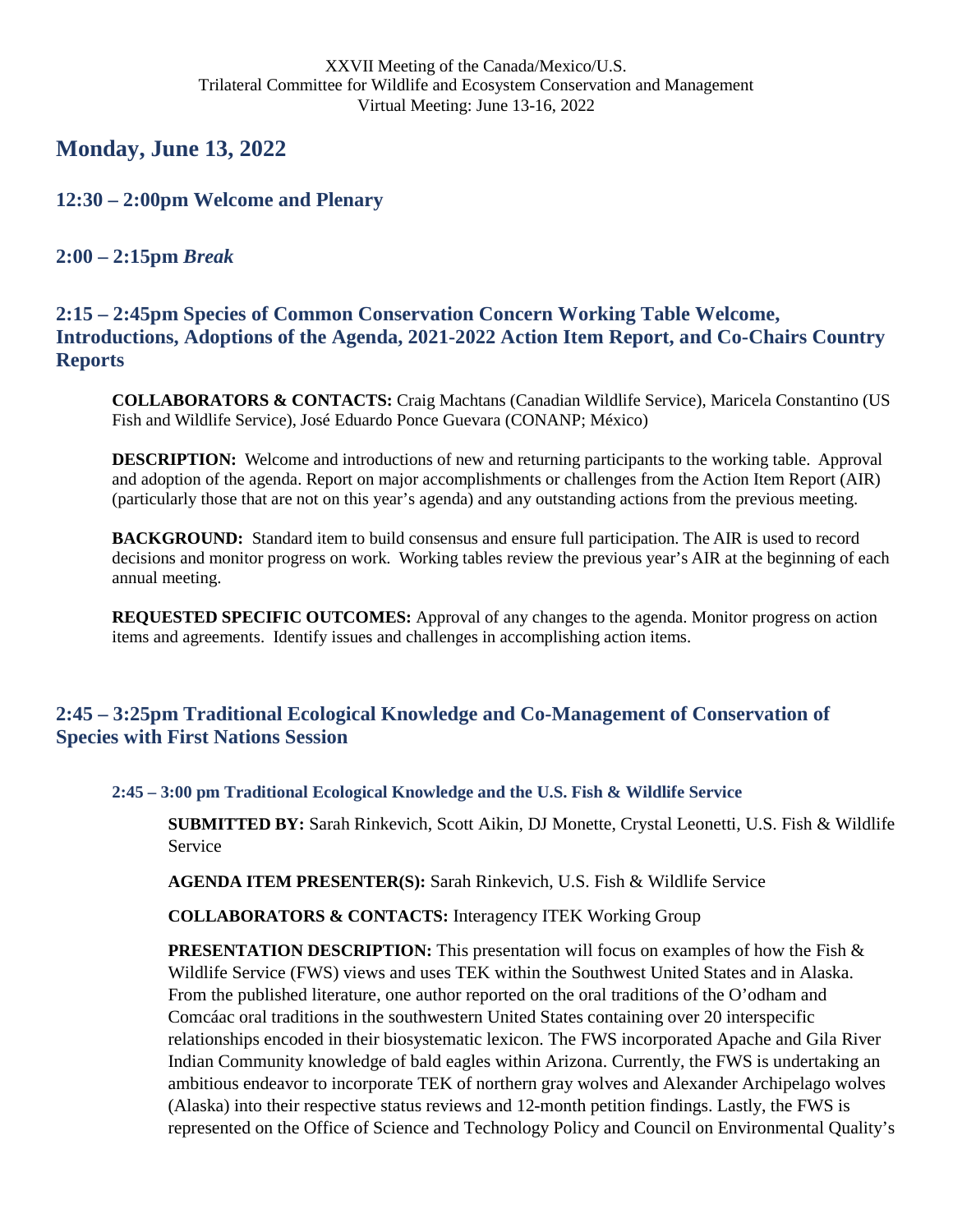# <span id="page-3-0"></span>**Monday, June 13, 2022**

## <span id="page-3-1"></span>**12:30 – 2:00pm Welcome and Plenary**

## <span id="page-3-2"></span>**2:00 – 2:15pm** *Break*

<span id="page-3-3"></span>**2:15 – 2:45pm Species of Common Conservation Concern Working Table Welcome, Introductions, Adoptions of the Agenda, 2021-2022 Action Item Report, and Co-Chairs Country Reports** 

**COLLABORATORS & CONTACTS:** Craig Machtans (Canadian Wildlife Service), Maricela Constantino (US Fish and Wildlife Service), José Eduardo Ponce Guevara (CONANP; México)

**DESCRIPTION:** Welcome and introductions of new and returning participants to the working table. Approval and adoption of the agenda. Report on major accomplishments or challenges from the Action Item Report (AIR) (particularly those that are not on this year's agenda) and any outstanding actions from the previous meeting.

**BACKGROUND:** Standard item to build consensus and ensure full participation. The AIR is used to record decisions and monitor progress on work. Working tables review the previous year's AIR at the beginning of each annual meeting.

**REQUESTED SPECIFIC OUTCOMES:** Approval of any changes to the agenda. Monitor progress on action items and agreements. Identify issues and challenges in accomplishing action items.

## <span id="page-3-4"></span>**2:45 – 3:25pm Traditional Ecological Knowledge and Co-Management of Conservation of Species with First Nations Session**

<span id="page-3-5"></span>**2:45 – 3:00 pm Traditional Ecological Knowledge and the U.S. Fish & Wildlife Service**

**SUBMITTED BY:** Sarah Rinkevich, Scott Aikin, DJ Monette, Crystal Leonetti, U.S. Fish & Wildlife Service

**AGENDA ITEM PRESENTER(S):** Sarah Rinkevich, U.S. Fish & Wildlife Service

**COLLABORATORS & CONTACTS:** Interagency ITEK Working Group

**PRESENTATION DESCRIPTION:** This presentation will focus on examples of how the Fish & Wildlife Service (FWS) views and uses TEK within the Southwest United States and in Alaska. From the published literature, one author reported on the oral traditions of the O'odham and Comcáac oral traditions in the southwestern United States containing over 20 interspecific relationships encoded in their biosystematic lexicon. The FWS incorporated Apache and Gila River Indian Community knowledge of bald eagles within Arizona. Currently, the FWS is undertaking an ambitious endeavor to incorporate TEK of northern gray wolves and Alexander Archipelago wolves (Alaska) into their respective status reviews and 12-month petition findings. Lastly, the FWS is represented on the Office of Science and Technology Policy and Council on Environmental Quality's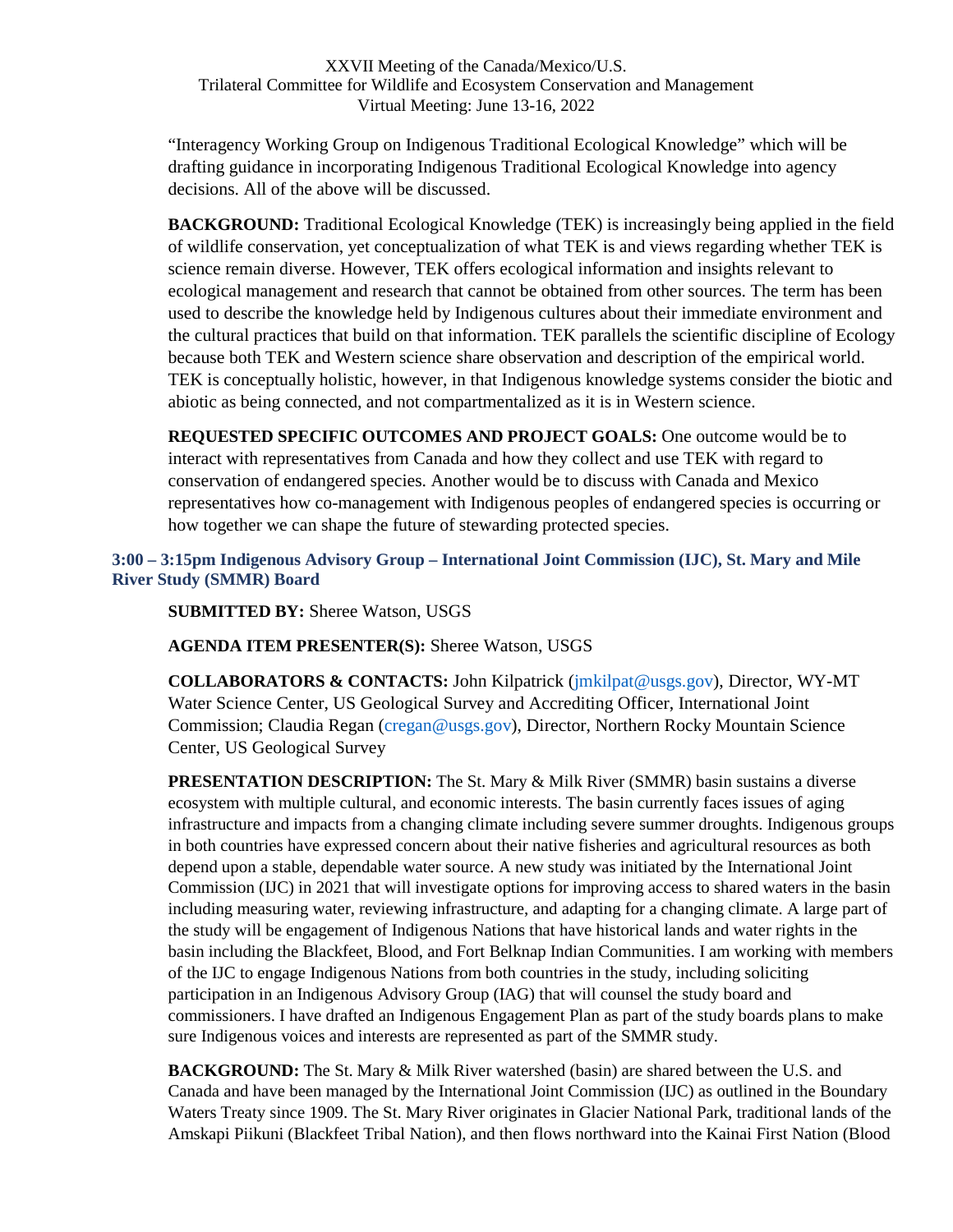"Interagency Working Group on Indigenous Traditional Ecological Knowledge" which will be drafting guidance in incorporating Indigenous Traditional Ecological Knowledge into agency decisions. All of the above will be discussed.

**BACKGROUND:** Traditional Ecological Knowledge (TEK) is increasingly being applied in the field of wildlife conservation, yet conceptualization of what TEK is and views regarding whether TEK is science remain diverse. However, TEK offers ecological information and insights relevant to ecological management and research that cannot be obtained from other sources. The term has been used to describe the knowledge held by Indigenous cultures about their immediate environment and the cultural practices that build on that information. TEK parallels the scientific discipline of Ecology because both TEK and Western science share observation and description of the empirical world. TEK is conceptually holistic, however, in that Indigenous knowledge systems consider the biotic and abiotic as being connected, and not compartmentalized as it is in Western science.

**REQUESTED SPECIFIC OUTCOMES AND PROJECT GOALS:** One outcome would be to interact with representatives from Canada and how they collect and use TEK with regard to conservation of endangered species. Another would be to discuss with Canada and Mexico representatives how co-management with Indigenous peoples of endangered species is occurring or how together we can shape the future of stewarding protected species.

<span id="page-4-1"></span><span id="page-4-0"></span>**3:00 – 3:15pm Indigenous Advisory Group – International Joint Commission (IJC), St. Mary and Mile River Study (SMMR) Board** 

**SUBMITTED BY:** Sheree Watson, USGS

**AGENDA ITEM PRESENTER(S):** Sheree Watson, USGS

**COLLABORATORS & CONTACTS:** John Kilpatrick (jmkilpat@usgs.gov), Director, WY-MT Water Science Center, US Geological Survey and Accrediting Officer, International Joint Commission; Claudia Regan (cregan@usgs.gov), Director, Northern Rocky Mountain Science Center, US Geological Survey

**PRESENTATION DESCRIPTION:** The St. Mary & Milk River (SMMR) basin sustains a diverse ecosystem with multiple cultural, and economic interests. The basin currently faces issues of aging infrastructure and impacts from a changing climate including severe summer droughts. Indigenous groups in both countries have expressed concern about their native fisheries and agricultural resources as both depend upon a stable, dependable water source. A new study was initiated by the International Joint Commission (IJC) in 2021 that will investigate options for improving access to shared waters in the basin including measuring water, reviewing infrastructure, and adapting for a changing climate. A large part of the study will be engagement of Indigenous Nations that have historical lands and water rights in the basin including the Blackfeet, Blood, and Fort Belknap Indian Communities. I am working with members of the IJC to engage Indigenous Nations from both countries in the study, including soliciting participation in an Indigenous Advisory Group (IAG) that will counsel the study board and commissioners. I have drafted an Indigenous Engagement Plan as part of the study boards plans to make sure Indigenous voices and interests are represented as part of the SMMR study.

**BACKGROUND:** The St. Mary & Milk River watershed (basin) are shared between the U.S. and Canada and have been managed by the International Joint Commission (IJC) as outlined in the Boundary Waters Treaty since 1909. The St. Mary River originates in Glacier National Park, traditional lands of the Amskapi Piikuni (Blackfeet Tribal Nation), and then flows northward into the Kainai First Nation (Blood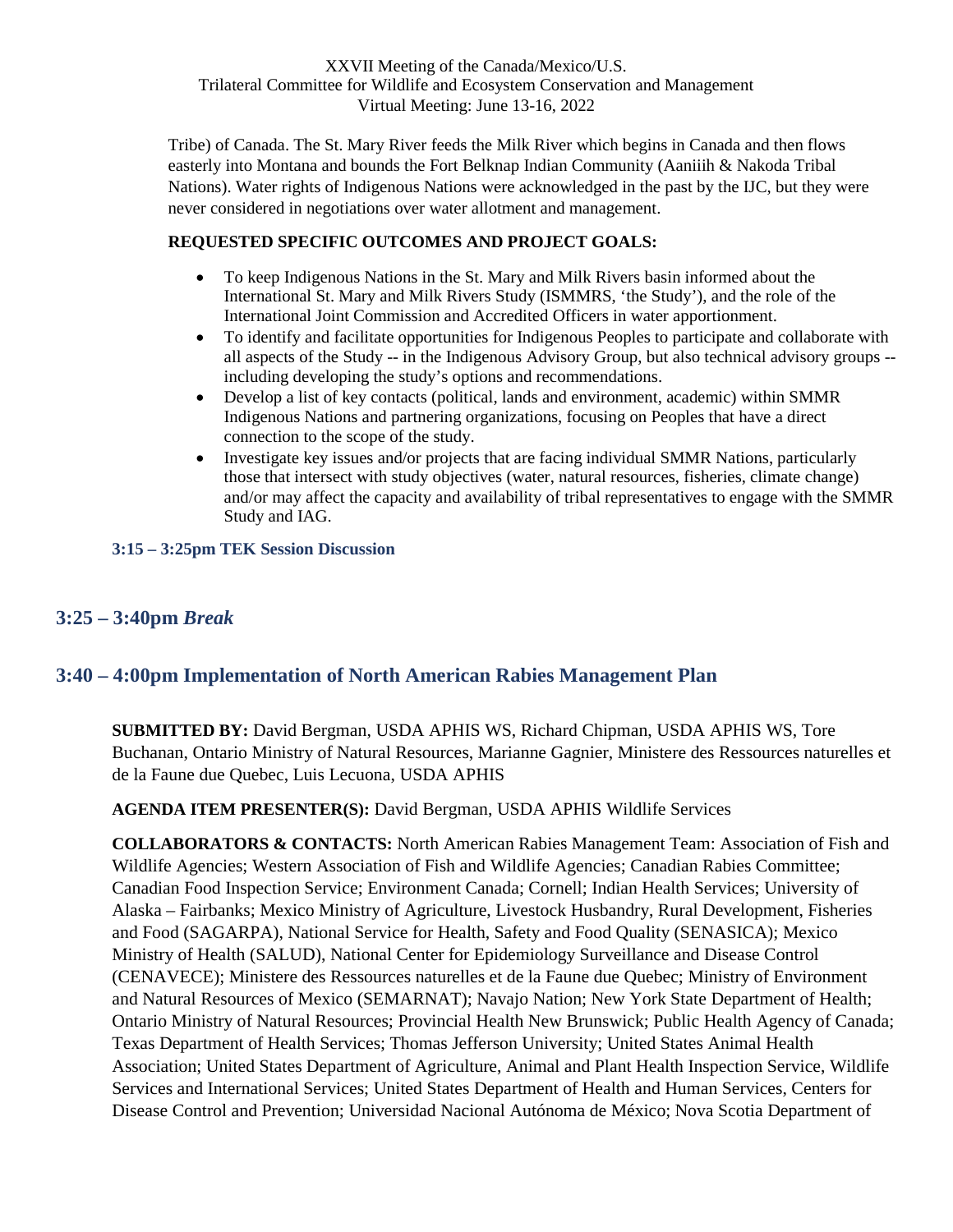Tribe) of Canada. The St. Mary River feeds the Milk River which begins in Canada and then flows easterly into Montana and bounds the Fort Belknap Indian Community (Aaniiih & Nakoda Tribal Nations). Water rights of Indigenous Nations were acknowledged in the past by the IJC, but they were never considered in negotiations over water allotment and management.

### **REQUESTED SPECIFIC OUTCOMES AND PROJECT GOALS:**

- To keep Indigenous Nations in the St. Mary and Milk Rivers basin informed about the International St. Mary and Milk Rivers Study (ISMMRS, 'the Study'), and the role of the International Joint Commission and Accredited Officers in water apportionment.
- To identify and facilitate opportunities for Indigenous Peoples to participate and collaborate with all aspects of the Study -- in the Indigenous Advisory Group, but also technical advisory groups - including developing the study's options and recommendations.
- Develop a list of key contacts (political, lands and environment, academic) within SMMR Indigenous Nations and partnering organizations, focusing on Peoples that have a direct connection to the scope of the study.
- Investigate key issues and/or projects that are facing individual SMMR Nations, particularly those that intersect with study objectives (water, natural resources, fisheries, climate change) and/or may affect the capacity and availability of tribal representatives to engage with the SMMR Study and IAG.

### <span id="page-5-1"></span><span id="page-5-0"></span>**3:15 – 3:25pm TEK Session Discussion**

## <span id="page-5-2"></span>**3:25 – 3:40pm** *Break*

## <span id="page-5-3"></span>**3:40 – 4:00pm Implementation of North American Rabies Management Plan**

**SUBMITTED BY:** David Bergman, USDA APHIS WS, Richard Chipman, USDA APHIS WS, Tore Buchanan, Ontario Ministry of Natural Resources, Marianne Gagnier, Ministere des Ressources naturelles et de la Faune due Quebec, Luis Lecuona, USDA APHIS

**AGENDA ITEM PRESENTER(S):** David Bergman, USDA APHIS Wildlife Services

**COLLABORATORS & CONTACTS:** North American Rabies Management Team: Association of Fish and Wildlife Agencies; Western Association of Fish and Wildlife Agencies; Canadian Rabies Committee; Canadian Food Inspection Service; Environment Canada; Cornell; Indian Health Services; University of Alaska – Fairbanks; Mexico Ministry of Agriculture, Livestock Husbandry, Rural Development, Fisheries and Food (SAGARPA), National Service for Health, Safety and Food Quality (SENASICA); Mexico Ministry of Health (SALUD), National Center for Epidemiology Surveillance and Disease Control (CENAVECE); Ministere des Ressources naturelles et de la Faune due Quebec; Ministry of Environment and Natural Resources of Mexico (SEMARNAT); Navajo Nation; New York State Department of Health; Ontario Ministry of Natural Resources; Provincial Health New Brunswick; Public Health Agency of Canada; Texas Department of Health Services; Thomas Jefferson University; United States Animal Health Association; United States Department of Agriculture, Animal and Plant Health Inspection Service, Wildlife Services and International Services; United States Department of Health and Human Services, Centers for Disease Control and Prevention; Universidad Nacional Autónoma de México; Nova Scotia Department of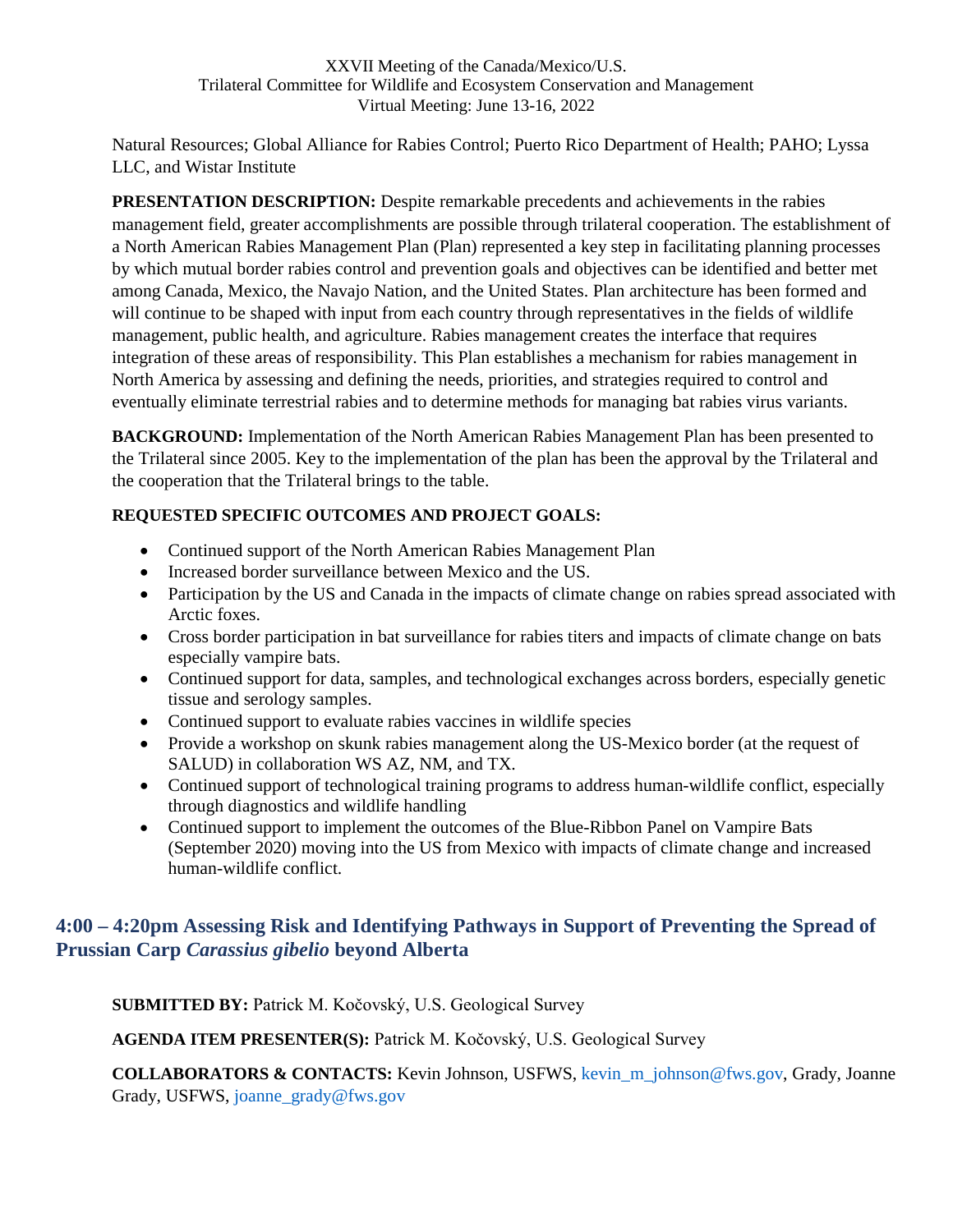Natural Resources; Global Alliance for Rabies Control; Puerto Rico Department of Health; PAHO; Lyssa LLC, and Wistar Institute

**PRESENTATION DESCRIPTION:** Despite remarkable precedents and achievements in the rabies management field, greater accomplishments are possible through trilateral cooperation. The establishment of a North American Rabies Management Plan (Plan) represented a key step in facilitating planning processes by which mutual border rabies control and prevention goals and objectives can be identified and better met among Canada, Mexico, the Navajo Nation, and the United States. Plan architecture has been formed and will continue to be shaped with input from each country through representatives in the fields of wildlife management, public health, and agriculture. Rabies management creates the interface that requires integration of these areas of responsibility. This Plan establishes a mechanism for rabies management in North America by assessing and defining the needs, priorities, and strategies required to control and eventually eliminate terrestrial rabies and to determine methods for managing bat rabies virus variants.

**BACKGROUND:** Implementation of the North American Rabies Management Plan has been presented to the Trilateral since 2005. Key to the implementation of the plan has been the approval by the Trilateral and the cooperation that the Trilateral brings to the table.

### **REQUESTED SPECIFIC OUTCOMES AND PROJECT GOALS:**

- Continued support of the North American Rabies Management Plan
- Increased border surveillance between Mexico and the US.
- Participation by the US and Canada in the impacts of climate change on rabies spread associated with Arctic foxes.
- Cross border participation in bat surveillance for rabies titers and impacts of climate change on bats especially vampire bats.
- Continued support for data, samples, and technological exchanges across borders, especially genetic tissue and serology samples.
- Continued support to evaluate rabies vaccines in wildlife species
- Provide a workshop on skunk rabies management along the US-Mexico border (at the request of SALUD) in collaboration WS AZ, NM, and TX.
- Continued support of technological training programs to address human-wildlife conflict, especially through diagnostics and wildlife handling
- Continued support to implement the outcomes of the Blue-Ribbon Panel on Vampire Bats (September 2020) moving into the US from Mexico with impacts of climate change and increased human-wildlife conflict.

# <span id="page-6-0"></span>**4:00 – 4:20pm Assessing Risk and Identifying Pathways in Support of Preventing the Spread of Prussian Carp** *Carassius gibelio* **beyond Alberta**

**SUBMITTED BY:** Patrick M. Kočovský, U.S. Geological Survey

**AGENDA ITEM PRESENTER(S):** Patrick M. Kočovský, U.S. Geological Survey

**COLLABORATORS & CONTACTS:** Kevin Johnson, USFWS, kevin\_m\_johnson@fws.gov, Grady, Joanne Grady, USFWS, joanne\_grady@fws.gov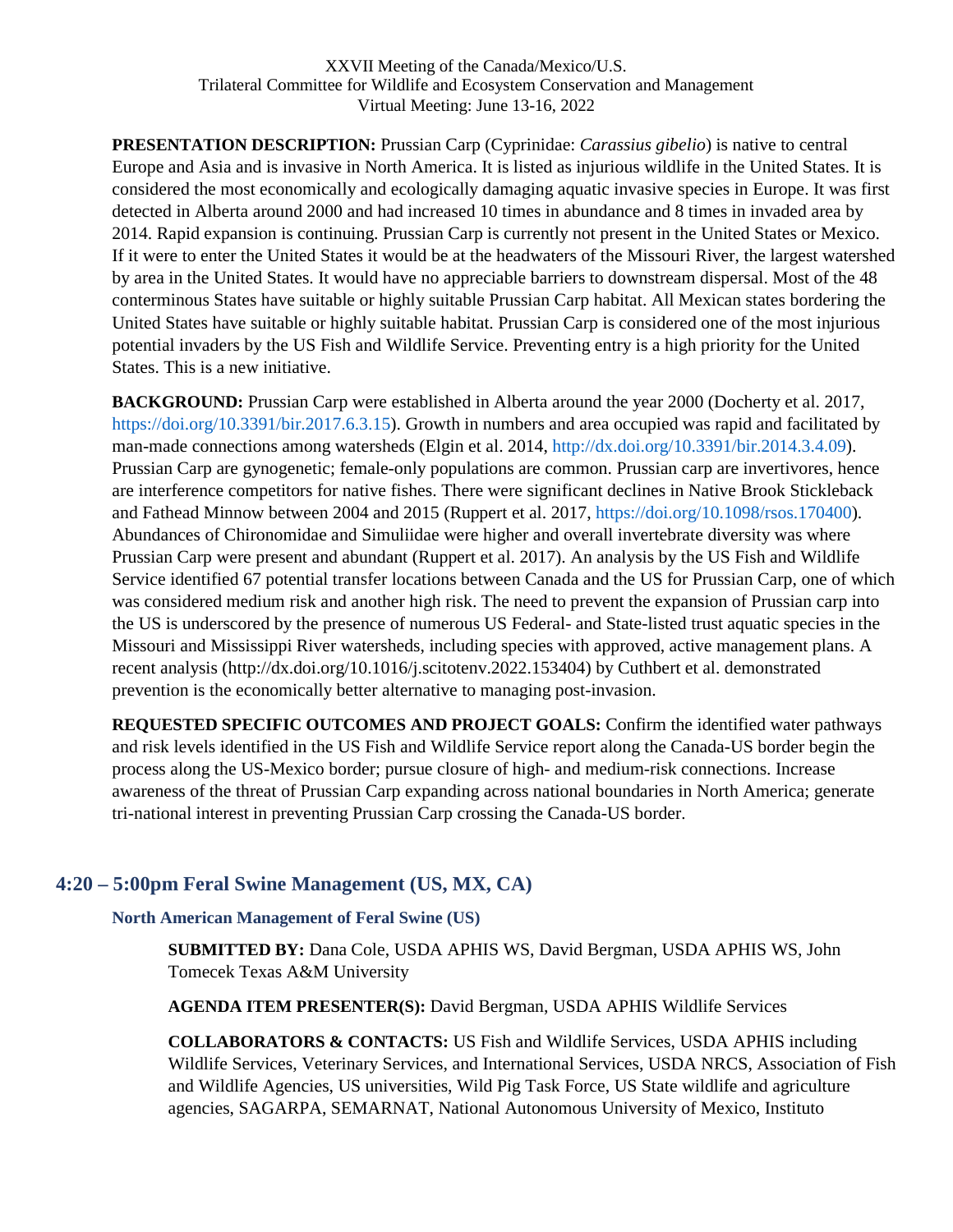**PRESENTATION DESCRIPTION:** Prussian Carp (Cyprinidae: *Carassius gibelio*) is native to central Europe and Asia and is invasive in North America. It is listed as injurious wildlife in the United States. It is considered the most economically and ecologically damaging aquatic invasive species in Europe. It was first detected in Alberta around 2000 and had increased 10 times in abundance and 8 times in invaded area by 2014. Rapid expansion is continuing. Prussian Carp is currently not present in the United States or Mexico. If it were to enter the United States it would be at the headwaters of the Missouri River, the largest watershed by area in the United States. It would have no appreciable barriers to downstream dispersal. Most of the 48 conterminous States have suitable or highly suitable Prussian Carp habitat. All Mexican states bordering the United States have suitable or highly suitable habitat. Prussian Carp is considered one of the most injurious potential invaders by the US Fish and Wildlife Service. Preventing entry is a high priority for the United States. This is a new initiative.

**BACKGROUND:** Prussian Carp were established in Alberta around the year 2000 (Docherty et al. 2017, https://doi.org/10.3391/bir.2017.6.3.15). Growth in numbers and area occupied was rapid and facilitated by man-made connections among watersheds (Elgin et al. 2014, http://dx.doi.org/10.3391/bir.2014.3.4.09). Prussian Carp are gynogenetic; female-only populations are common. Prussian carp are invertivores, hence are interference competitors for native fishes. There were significant declines in Native Brook Stickleback and Fathead Minnow between 2004 and 2015 (Ruppert et al. 2017, https://doi.org/10.1098/rsos.170400). Abundances of Chironomidae and Simuliidae were higher and overall invertebrate diversity was where Prussian Carp were present and abundant (Ruppert et al. 2017). An analysis by the US Fish and Wildlife Service identified 67 potential transfer locations between Canada and the US for Prussian Carp, one of which was considered medium risk and another high risk. The need to prevent the expansion of Prussian carp into the US is underscored by the presence of numerous US Federal- and State-listed trust aquatic species in the Missouri and Mississippi River watersheds, including species with approved, active management plans. A recent analysis (http://dx.doi.org/10.1016/j.scitotenv.2022.153404) by Cuthbert et al. demonstrated prevention is the economically better alternative to managing post-invasion.

**REQUESTED SPECIFIC OUTCOMES AND PROJECT GOALS:** Confirm the identified water pathways and risk levels identified in the US Fish and Wildlife Service report along the Canada-US border begin the process along the US-Mexico border; pursue closure of high- and medium-risk connections. Increase awareness of the threat of Prussian Carp expanding across national boundaries in North America; generate tri-national interest in preventing Prussian Carp crossing the Canada-US border.

## <span id="page-7-1"></span><span id="page-7-0"></span>**4:20 – 5:00pm Feral Swine Management (US, MX, CA)**

### **North American Management of Feral Swine (US)**

**SUBMITTED BY:** Dana Cole, USDA APHIS WS, David Bergman, USDA APHIS WS, John Tomecek Texas A&M University

**AGENDA ITEM PRESENTER(S):** David Bergman, USDA APHIS Wildlife Services

**COLLABORATORS & CONTACTS:** US Fish and Wildlife Services, USDA APHIS including Wildlife Services, Veterinary Services, and International Services, USDA NRCS, Association of Fish and Wildlife Agencies, US universities, Wild Pig Task Force, US State wildlife and agriculture agencies, SAGARPA, SEMARNAT, National Autonomous University of Mexico, Instituto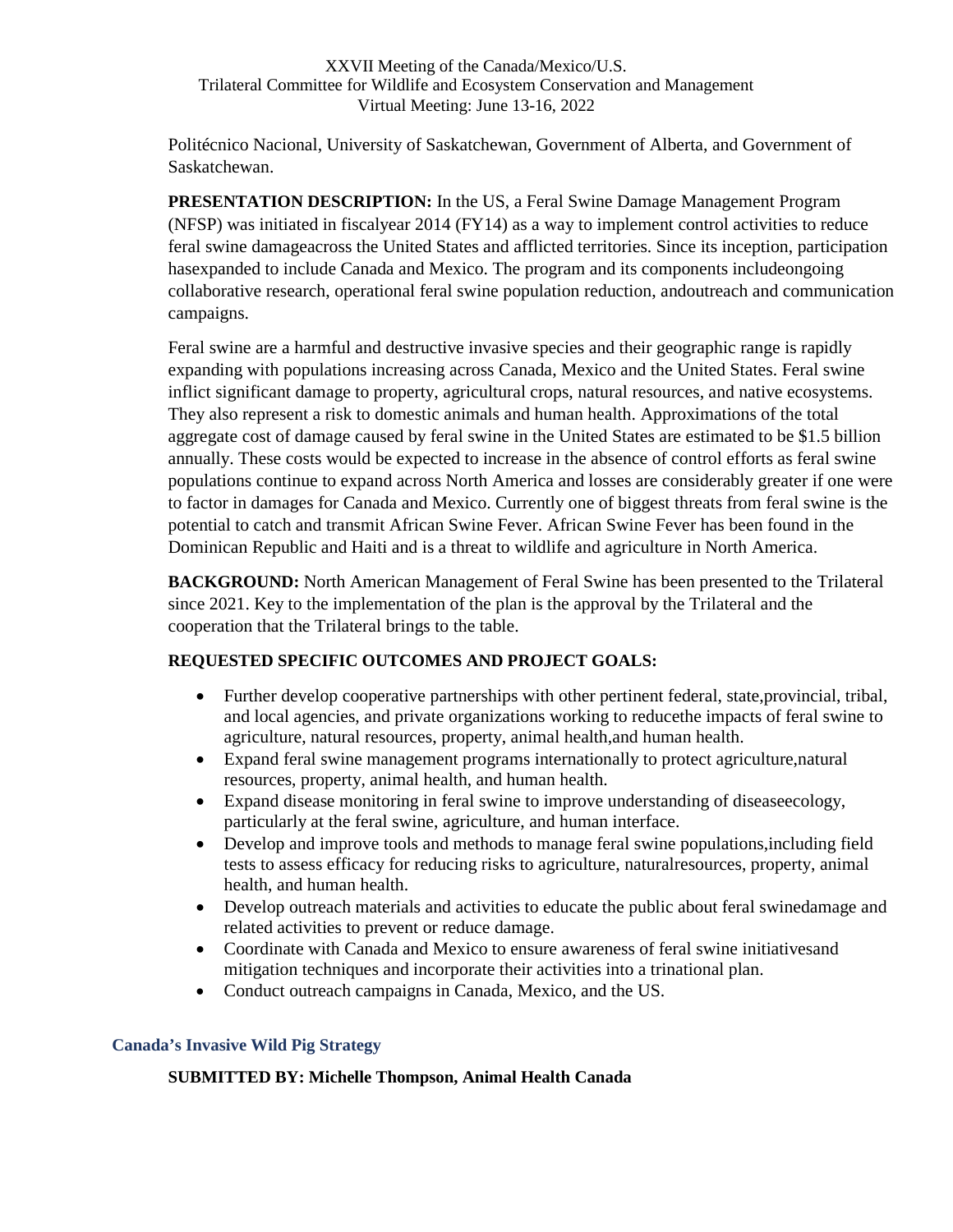Politécnico Nacional, University of Saskatchewan, Government of Alberta, and Government of Saskatchewan.

**PRESENTATION DESCRIPTION:** In the US, a Feral Swine Damage Management Program (NFSP) was initiated in fiscalyear 2014 (FY14) as a way to implement control activities to reduce feral swine damageacross the United States and afflicted territories. Since its inception, participation hasexpanded to include Canada and Mexico. The program and its components includeongoing collaborative research, operational feral swine population reduction, andoutreach and communication campaigns.

Feral swine are a harmful and destructive invasive species and their geographic range is rapidly expanding with populations increasing across Canada, Mexico and the United States. Feral swine inflict significant damage to property, agricultural crops, natural resources, and native ecosystems. They also represent a risk to domestic animals and human health. Approximations of the total aggregate cost of damage caused by feral swine in the United States are estimated to be \$1.5 billion annually. These costs would be expected to increase in the absence of control efforts as feral swine populations continue to expand across North America and losses are considerably greater if one were to factor in damages for Canada and Mexico. Currently one of biggest threats from feral swine is the potential to catch and transmit African Swine Fever. African Swine Fever has been found in the Dominican Republic and Haiti and is a threat to wildlife and agriculture in North America.

**BACKGROUND:** North American Management of Feral Swine has been presented to the Trilateral since 2021. Key to the implementation of the plan is the approval by the Trilateral and the cooperation that the Trilateral brings to the table.

### **REQUESTED SPECIFIC OUTCOMES AND PROJECT GOALS:**

- Further develop cooperative partnerships with other pertinent federal, state,provincial, tribal, and local agencies, and private organizations working to reducethe impacts of feral swine to agriculture, natural resources, property, animal health,and human health.
- Expand feral swine management programs internationally to protect agriculture,natural resources, property, animal health, and human health.
- Expand disease monitoring in feral swine to improve understanding of diseaseecology, particularly at the feral swine, agriculture, and human interface.
- Develop and improve tools and methods to manage feral swine populations,including field tests to assess efficacy for reducing risks to agriculture, naturalresources, property, animal health, and human health.
- Develop outreach materials and activities to educate the public about feral swinedamage and related activities to prevent or reduce damage.
- Coordinate with Canada and Mexico to ensure awareness of feral swine initiativesand mitigation techniques and incorporate their activities into a trinational plan.
- Conduct outreach campaigns in Canada, Mexico, and the US.

### <span id="page-8-0"></span>**Canada's Invasive Wild Pig Strategy**

### **SUBMITTED BY: Michelle Thompson, Animal Health Canada**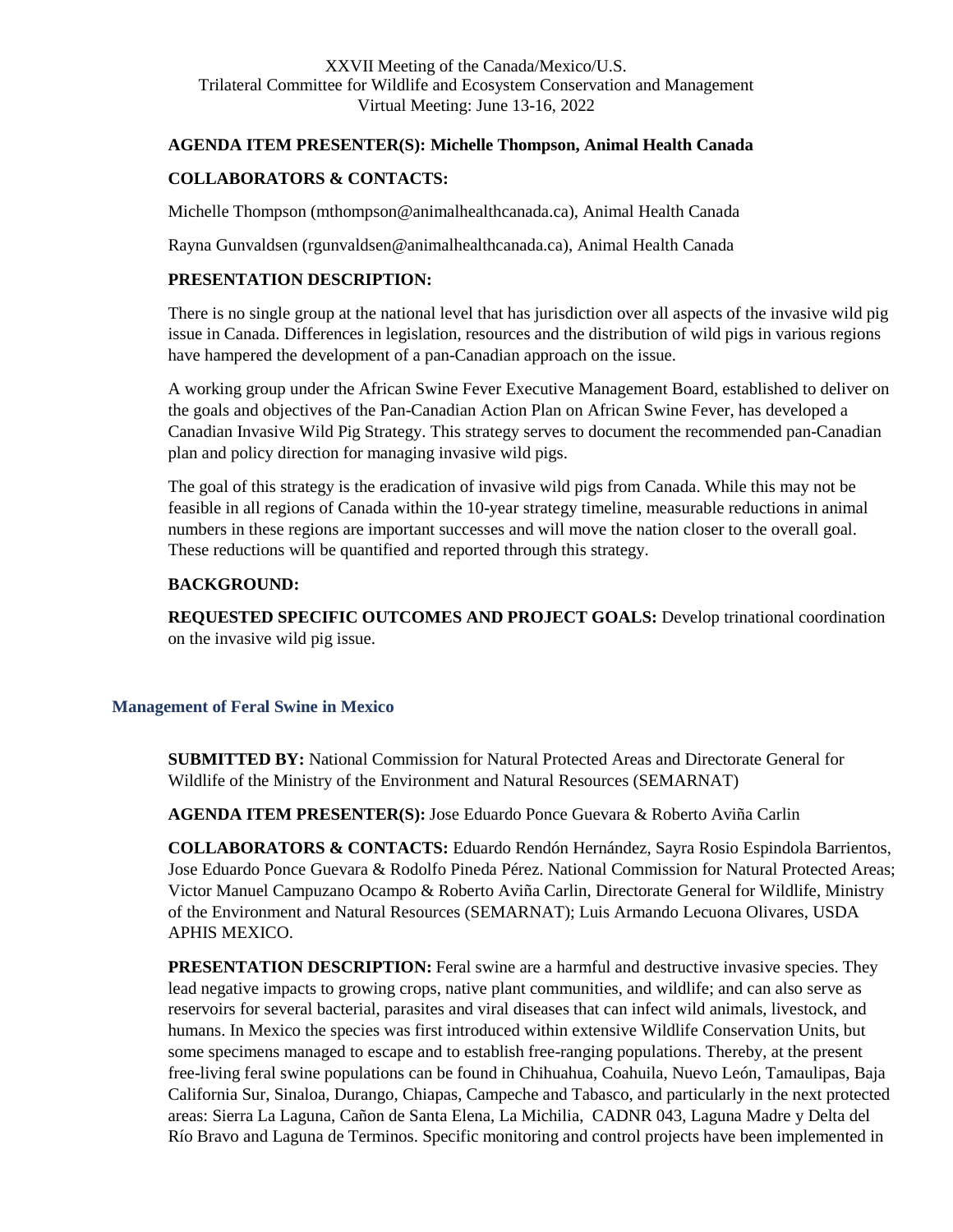### **AGENDA ITEM PRESENTER(S): Michelle Thompson, Animal Health Canada**

#### **COLLABORATORS & CONTACTS:**

Michelle Thompson (mthompson@animalhealthcanada.ca), Animal Health Canada

Rayna Gunvaldsen (rgunvaldsen@animalhealthcanada.ca), Animal Health Canada

### **PRESENTATION DESCRIPTION:**

There is no single group at the national level that has jurisdiction over all aspects of the invasive wild pig issue in Canada. Differences in legislation, resources and the distribution of wild pigs in various regions have hampered the development of a pan-Canadian approach on the issue.

A working group under the African Swine Fever Executive Management Board, established to deliver on the goals and objectives of the Pan-Canadian Action Plan on African Swine Fever, has developed a Canadian Invasive Wild Pig Strategy. This strategy serves to document the recommended pan-Canadian plan and policy direction for managing invasive wild pigs.

The goal of this strategy is the eradication of invasive wild pigs from Canada. While this may not be feasible in all regions of Canada within the 10-year strategy timeline, measurable reductions in animal numbers in these regions are important successes and will move the nation closer to the overall goal. These reductions will be quantified and reported through this strategy.

#### **BACKGROUND:**

**REQUESTED SPECIFIC OUTCOMES AND PROJECT GOALS:** Develop trinational coordination on the invasive wild pig issue.

### <span id="page-9-0"></span>**Management of Feral Swine in Mexico**

**SUBMITTED BY:** National Commission for Natural Protected Areas and Directorate General for Wildlife of the Ministry of the Environment and Natural Resources (SEMARNAT)

**AGENDA ITEM PRESENTER(S):** Jose Eduardo Ponce Guevara & Roberto Aviña Carlin

**COLLABORATORS & CONTACTS:** Eduardo Rendón Hernández, Sayra Rosio Espindola Barrientos, Jose Eduardo Ponce Guevara & Rodolfo Pineda Pérez. National Commission for Natural Protected Areas; Victor Manuel Campuzano Ocampo & Roberto Aviña Carlin, Directorate General for Wildlife, Ministry of the Environment and Natural Resources (SEMARNAT); Luis Armando Lecuona Olivares, USDA APHIS MEXICO.

**PRESENTATION DESCRIPTION:** Feral swine are a harmful and destructive invasive species. They lead negative impacts to growing crops, native plant communities, and wildlife; and can also serve as reservoirs for several bacterial, parasites and viral diseases that can infect wild animals, livestock, and humans. In Mexico the species was first introduced within extensive Wildlife Conservation Units, but some specimens managed to escape and to establish free-ranging populations. Thereby, at the present free-living feral swine populations can be found in Chihuahua, Coahuila, Nuevo León, Tamaulipas, Baja California Sur, Sinaloa, Durango, Chiapas, Campeche and Tabasco, and particularly in the next protected areas: Sierra La Laguna, Cañon de Santa Elena, La Michilia, CADNR 043, Laguna Madre y Delta del Río Bravo and Laguna de Terminos. Specific monitoring and control projects have been implemented in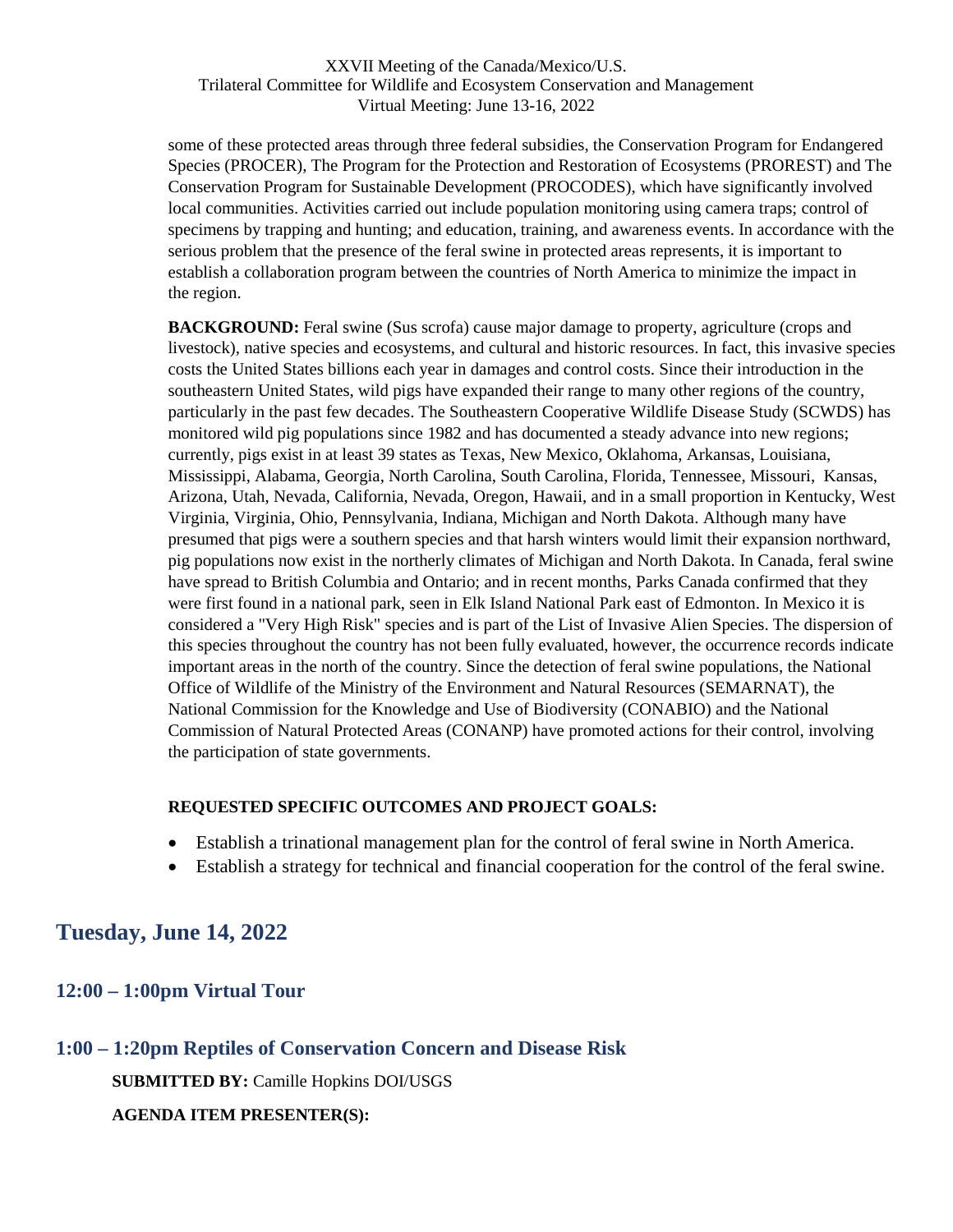some of these protected areas through three federal subsidies, the Conservation Program for Endangered Species (PROCER), The Program for the Protection and Restoration of Ecosystems (PROREST) and The Conservation Program for Sustainable Development (PROCODES), which have significantly involved local communities. Activities carried out include population monitoring using camera traps; control of specimens by trapping and hunting; and education, training, and awareness events. In accordance with the serious problem that the presence of the feral swine in protected areas represents, it is important to establish a collaboration program between the countries of North America to minimize the impact in the region.

**BACKGROUND:** Feral swine (Sus scrofa) cause major damage to property, agriculture (crops and livestock), native species and ecosystems, and cultural and historic resources. In fact, this invasive species costs the United States billions each year in damages and control costs. Since their introduction in the southeastern United States, wild pigs have expanded their range to many other regions of the country, particularly in the past few decades. The Southeastern Cooperative Wildlife Disease Study (SCWDS) has monitored wild pig populations since 1982 and has documented a steady advance into new regions; currently, pigs exist in at least 39 states as Texas, New Mexico, Oklahoma, Arkansas, Louisiana, Mississippi, Alabama, Georgia, North Carolina, South Carolina, Florida, Tennessee, Missouri, Kansas, Arizona, Utah, Nevada, California, Nevada, Oregon, Hawaii, and in a small proportion in Kentucky, West Virginia, Virginia, Ohio, Pennsylvania, Indiana, Michigan and North Dakota. Although many have presumed that pigs were a southern species and that harsh winters would limit their expansion northward, pig populations now exist in the northerly climates of Michigan and North Dakota. In Canada, feral swine have spread to British Columbia and Ontario; and in recent months, Parks Canada confirmed that they were first found in a national park, seen in Elk Island National Park east of Edmonton. In Mexico it is considered a "Very High Risk" species and is part of the List of Invasive Alien Species. The dispersion of this species throughout the country has not been fully evaluated, however, the occurrence records indicate important areas in the north of the country. Since the detection of feral swine populations, the National Office of Wildlife of the Ministry of the Environment and Natural Resources (SEMARNAT), the National Commission for the Knowledge and Use of Biodiversity (CONABIO) and the National Commission of Natural Protected Areas (CONANP) have promoted actions for their control, involving the participation of state governments.

### **REQUESTED SPECIFIC OUTCOMES AND PROJECT GOALS:**

- Establish a trinational management plan for the control of feral swine in North America.
- Establish a strategy for technical and financial cooperation for the control of the feral swine.

# <span id="page-10-0"></span>**Tuesday, June 14, 2022**

### <span id="page-10-1"></span>**12:00 – 1:00pm Virtual Tour**

### <span id="page-10-2"></span>**1:00 – 1:20pm Reptiles of Conservation Concern and Disease Risk**

**SUBMITTED BY:** Camille Hopkins DOI/USGS

**AGENDA ITEM PRESENTER(S):**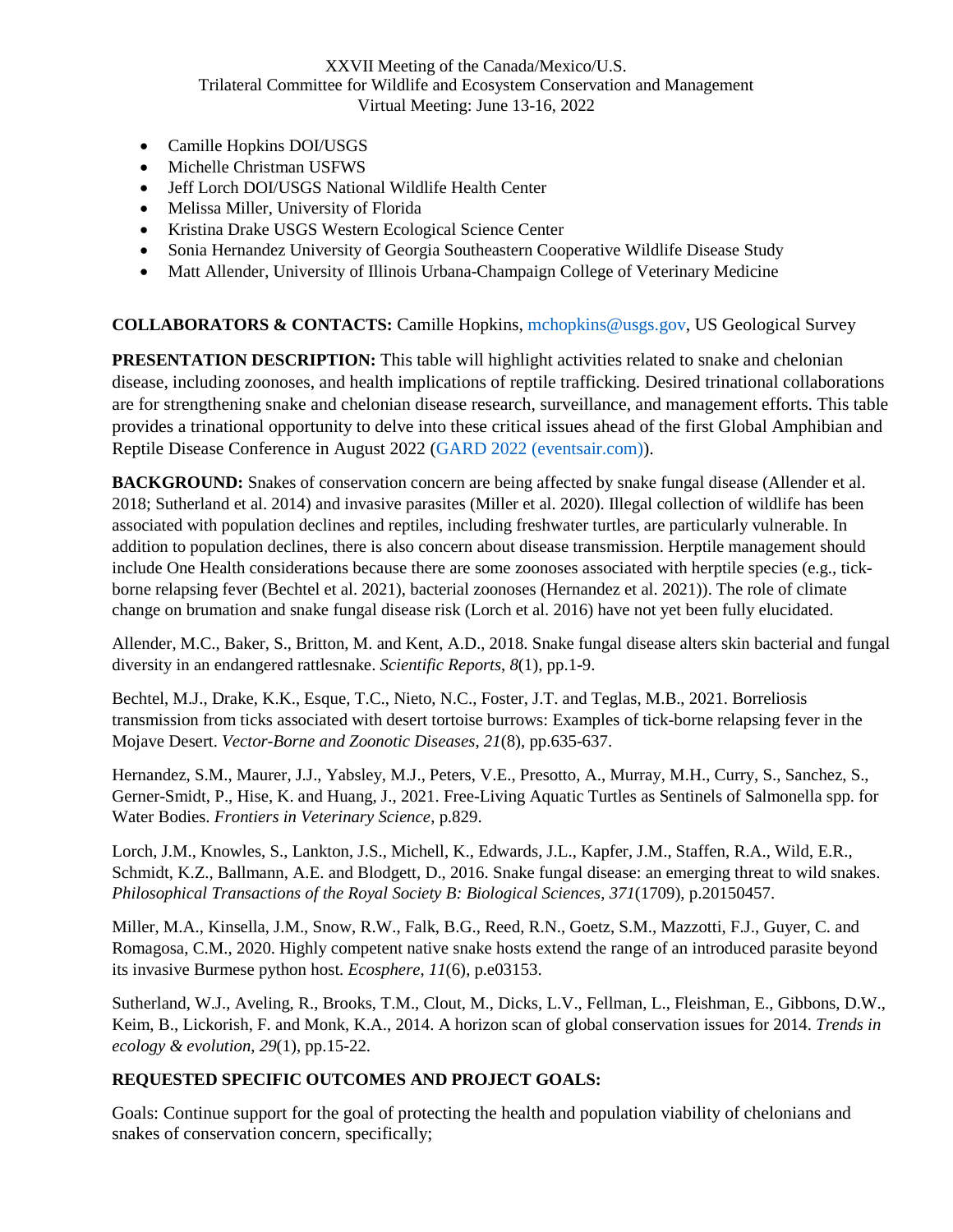- Camille Hopkins DOI/USGS
- Michelle Christman USFWS
- Jeff Lorch DOI/USGS National Wildlife Health Center
- Melissa Miller, University of Florida
- Kristina Drake USGS Western Ecological Science Center
- Sonia Hernandez University of Georgia Southeastern Cooperative Wildlife Disease Study
- Matt Allender, University of Illinois Urbana-Champaign College of Veterinary Medicine

### **COLLABORATORS & CONTACTS:** Camille Hopkins, mchopkins@usgs.gov, US Geological Survey

**PRESENTATION DESCRIPTION:** This table will highlight activities related to snake and chelonian disease, including zoonoses, and health implications of reptile trafficking. Desired trinational collaborations are for strengthening snake and chelonian disease research, surveillance, and management efforts. This table provides a trinational opportunity to delve into these critical issues ahead of the first Global Amphibian and Reptile Disease Conference in August 2022 (GARD 2022 (eventsair.com)).

**BACKGROUND:** Snakes of conservation concern are being affected by snake fungal disease (Allender et al. 2018; Sutherland et al. 2014) and invasive parasites (Miller et al. 2020). Illegal collection of wildlife has been associated with population declines and reptiles, including freshwater turtles, are particularly vulnerable. In addition to population declines, there is also concern about disease transmission. Herptile management should include One Health considerations because there are some zoonoses associated with herptile species (e.g., tickborne relapsing fever (Bechtel et al. 2021), bacterial zoonoses (Hernandez et al. 2021)). The role of climate change on brumation and snake fungal disease risk (Lorch et al. 2016) have not yet been fully elucidated.

Allender, M.C., Baker, S., Britton, M. and Kent, A.D., 2018. Snake fungal disease alters skin bacterial and fungal diversity in an endangered rattlesnake. *Scientific Reports*, *8*(1), pp.1-9.

Bechtel, M.J., Drake, K.K., Esque, T.C., Nieto, N.C., Foster, J.T. and Teglas, M.B., 2021. Borreliosis transmission from ticks associated with desert tortoise burrows: Examples of tick-borne relapsing fever in the Mojave Desert. *Vector-Borne and Zoonotic Diseases*, *21*(8), pp.635-637.

Hernandez, S.M., Maurer, J.J., Yabsley, M.J., Peters, V.E., Presotto, A., Murray, M.H., Curry, S., Sanchez, S., Gerner-Smidt, P., Hise, K. and Huang, J., 2021. Free-Living Aquatic Turtles as Sentinels of Salmonella spp. for Water Bodies. *Frontiers in Veterinary Science*, p.829.

Lorch, J.M., Knowles, S., Lankton, J.S., Michell, K., Edwards, J.L., Kapfer, J.M., Staffen, R.A., Wild, E.R., Schmidt, K.Z., Ballmann, A.E. and Blodgett, D., 2016. Snake fungal disease: an emerging threat to wild snakes. *Philosophical Transactions of the Royal Society B: Biological Sciences*, *371*(1709), p.20150457.

Miller, M.A., Kinsella, J.M., Snow, R.W., Falk, B.G., Reed, R.N., Goetz, S.M., Mazzotti, F.J., Guyer, C. and Romagosa, C.M., 2020. Highly competent native snake hosts extend the range of an introduced parasite beyond its invasive Burmese python host. *Ecosphere*, *11*(6), p.e03153.

Sutherland, W.J., Aveling, R., Brooks, T.M., Clout, M., Dicks, L.V., Fellman, L., Fleishman, E., Gibbons, D.W., Keim, B., Lickorish, F. and Monk, K.A., 2014. A horizon scan of global conservation issues for 2014. *Trends in ecology & evolution*, *29*(1), pp.15-22.

### **REQUESTED SPECIFIC OUTCOMES AND PROJECT GOALS:**

Goals: Continue support for the goal of protecting the health and population viability of chelonians and snakes of conservation concern, specifically;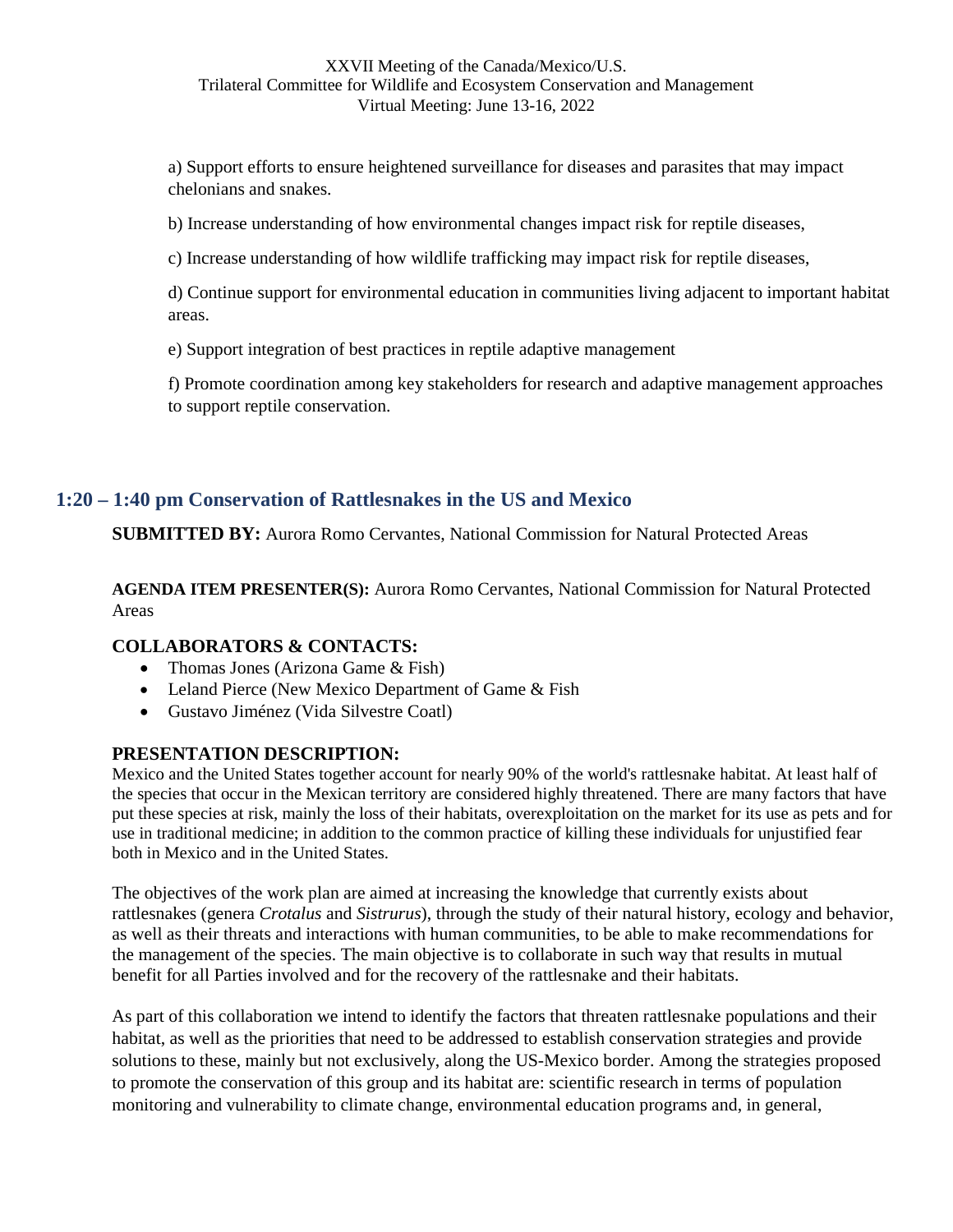a) Support efforts to ensure heightened surveillance for diseases and parasites that may impact chelonians and snakes.

b) Increase understanding of how environmental changes impact risk for reptile diseases,

c) Increase understanding of how wildlife trafficking may impact risk for reptile diseases,

d) Continue support for environmental education in communities living adjacent to important habitat areas.

e) Support integration of best practices in reptile adaptive management

f) Promote coordination among key stakeholders for research and adaptive management approaches to support reptile conservation.

### <span id="page-12-0"></span>**1:20 – 1:40 pm Conservation of Rattlesnakes in the US and Mexico**

**SUBMITTED BY:** Aurora Romo Cervantes, National Commission for Natural Protected Areas

**AGENDA ITEM PRESENTER(S):** Aurora Romo Cervantes, National Commission for Natural Protected Areas

### **COLLABORATORS & CONTACTS:**

- Thomas Jones (Arizona Game & Fish)
- Leland Pierce (New Mexico Department of Game & Fish
- Gustavo Jiménez (Vida Silvestre Coatl)

### **PRESENTATION DESCRIPTION:**

Mexico and the United States together account for nearly 90% of the world's rattlesnake habitat. At least half of the species that occur in the Mexican territory are considered highly threatened. There are many factors that have put these species at risk, mainly the loss of their habitats, overexploitation on the market for its use as pets and for use in traditional medicine; in addition to the common practice of killing these individuals for unjustified fear both in Mexico and in the United States.

The objectives of the work plan are aimed at increasing the knowledge that currently exists about rattlesnakes (genera *Crotalus* and *Sistrurus*), through the study of their natural history, ecology and behavior, as well as their threats and interactions with human communities, to be able to make recommendations for the management of the species. The main objective is to collaborate in such way that results in mutual benefit for all Parties involved and for the recovery of the rattlesnake and their habitats.

As part of this collaboration we intend to identify the factors that threaten rattlesnake populations and their habitat, as well as the priorities that need to be addressed to establish conservation strategies and provide solutions to these, mainly but not exclusively, along the US-Mexico border. Among the strategies proposed to promote the conservation of this group and its habitat are: scientific research in terms of population monitoring and vulnerability to climate change, environmental education programs and, in general,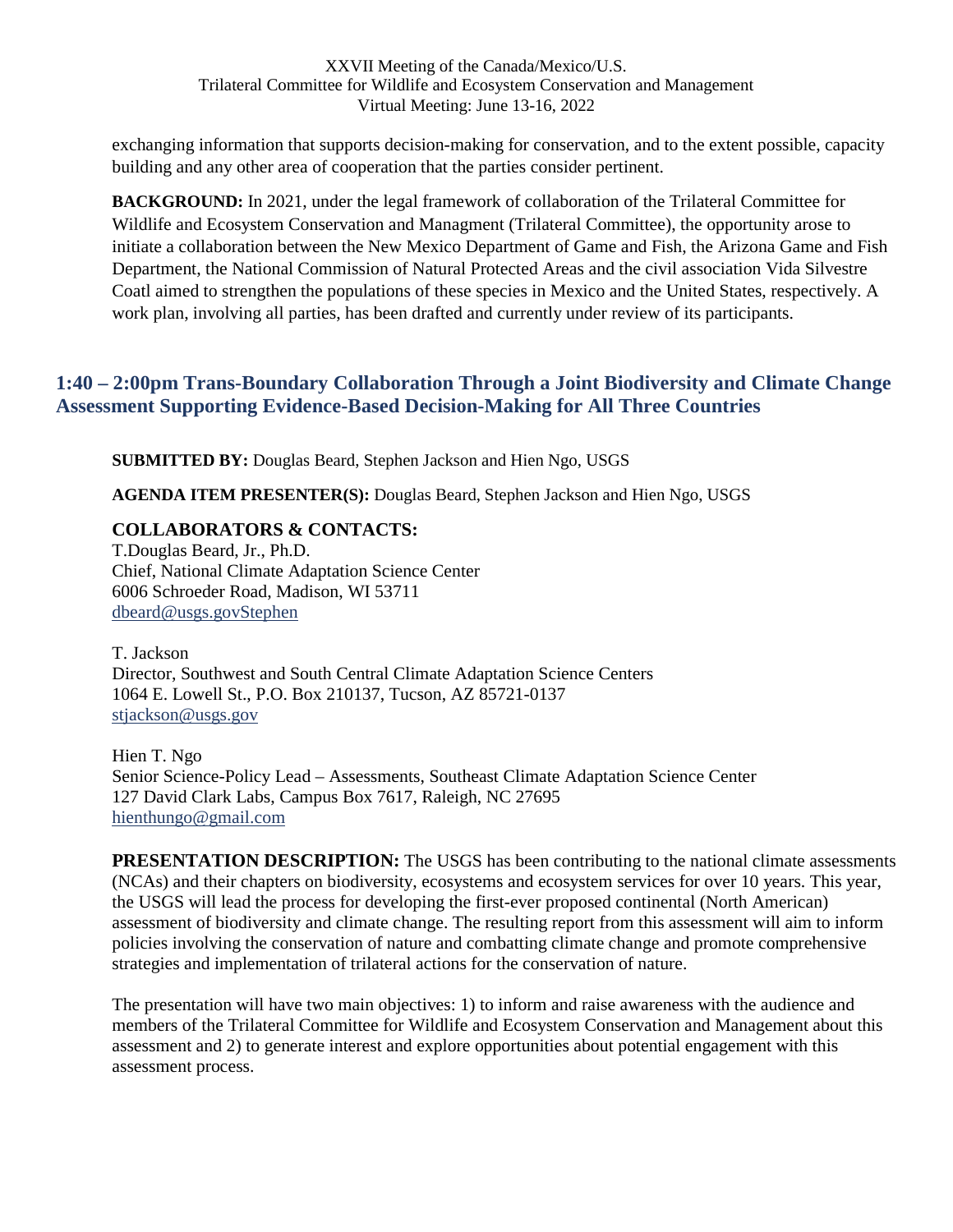exchanging information that supports decision-making for conservation, and to the extent possible, capacity building and any other area of cooperation that the parties consider pertinent.

**BACKGROUND:** In 2021, under the legal framework of collaboration of the Trilateral Committee for Wildlife and Ecosystem Conservation and Managment (Trilateral Committee), the opportunity arose to initiate a collaboration between the New Mexico Department of Game and Fish, the Arizona Game and Fish Department, the National Commission of Natural Protected Areas and the civil association Vida Silvestre Coatl aimed to strengthen the populations of these species in Mexico and the United States, respectively. A work plan, involving all parties, has been drafted and currently under review of its participants.

## <span id="page-13-0"></span>**1:40 – 2:00pm Trans-Boundary Collaboration Through a Joint Biodiversity and Climate Change Assessment Supporting Evidence-Based Decision-Making for All Three Countries**

**SUBMITTED BY:** Douglas Beard, Stephen Jackson and Hien Ngo, USGS

**AGENDA ITEM PRESENTER(S):** Douglas Beard, Stephen Jackson and Hien Ngo, USGS

### **COLLABORATORS & CONTACTS:**

T.Douglas Beard, Jr., Ph.D. Chief, National Climate Adaptation Science Center 6006 Schroeder Road, Madison, WI 53711 [dbeard@usgs.govStephen](mailto:dbeard@usgs.govStephen)

T. Jackson Director, Southwest and South Central Climate Adaptation Science Centers 1064 E. Lowell St., P.O. Box 210137, Tucson, AZ 85721-0137 [stjackson@usgs.gov](mailto:stjackson@usgs.gov)

Hien T. Ngo Senior Science-Policy Lead – Assessments, Southeast Climate Adaptation Science Center 127 David Clark Labs, Campus Box 7617, Raleigh, NC 27695 [hienthungo@gmail.com](mailto:hienthungo@gmail.com)

**PRESENTATION DESCRIPTION:** The USGS has been contributing to the national climate assessments (NCAs) and their chapters on biodiversity, ecosystems and ecosystem services for over 10 years. This year, the USGS will lead the process for developing the first-ever proposed continental (North American) assessment of biodiversity and climate change. The resulting report from this assessment will aim to inform policies involving the conservation of nature and combatting climate change and promote comprehensive strategies and implementation of trilateral actions for the conservation of nature.

The presentation will have two main objectives: 1) to inform and raise awareness with the audience and members of the Trilateral Committee for Wildlife and Ecosystem Conservation and Management about this assessment and 2) to generate interest and explore opportunities about potential engagement with this assessment process.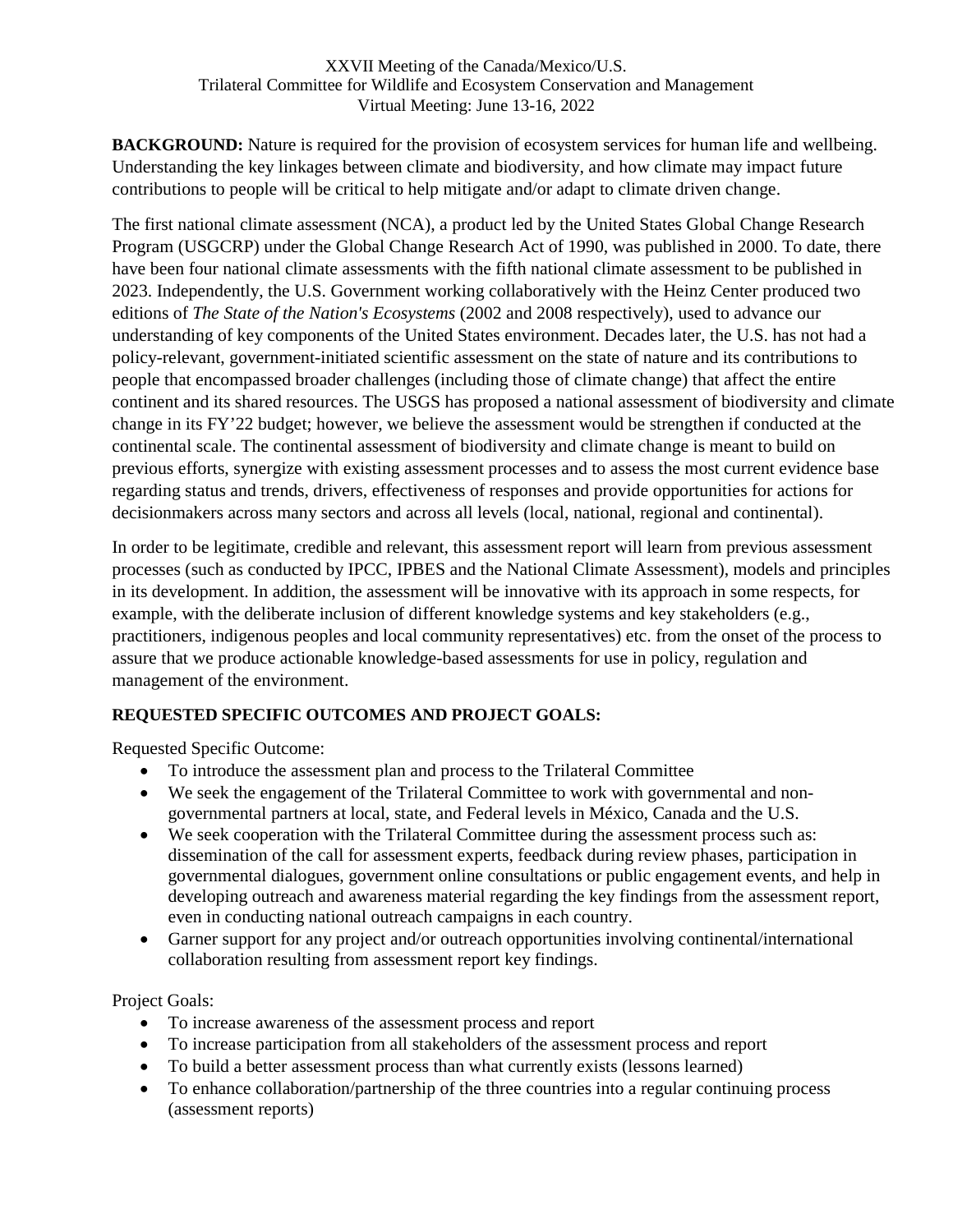**BACKGROUND:** Nature is required for the provision of ecosystem services for human life and wellbeing. Understanding the key linkages between climate and biodiversity, and how climate may impact future contributions to people will be critical to help mitigate and/or adapt to climate driven change.

The first national climate assessment (NCA), a product led by the United States Global Change Research Program (USGCRP) under the Global Change Research Act of 1990, was published in 2000. To date, there have been four national climate assessments with the fifth national climate assessment to be published in 2023. Independently, the U.S. Government working collaboratively with the Heinz Center produced two editions of *The State of the Nation's Ecosystems* (2002 and 2008 respectively), used to advance our understanding of key components of the United States environment. Decades later, the U.S. has not had a policy-relevant, government-initiated scientific assessment on the state of nature and its contributions to people that encompassed broader challenges (including those of climate change) that affect the entire continent and its shared resources. The USGS has proposed a national assessment of biodiversity and climate change in its FY'22 budget; however, we believe the assessment would be strengthen if conducted at the continental scale. The continental assessment of biodiversity and climate change is meant to build on previous efforts, synergize with existing assessment processes and to assess the most current evidence base regarding status and trends, drivers, effectiveness of responses and provide opportunities for actions for decisionmakers across many sectors and across all levels (local, national, regional and continental).

In order to be legitimate, credible and relevant, this assessment report will learn from previous assessment processes (such as conducted by IPCC, IPBES and the National Climate Assessment), models and principles in its development. In addition, the assessment will be innovative with its approach in some respects, for example, with the deliberate inclusion of different knowledge systems and key stakeholders (e.g., practitioners, indigenous peoples and local community representatives) etc. from the onset of the process to assure that we produce actionable knowledge-based assessments for use in policy, regulation and management of the environment.

### **REQUESTED SPECIFIC OUTCOMES AND PROJECT GOALS:**

Requested Specific Outcome:

- To introduce the assessment plan and process to the Trilateral Committee
- We seek the engagement of the Trilateral Committee to work with governmental and nongovernmental partners at local, state, and Federal levels in México, Canada and the U.S.
- We seek cooperation with the Trilateral Committee during the assessment process such as: dissemination of the call for assessment experts, feedback during review phases, participation in governmental dialogues, government online consultations or public engagement events, and help in developing outreach and awareness material regarding the key findings from the assessment report, even in conducting national outreach campaigns in each country.
- Garner support for any project and/or outreach opportunities involving continental/international collaboration resulting from assessment report key findings.

Project Goals:

- To increase awareness of the assessment process and report
- To increase participation from all stakeholders of the assessment process and report
- To build a better assessment process than what currently exists (lessons learned)
- To enhance collaboration/partnership of the three countries into a regular continuing process (assessment reports)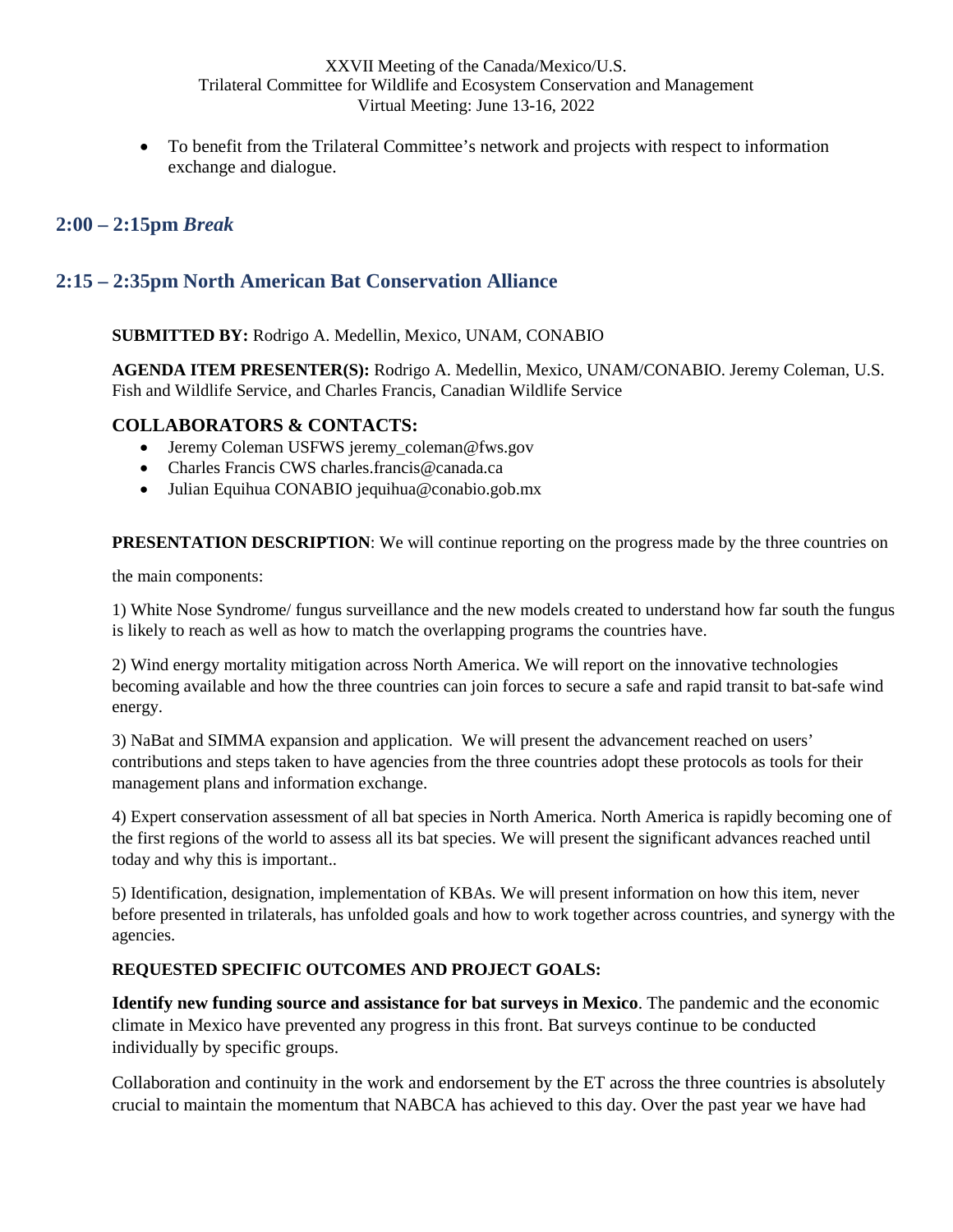To benefit from the Trilateral Committee's network and projects with respect to information exchange and dialogue.

## <span id="page-15-0"></span>**2:00 – 2:15pm** *Break*

## <span id="page-15-1"></span>**2:15 – 2:35pm North American Bat Conservation Alliance**

**SUBMITTED BY:** Rodrigo A. Medellin, Mexico, UNAM, CONABIO

**AGENDA ITEM PRESENTER(S):** Rodrigo A. Medellin, Mexico, UNAM/CONABIO. Jeremy Coleman, U.S. Fish and Wildlife Service, and Charles Francis, Canadian Wildlife Service

### **COLLABORATORS & CONTACTS:**

- Jeremy Coleman USFWS jeremy coleman@fws.gov
- Charles Francis CWS charles.francis@canada.ca
- Julian Equihua CONABIO jequihua@conabio.gob.mx

**PRESENTATION DESCRIPTION:** We will continue reporting on the progress made by the three countries on

the main components:

1) White Nose Syndrome/ fungus surveillance and the new models created to understand how far south the fungus is likely to reach as well as how to match the overlapping programs the countries have.

2) Wind energy mortality mitigation across North America. We will report on the innovative technologies becoming available and how the three countries can join forces to secure a safe and rapid transit to bat-safe wind energy.

3) NaBat and SIMMA expansion and application. We will present the advancement reached on users' contributions and steps taken to have agencies from the three countries adopt these protocols as tools for their management plans and information exchange.

4) Expert conservation assessment of all bat species in North America. North America is rapidly becoming one of the first regions of the world to assess all its bat species. We will present the significant advances reached until today and why this is important..

5) Identification, designation, implementation of KBAs. We will present information on how this item, never before presented in trilaterals, has unfolded goals and how to work together across countries, and synergy with the agencies.

#### **REQUESTED SPECIFIC OUTCOMES AND PROJECT GOALS:**

**Identify new funding source and assistance for bat surveys in Mexico**. The pandemic and the economic climate in Mexico have prevented any progress in this front. Bat surveys continue to be conducted individually by specific groups.

Collaboration and continuity in the work and endorsement by the ET across the three countries is absolutely crucial to maintain the momentum that NABCA has achieved to this day. Over the past year we have had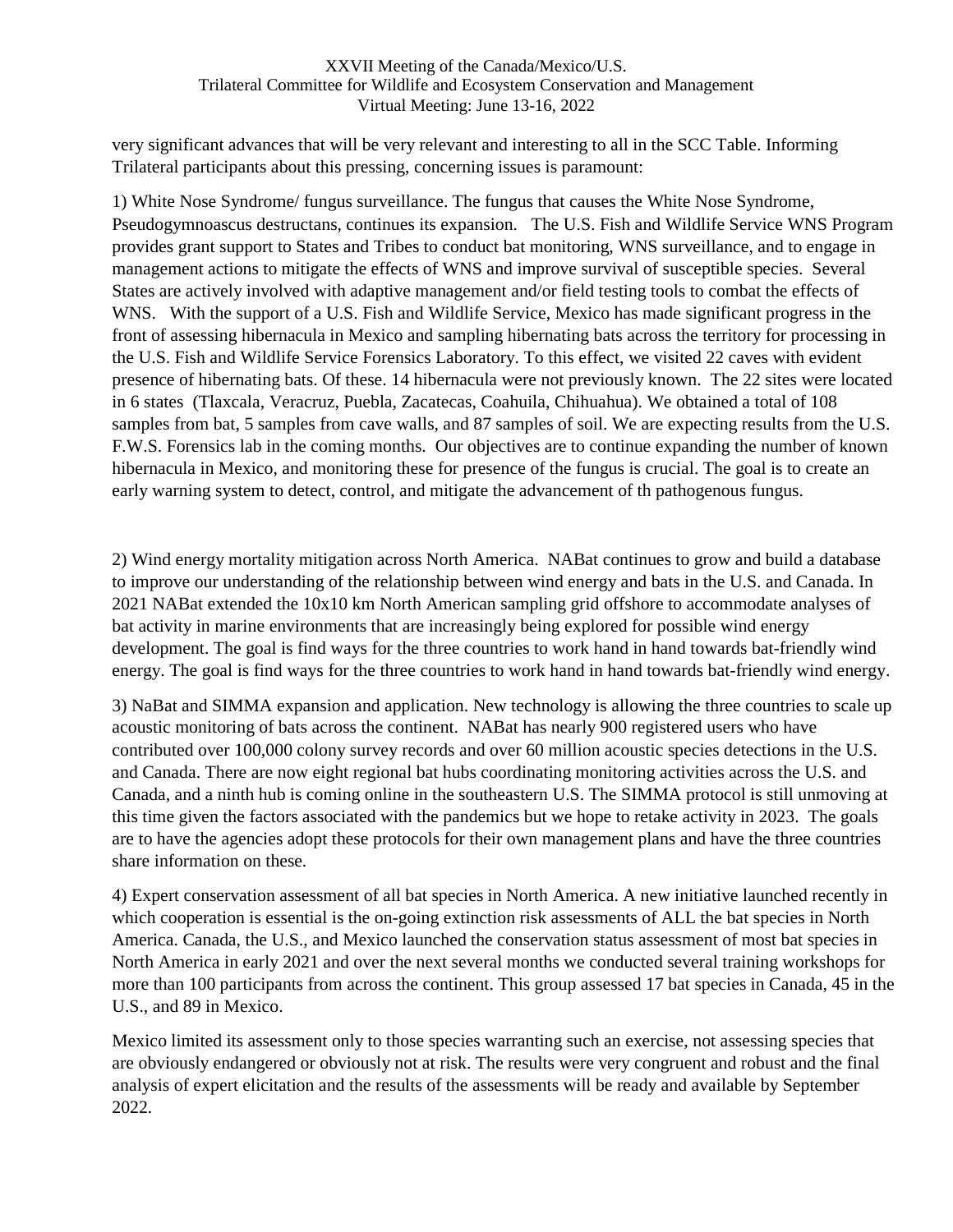very significant advances that will be very relevant and interesting to all in the SCC Table. Informing Trilateral participants about this pressing, concerning issues is paramount:

1) White Nose Syndrome/ fungus surveillance. The fungus that causes the White Nose Syndrome, Pseudogymnoascus destructans, continues its expansion. The U.S. Fish and Wildlife Service WNS Program provides grant support to States and Tribes to conduct bat monitoring, WNS surveillance, and to engage in management actions to mitigate the effects of WNS and improve survival of susceptible species. Several States are actively involved with adaptive management and/or field testing tools to combat the effects of WNS. With the support of a U.S. Fish and Wildlife Service, Mexico has made significant progress in the front of assessing hibernacula in Mexico and sampling hibernating bats across the territory for processing in the U.S. Fish and Wildlife Service Forensics Laboratory. To this effect, we visited 22 caves with evident presence of hibernating bats. Of these. 14 hibernacula were not previously known. The 22 sites were located in 6 states (Tlaxcala, Veracruz, Puebla, Zacatecas, Coahuila, Chihuahua). We obtained a total of 108 samples from bat, 5 samples from cave walls, and 87 samples of soil. We are expecting results from the U.S. F.W.S. Forensics lab in the coming months. Our objectives are to continue expanding the number of known hibernacula in Mexico, and monitoring these for presence of the fungus is crucial. The goal is to create an early warning system to detect, control, and mitigate the advancement of th pathogenous fungus.

2) Wind energy mortality mitigation across North America. NABat continues to grow and build a database to improve our understanding of the relationship between wind energy and bats in the U.S. and Canada. In 2021 NABat extended the 10x10 km North American sampling grid offshore to accommodate analyses of bat activity in marine environments that are increasingly being explored for possible wind energy development. The goal is find ways for the three countries to work hand in hand towards bat-friendly wind energy. The goal is find ways for the three countries to work hand in hand towards bat-friendly wind energy.

3) NaBat and SIMMA expansion and application. New technology is allowing the three countries to scale up acoustic monitoring of bats across the continent. NABat has nearly 900 registered users who have contributed over 100,000 colony survey records and over 60 million acoustic species detections in the U.S. and Canada. There are now eight regional bat hubs coordinating monitoring activities across the U.S. and Canada, and a ninth hub is coming online in the southeastern U.S. The SIMMA protocol is still unmoving at this time given the factors associated with the pandemics but we hope to retake activity in 2023. The goals are to have the agencies adopt these protocols for their own management plans and have the three countries share information on these.

4) Expert conservation assessment of all bat species in North America. A new initiative launched recently in which cooperation is essential is the on-going extinction risk assessments of ALL the bat species in North America. Canada, the U.S., and Mexico launched the conservation status assessment of most bat species in North America in early 2021 and over the next several months we conducted several training workshops for more than 100 participants from across the continent. This group assessed 17 bat species in Canada, 45 in the U.S., and 89 in Mexico.

Mexico limited its assessment only to those species warranting such an exercise, not assessing species that are obviously endangered or obviously not at risk. The results were very congruent and robust and the final analysis of expert elicitation and the results of the assessments will be ready and available by September 2022.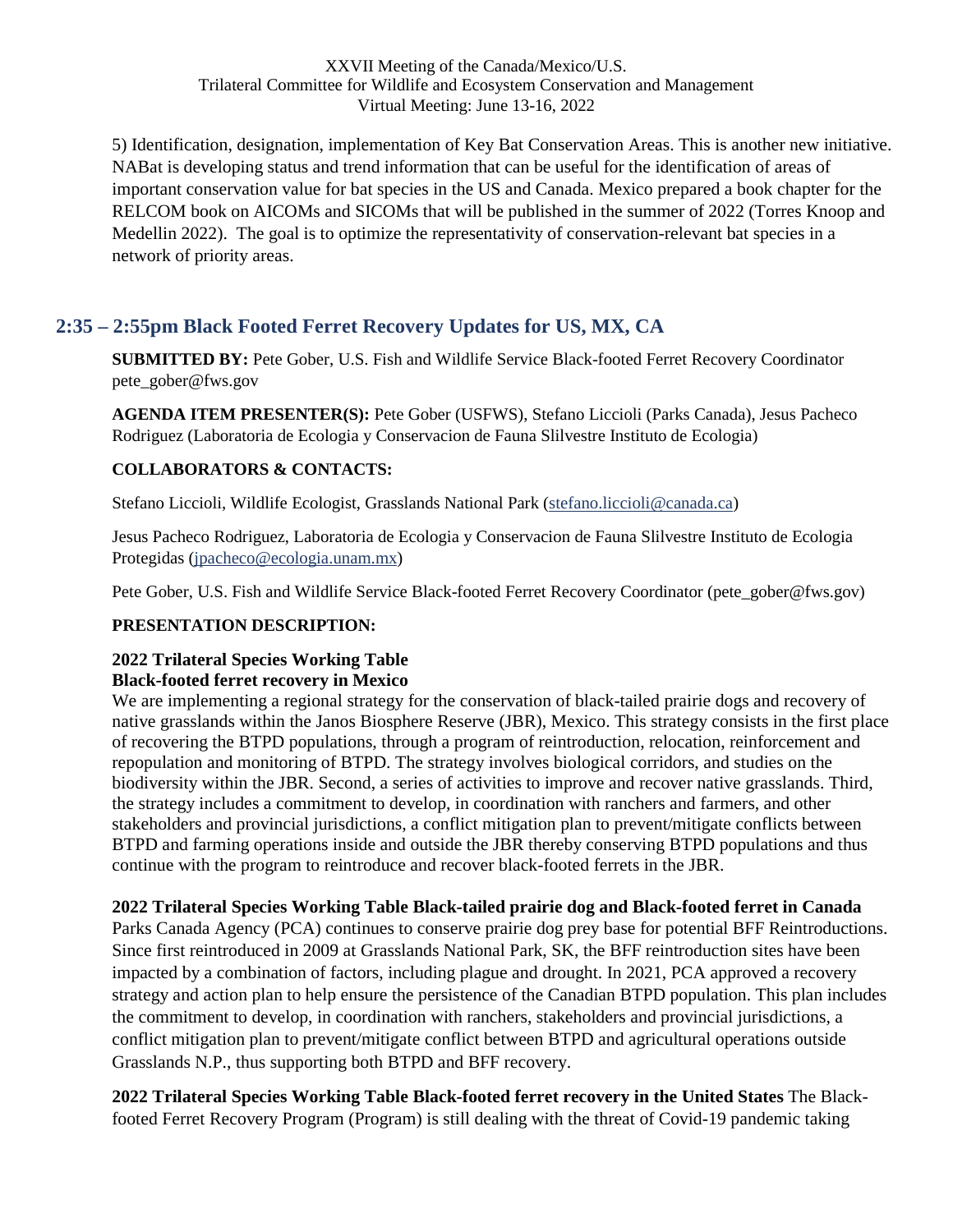5) Identification, designation, implementation of Key Bat Conservation Areas. This is another new initiative. NABat is developing status and trend information that can be useful for the identification of areas of important conservation value for bat species in the US and Canada. Mexico prepared a book chapter for the RELCOM book on AICOMs and SICOMs that will be published in the summer of 2022 (Torres Knoop and Medellin 2022). The goal is to optimize the representativity of conservation-relevant bat species in a network of priority areas.

## <span id="page-17-0"></span>**2:35 – 2:55pm Black Footed Ferret Recovery Updates for US, MX, CA**

**SUBMITTED BY:** Pete Gober, U.S. Fish and Wildlife Service Black-footed Ferret Recovery Coordinator pete\_gober@fws.gov

**AGENDA ITEM PRESENTER(S):** Pete Gober (USFWS), Stefano Liccioli (Parks Canada), Jesus Pacheco Rodriguez (Laboratoria de Ecologia y Conservacion de Fauna Slilvestre Instituto de Ecologia)

### **COLLABORATORS & CONTACTS:**

Stefano Liccioli, Wildlife Ecologist, Grasslands National Park ([stefano.liccioli@canada.ca](mailto:stefano.liccioli@canada.ca))

Jesus Pacheco Rodriguez, Laboratoria de Ecologia y Conservacion de Fauna Slilvestre Instituto de Ecologia Protegidas ([jpacheco@ecologia.unam.mx](mailto:jpacheco@ecologia.unam.mx))

Pete Gober, U.S. Fish and Wildlife Service Black-footed Ferret Recovery Coordinator (pete\_gober@fws.gov)

### **PRESENTATION DESCRIPTION:**

#### **2022 Trilateral Species Working Table Black-footed ferret recovery in Mexico**

We are implementing a regional strategy for the conservation of black-tailed prairie dogs and recovery of native grasslands within the Janos Biosphere Reserve (JBR), Mexico. This strategy consists in the first place of recovering the BTPD populations, through a program of reintroduction, relocation, reinforcement and repopulation and monitoring of BTPD. The strategy involves biological corridors, and studies on the biodiversity within the JBR. Second, a series of activities to improve and recover native grasslands. Third, the strategy includes a commitment to develop, in coordination with ranchers and farmers, and other stakeholders and provincial jurisdictions, a conflict mitigation plan to prevent/mitigate conflicts between BTPD and farming operations inside and outside the JBR thereby conserving BTPD populations and thus continue with the program to reintroduce and recover black-footed ferrets in the JBR.

### **2022 Trilateral Species Working Table Black-tailed prairie dog and Black-footed ferret in Canada**

Parks Canada Agency (PCA) continues to conserve prairie dog prey base for potential BFF Reintroductions. Since first reintroduced in 2009 at Grasslands National Park, SK, the BFF reintroduction sites have been impacted by a combination of factors, including plague and drought. In 2021, PCA approved a recovery strategy and action plan to help ensure the persistence of the Canadian BTPD population. This plan includes the commitment to develop, in coordination with ranchers, stakeholders and provincial jurisdictions, a conflict mitigation plan to prevent/mitigate conflict between BTPD and agricultural operations outside Grasslands N.P., thus supporting both BTPD and BFF recovery.

**2022 Trilateral Species Working Table Black-footed ferret recovery in the United States** The Blackfooted Ferret Recovery Program (Program) is still dealing with the threat of Covid-19 pandemic taking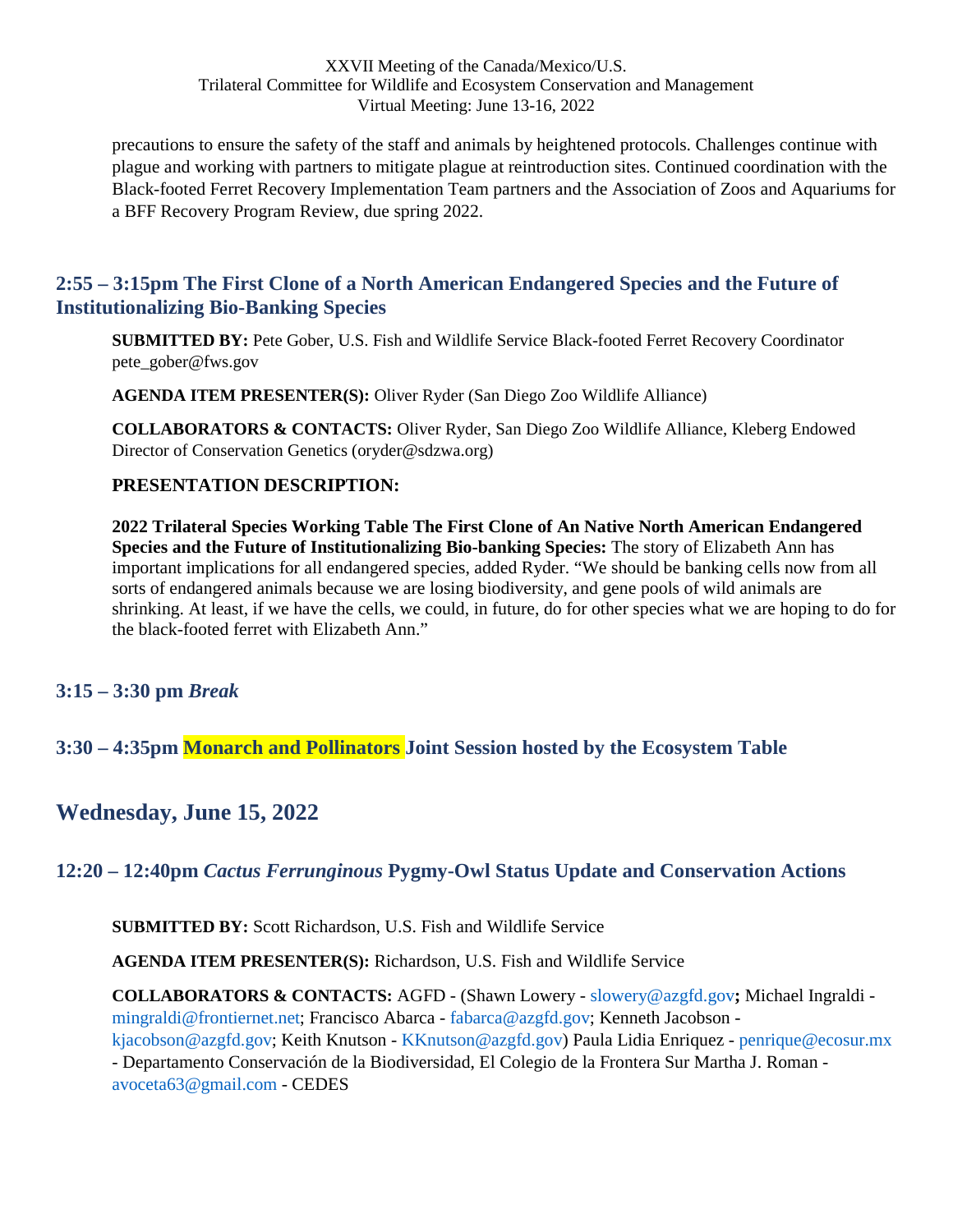precautions to ensure the safety of the staff and animals by heightened protocols. Challenges continue with plague and working with partners to mitigate plague at reintroduction sites. Continued coordination with the Black-footed Ferret Recovery Implementation Team partners and the Association of Zoos and Aquariums for a BFF Recovery Program Review, due spring 2022.

### <span id="page-18-0"></span>**2:55 – 3:15pm The First Clone of a North American Endangered Species and the Future of Institutionalizing Bio-Banking Species**

**SUBMITTED BY:** Pete Gober, U.S. Fish and Wildlife Service Black-footed Ferret Recovery Coordinator pete\_gober@fws.gov

**AGENDA ITEM PRESENTER(S):** Oliver Ryder (San Diego Zoo Wildlife Alliance)

**COLLABORATORS & CONTACTS:** Oliver Ryder, San Diego Zoo Wildlife Alliance, Kleberg Endowed Director of Conservation Genetics (oryder@sdzwa.org)

### **PRESENTATION DESCRIPTION:**

**2022 Trilateral Species Working Table The First Clone of An Native North American Endangered Species and the Future of Institutionalizing Bio-banking Species:** The story of Elizabeth Ann has important implications for all endangered species, added Ryder. "We should be banking cells now from all sorts of endangered animals because we are losing biodiversity, and gene pools of wild animals are shrinking. At least, if we have the cells, we could, in future, do for other species what we are hoping to do for the black-footed ferret with Elizabeth Ann."

### <span id="page-18-1"></span>**3:15 – 3:30 pm** *Break*

<span id="page-18-2"></span>**3:30 – 4:35pm Monarch and Pollinators Joint Session hosted by the Ecosystem Table** 

# <span id="page-18-3"></span>**Wednesday, June 15, 2022**

## <span id="page-18-4"></span>**12:20 – 12:40pm** *Cactus Ferrunginous* **Pygmy-Owl Status Update and Conservation Actions**

**SUBMITTED BY:** Scott Richardson, U.S. Fish and Wildlife Service

**AGENDA ITEM PRESENTER(S):** Richardson, U.S. Fish and Wildlife Service

**COLLABORATORS & CONTACTS:** AGFD - (Shawn Lowery - slowery@azgfd.gov**;** Michael Ingraldi mingraldi@frontiernet.net; Francisco Abarca - fabarca@azgfd.gov; Kenneth Jacobson -

kjacobson@azgfd.gov; Keith Knutson - KKnutson@azgfd.gov) Paula Lidia Enriquez - penrique@ecosur.mx - Departamento Conservación de la Biodiversidad, El Colegio de la Frontera Sur Martha J. Roman -

avoceta63@gmail.com - CEDES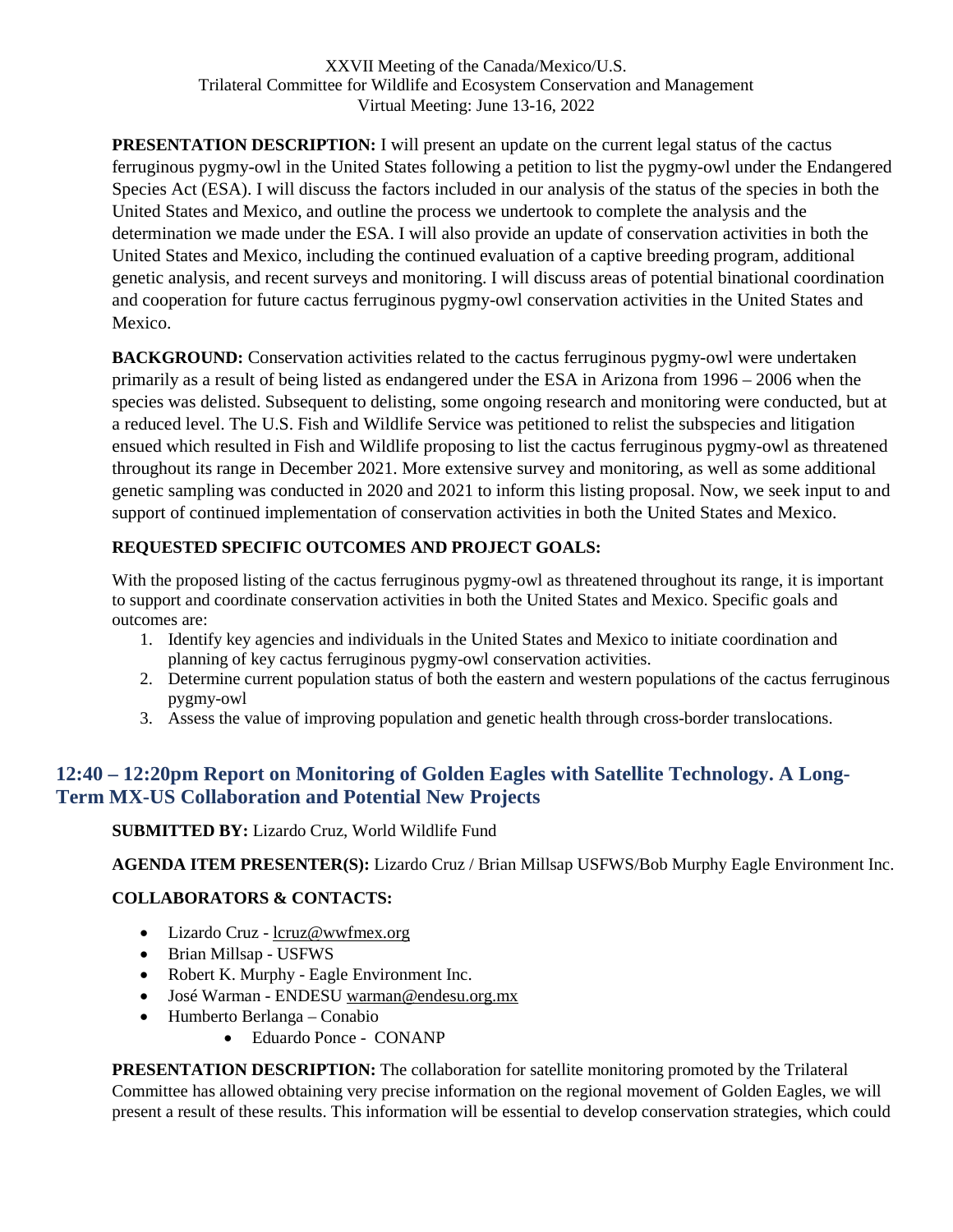**PRESENTATION DESCRIPTION:** I will present an update on the current legal status of the cactus ferruginous pygmy-owl in the United States following a petition to list the pygmy-owl under the Endangered Species Act (ESA). I will discuss the factors included in our analysis of the status of the species in both the United States and Mexico, and outline the process we undertook to complete the analysis and the determination we made under the ESA. I will also provide an update of conservation activities in both the United States and Mexico, including the continued evaluation of a captive breeding program, additional genetic analysis, and recent surveys and monitoring. I will discuss areas of potential binational coordination and cooperation for future cactus ferruginous pygmy-owl conservation activities in the United States and Mexico.

**BACKGROUND:** Conservation activities related to the cactus ferruginous pygmy-owl were undertaken primarily as a result of being listed as endangered under the ESA in Arizona from 1996 – 2006 when the species was delisted. Subsequent to delisting, some ongoing research and monitoring were conducted, but at a reduced level. The U.S. Fish and Wildlife Service was petitioned to relist the subspecies and litigation ensued which resulted in Fish and Wildlife proposing to list the cactus ferruginous pygmy-owl as threatened throughout its range in December 2021. More extensive survey and monitoring, as well as some additional genetic sampling was conducted in 2020 and 2021 to inform this listing proposal. Now, we seek input to and support of continued implementation of conservation activities in both the United States and Mexico.

## **REQUESTED SPECIFIC OUTCOMES AND PROJECT GOALS:**

With the proposed listing of the cactus ferruginous pygmy-owl as threatened throughout its range, it is important to support and coordinate conservation activities in both the United States and Mexico. Specific goals and outcomes are:

- 1. Identify key agencies and individuals in the United States and Mexico to initiate coordination and planning of key cactus ferruginous pygmy-owl conservation activities.
- 2. Determine current population status of both the eastern and western populations of the cactus ferruginous pygmy-owl
- 3. Assess the value of improving population and genetic health through cross-border translocations.

# <span id="page-19-0"></span>**12:40 – 12:20pm Report on Monitoring of Golden Eagles with Satellite Technology. A Long-Term MX-US Collaboration and Potential New Projects**

## **SUBMITTED BY:** Lizardo Cruz, World Wildlife Fund

**AGENDA ITEM PRESENTER(S):** Lizardo Cruz / Brian Millsap USFWS/Bob Murphy Eagle Environment Inc.

## **COLLABORATORS & CONTACTS:**

- Lizardo Cruz lcruz@wwfmex.org
- Brian Millsap USFWS
- Robert K. Murphy Eagle Environment Inc.
- José Warman ENDESU [warman@endesu.org.mx](mailto:warman@endesu.org.mx)
- Humberto Berlanga Conabio
	- Eduardo Ponce CONANP

**PRESENTATION DESCRIPTION:** The collaboration for satellite monitoring promoted by the Trilateral Committee has allowed obtaining very precise information on the regional movement of Golden Eagles, we will present a result of these results. This information will be essential to develop conservation strategies, which could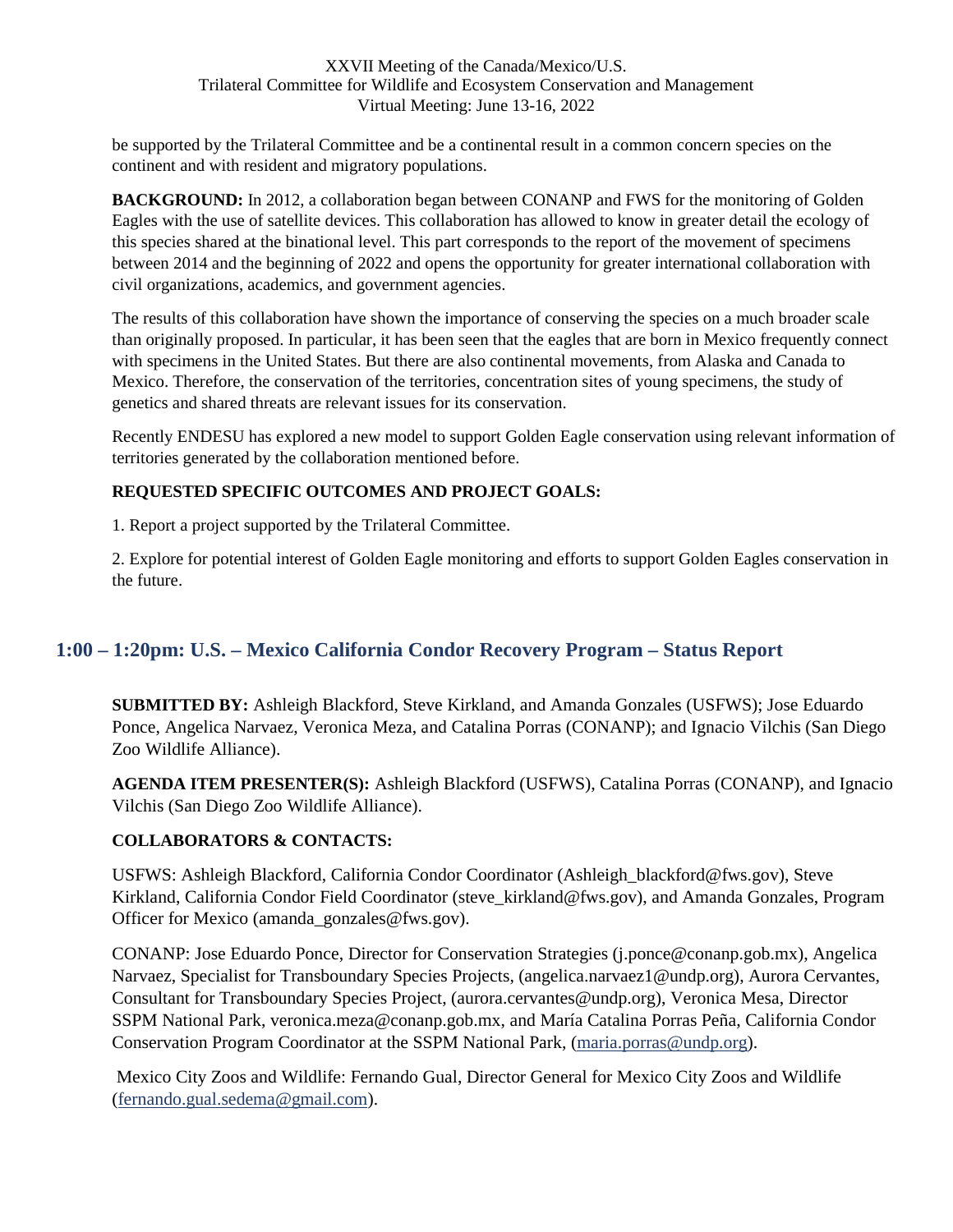be supported by the Trilateral Committee and be a continental result in a common concern species on the continent and with resident and migratory populations.

**BACKGROUND:** In 2012, a collaboration began between CONANP and FWS for the monitoring of Golden Eagles with the use of satellite devices. This collaboration has allowed to know in greater detail the ecology of this species shared at the binational level. This part corresponds to the report of the movement of specimens between 2014 and the beginning of 2022 and opens the opportunity for greater international collaboration with civil organizations, academics, and government agencies.

The results of this collaboration have shown the importance of conserving the species on a much broader scale than originally proposed. In particular, it has been seen that the eagles that are born in Mexico frequently connect with specimens in the United States. But there are also continental movements, from Alaska and Canada to Mexico. Therefore, the conservation of the territories, concentration sites of young specimens, the study of genetics and shared threats are relevant issues for its conservation.

Recently ENDESU has explored a new model to support Golden Eagle conservation using relevant information of territories generated by the collaboration mentioned before.

### **REQUESTED SPECIFIC OUTCOMES AND PROJECT GOALS:**

1. Report a project supported by the Trilateral Committee.

2. Explore for potential interest of Golden Eagle monitoring and efforts to support Golden Eagles conservation in the future.

# <span id="page-20-0"></span>**1:00 – 1:20pm: U.S. – Mexico California Condor Recovery Program – Status Report**

**SUBMITTED BY:** Ashleigh Blackford, Steve Kirkland, and Amanda Gonzales (USFWS); Jose Eduardo Ponce, Angelica Narvaez, Veronica Meza, and Catalina Porras (CONANP); and Ignacio Vilchis (San Diego Zoo Wildlife Alliance).

**AGENDA ITEM PRESENTER(S):** Ashleigh Blackford (USFWS), Catalina Porras (CONANP), and Ignacio Vilchis (San Diego Zoo Wildlife Alliance).

### **COLLABORATORS & CONTACTS:**

USFWS: Ashleigh Blackford, California Condor Coordinator (Ashleigh\_blackford@fws.gov), Steve Kirkland, California Condor Field Coordinator (steve\_kirkland@fws.gov), and Amanda Gonzales, Program Officer for Mexico (amanda\_gonzales@fws.gov).

CONANP: Jose Eduardo Ponce, Director for Conservation Strategies (j.ponce@conanp.gob.mx), Angelica Narvaez, Specialist for Transboundary Species Projects, (angelica.narvaez1@undp.org), Aurora Cervantes, Consultant for Transboundary Species Project, (aurora.cervantes@undp.org), Veronica Mesa, Director SSPM National Park, veronica.meza@conanp.gob.mx, and María Catalina Porras Peña, California Condor Conservation Program Coordinator at the SSPM National Park, ([maria.porras@undp.org](mailto:maria.porras@undp.org)).

 Mexico City Zoos and Wildlife: Fernando Gual, Director General for Mexico City Zoos and Wildlife ([fernando.gual.sedema@gmail.com](mailto:fernando.gual.sedema@gmail.com)).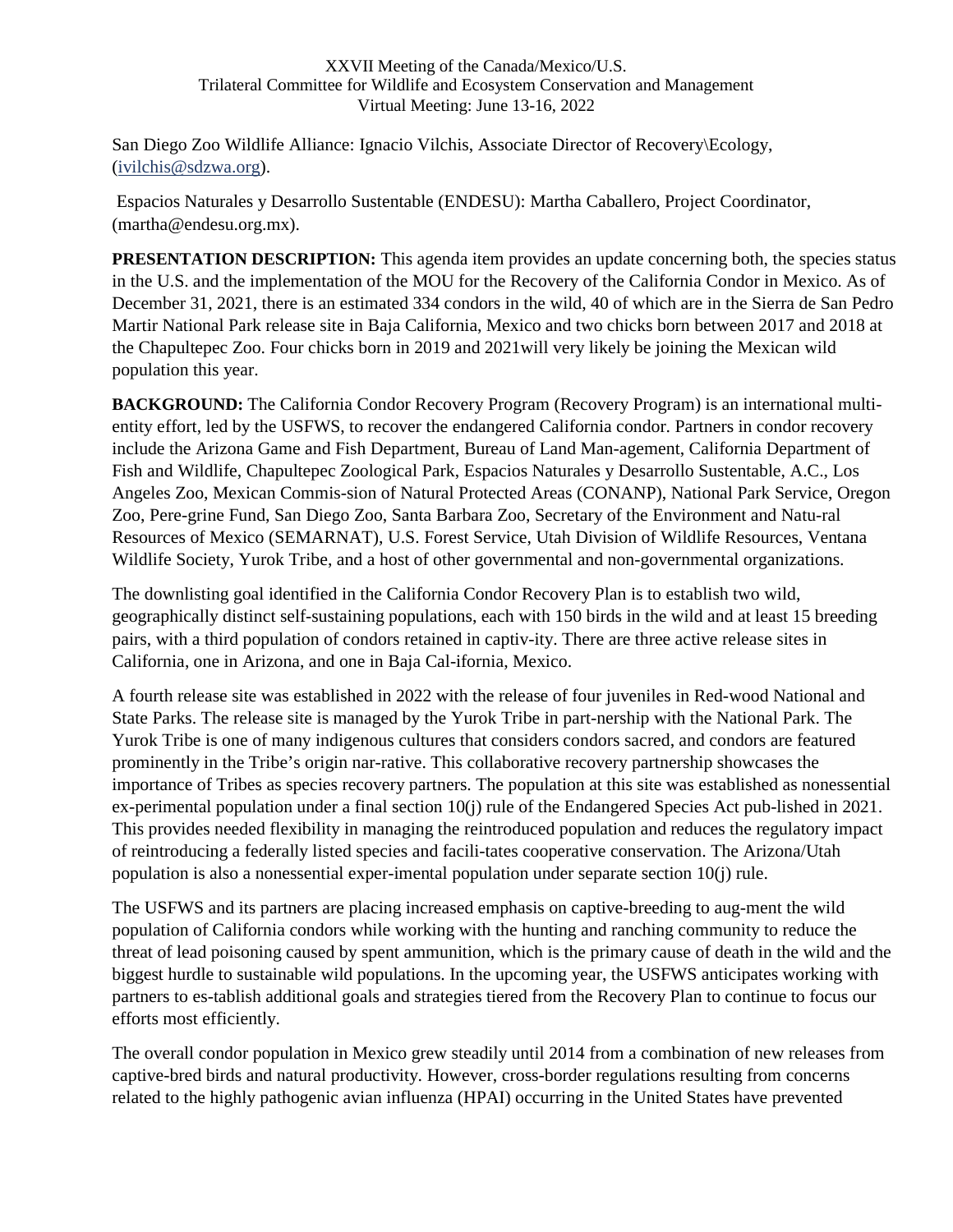San Diego Zoo Wildlife Alliance: Ignacio Vilchis, Associate Director of Recovery\Ecology, ([ivilchis@sdzwa.org](mailto:ivilchis@sdzwa.org)).

 Espacios Naturales y Desarrollo Sustentable (ENDESU): Martha Caballero, Project Coordinator, (martha@endesu.org.mx).

**PRESENTATION DESCRIPTION:** This agenda item provides an update concerning both, the species status in the U.S. and the implementation of the MOU for the Recovery of the California Condor in Mexico. As of December 31, 2021, there is an estimated 334 condors in the wild, 40 of which are in the Sierra de San Pedro Martir National Park release site in Baja California, Mexico and two chicks born between 2017 and 2018 at the Chapultepec Zoo. Four chicks born in 2019 and 2021will very likely be joining the Mexican wild population this year.

**BACKGROUND:** The California Condor Recovery Program (Recovery Program) is an international multientity effort, led by the USFWS, to recover the endangered California condor. Partners in condor recovery include the Arizona Game and Fish Department, Bureau of Land Man-agement, California Department of Fish and Wildlife, Chapultepec Zoological Park, Espacios Naturales y Desarrollo Sustentable, A.C., Los Angeles Zoo, Mexican Commis-sion of Natural Protected Areas (CONANP), National Park Service, Oregon Zoo, Pere-grine Fund, San Diego Zoo, Santa Barbara Zoo, Secretary of the Environment and Natu-ral Resources of Mexico (SEMARNAT), U.S. Forest Service, Utah Division of Wildlife Resources, Ventana Wildlife Society, Yurok Tribe, and a host of other governmental and non-governmental organizations.

The downlisting goal identified in the California Condor Recovery Plan is to establish two wild, geographically distinct self-sustaining populations, each with 150 birds in the wild and at least 15 breeding pairs, with a third population of condors retained in captiv-ity. There are three active release sites in California, one in Arizona, and one in Baja Cal-ifornia, Mexico.

A fourth release site was established in 2022 with the release of four juveniles in Red-wood National and State Parks. The release site is managed by the Yurok Tribe in part-nership with the National Park. The Yurok Tribe is one of many indigenous cultures that considers condors sacred, and condors are featured prominently in the Tribe's origin nar-rative. This collaborative recovery partnership showcases the importance of Tribes as species recovery partners. The population at this site was established as nonessential ex-perimental population under a final section 10(j) rule of the Endangered Species Act pub-lished in 2021. This provides needed flexibility in managing the reintroduced population and reduces the regulatory impact of reintroducing a federally listed species and facili-tates cooperative conservation. The Arizona/Utah population is also a nonessential exper-imental population under separate section 10(j) rule.

The USFWS and its partners are placing increased emphasis on captive-breeding to aug-ment the wild population of California condors while working with the hunting and ranching community to reduce the threat of lead poisoning caused by spent ammunition, which is the primary cause of death in the wild and the biggest hurdle to sustainable wild populations. In the upcoming year, the USFWS anticipates working with partners to es-tablish additional goals and strategies tiered from the Recovery Plan to continue to focus our efforts most efficiently.

The overall condor population in Mexico grew steadily until 2014 from a combination of new releases from captive-bred birds and natural productivity. However, cross-border regulations resulting from concerns related to the highly pathogenic avian influenza (HPAI) occurring in the United States have prevented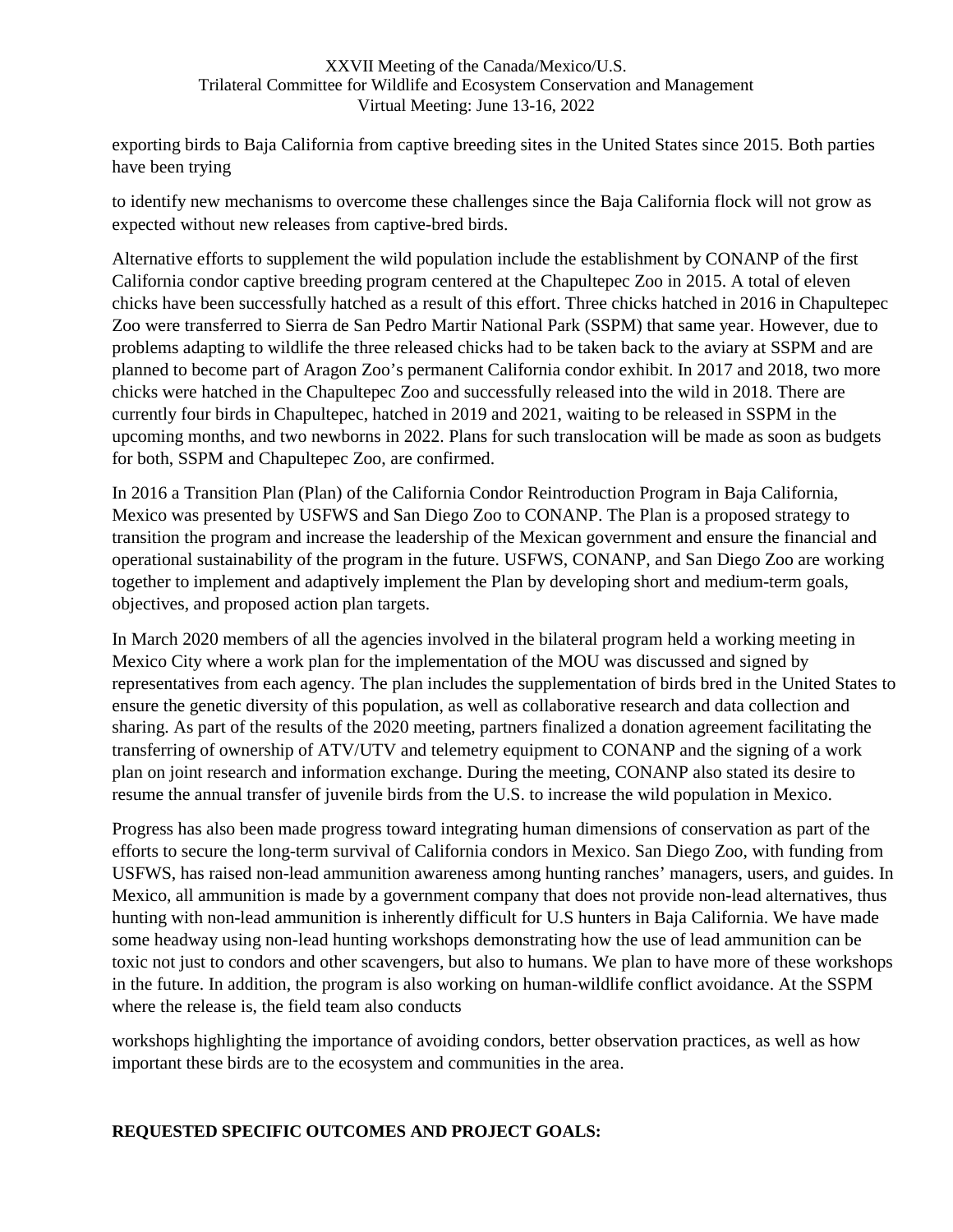exporting birds to Baja California from captive breeding sites in the United States since 2015. Both parties have been trying

to identify new mechanisms to overcome these challenges since the Baja California flock will not grow as expected without new releases from captive-bred birds.

Alternative efforts to supplement the wild population include the establishment by CONANP of the first California condor captive breeding program centered at the Chapultepec Zoo in 2015. A total of eleven chicks have been successfully hatched as a result of this effort. Three chicks hatched in 2016 in Chapultepec Zoo were transferred to Sierra de San Pedro Martir National Park (SSPM) that same year. However, due to problems adapting to wildlife the three released chicks had to be taken back to the aviary at SSPM and are planned to become part of Aragon Zoo's permanent California condor exhibit. In 2017 and 2018, two more chicks were hatched in the Chapultepec Zoo and successfully released into the wild in 2018. There are currently four birds in Chapultepec, hatched in 2019 and 2021, waiting to be released in SSPM in the upcoming months, and two newborns in 2022. Plans for such translocation will be made as soon as budgets for both, SSPM and Chapultepec Zoo, are confirmed.

In 2016 a Transition Plan (Plan) of the California Condor Reintroduction Program in Baja California, Mexico was presented by USFWS and San Diego Zoo to CONANP. The Plan is a proposed strategy to transition the program and increase the leadership of the Mexican government and ensure the financial and operational sustainability of the program in the future. USFWS, CONANP, and San Diego Zoo are working together to implement and adaptively implement the Plan by developing short and medium-term goals, objectives, and proposed action plan targets.

In March 2020 members of all the agencies involved in the bilateral program held a working meeting in Mexico City where a work plan for the implementation of the MOU was discussed and signed by representatives from each agency. The plan includes the supplementation of birds bred in the United States to ensure the genetic diversity of this population, as well as collaborative research and data collection and sharing. As part of the results of the 2020 meeting, partners finalized a donation agreement facilitating the transferring of ownership of ATV/UTV and telemetry equipment to CONANP and the signing of a work plan on joint research and information exchange. During the meeting, CONANP also stated its desire to resume the annual transfer of juvenile birds from the U.S. to increase the wild population in Mexico.

Progress has also been made progress toward integrating human dimensions of conservation as part of the efforts to secure the long-term survival of California condors in Mexico. San Diego Zoo, with funding from USFWS, has raised non-lead ammunition awareness among hunting ranches' managers, users, and guides. In Mexico, all ammunition is made by a government company that does not provide non-lead alternatives, thus hunting with non-lead ammunition is inherently difficult for U.S hunters in Baja California. We have made some headway using non-lead hunting workshops demonstrating how the use of lead ammunition can be toxic not just to condors and other scavengers, but also to humans. We plan to have more of these workshops in the future. In addition, the program is also working on human-wildlife conflict avoidance. At the SSPM where the release is, the field team also conducts

workshops highlighting the importance of avoiding condors, better observation practices, as well as how important these birds are to the ecosystem and communities in the area.

### **REQUESTED SPECIFIC OUTCOMES AND PROJECT GOALS:**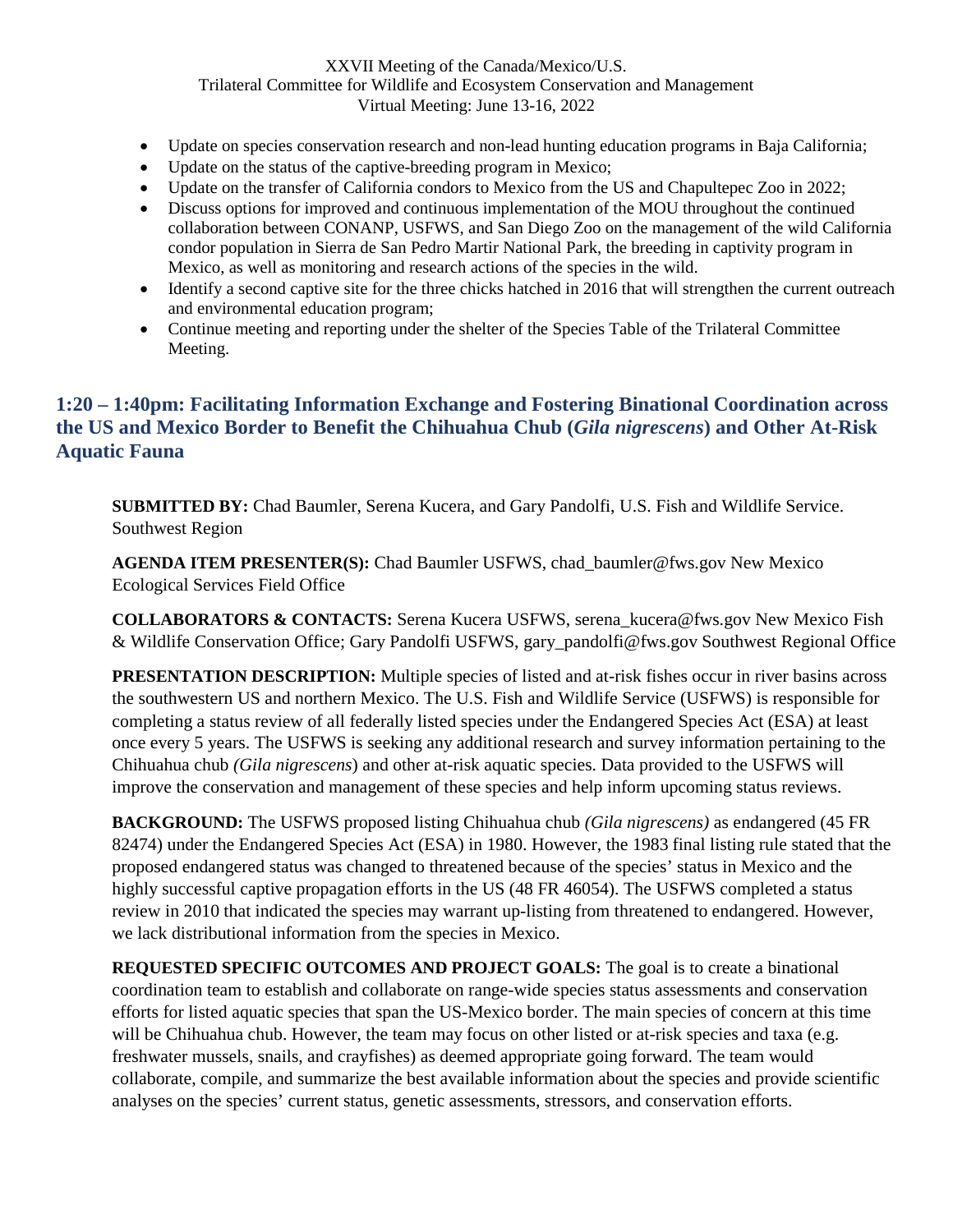- Update on species conservation research and non-lead hunting education programs in Baja California;
- Update on the status of the captive-breeding program in Mexico;
- Update on the transfer of California condors to Mexico from the US and Chapultepec Zoo in 2022;
- Discuss options for improved and continuous implementation of the MOU throughout the continued collaboration between CONANP, USFWS, and San Diego Zoo on the management of the wild California condor population in Sierra de San Pedro Martir National Park, the breeding in captivity program in Mexico, as well as monitoring and research actions of the species in the wild.
- Identify a second captive site for the three chicks hatched in 2016 that will strengthen the current outreach and environmental education program;
- Continue meeting and reporting under the shelter of the Species Table of the Trilateral Committee Meeting.

## <span id="page-23-0"></span>**1:20 – 1:40pm: Facilitating Information Exchange and Fostering Binational Coordination across the US and Mexico Border to Benefit the Chihuahua Chub (***Gila nigrescens***) and Other At-Risk Aquatic Fauna**

**SUBMITTED BY:** Chad Baumler, Serena Kucera, and Gary Pandolfi, U.S. Fish and Wildlife Service. Southwest Region

**AGENDA ITEM PRESENTER(S):** Chad Baumler USFWS, chad\_baumler@fws.gov New Mexico Ecological Services Field Office

**COLLABORATORS & CONTACTS:** Serena Kucera USFWS, serena\_kucera@fws.gov New Mexico Fish & Wildlife Conservation Office; Gary Pandolfi USFWS, gary\_pandolfi@fws.gov Southwest Regional Office

**PRESENTATION DESCRIPTION:** Multiple species of listed and at-risk fishes occur in river basins across the southwestern US and northern Mexico. The U.S. Fish and Wildlife Service (USFWS) is responsible for completing a status review of all federally listed species under the Endangered Species Act (ESA) at least once every 5 years. The USFWS is seeking any additional research and survey information pertaining to the Chihuahua chub *(Gila nigrescens*) and other at-risk aquatic species. Data provided to the USFWS will improve the conservation and management of these species and help inform upcoming status reviews.

**BACKGROUND:** The USFWS proposed listing Chihuahua chub *(Gila nigrescens)* as endangered (45 FR 82474) under the Endangered Species Act (ESA) in 1980. However, the 1983 final listing rule stated that the proposed endangered status was changed to threatened because of the species' status in Mexico and the highly successful captive propagation efforts in the US (48 FR 46054). The USFWS completed a status review in 2010 that indicated the species may warrant up-listing from threatened to endangered. However, we lack distributional information from the species in Mexico.

**REQUESTED SPECIFIC OUTCOMES AND PROJECT GOALS:** The goal is to create a binational coordination team to establish and collaborate on range-wide species status assessments and conservation efforts for listed aquatic species that span the US-Mexico border. The main species of concern at this time will be Chihuahua chub. However, the team may focus on other listed or at-risk species and taxa (e.g. freshwater mussels, snails, and crayfishes) as deemed appropriate going forward. The team would collaborate, compile, and summarize the best available information about the species and provide scientific analyses on the species' current status, genetic assessments, stressors, and conservation efforts.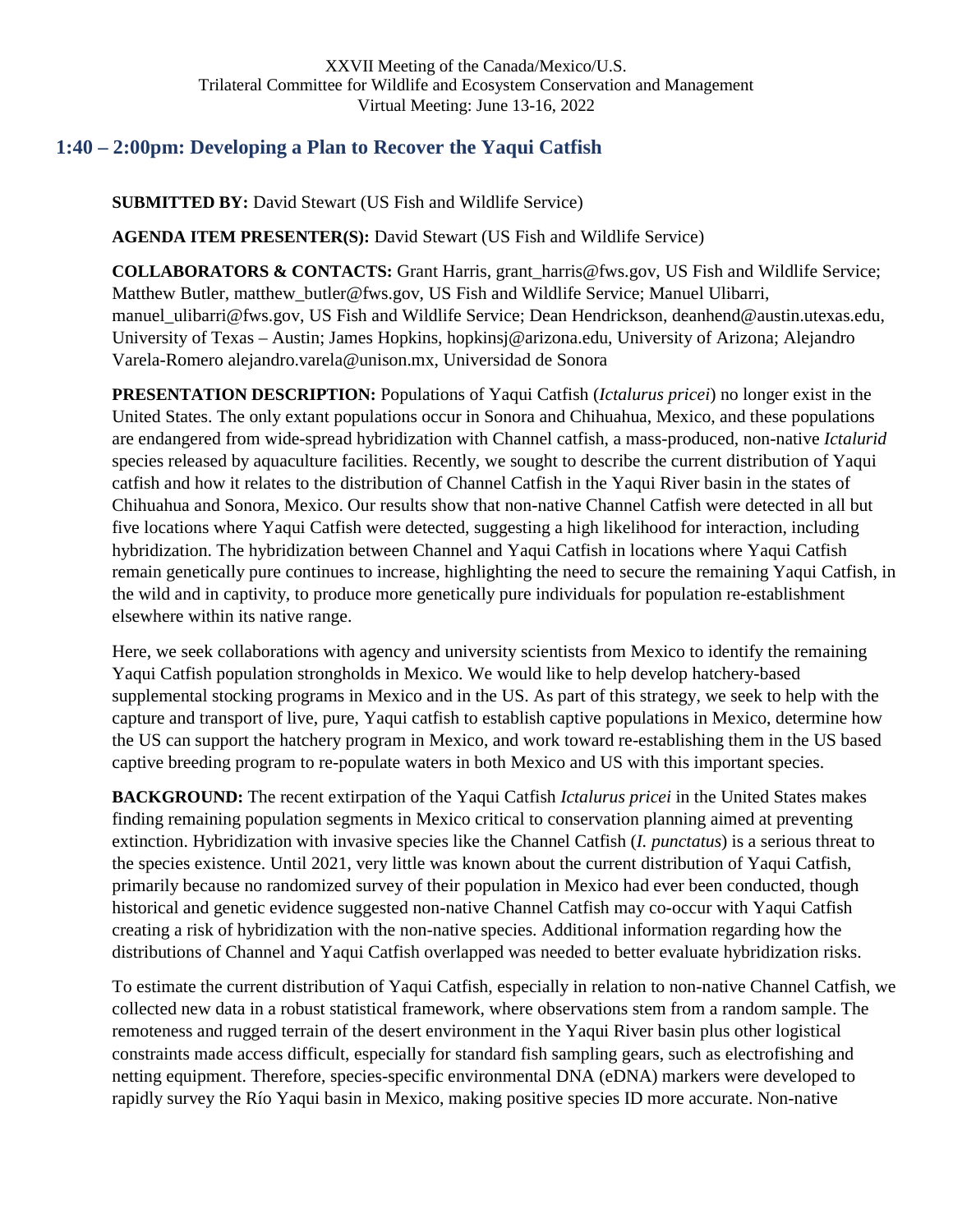# <span id="page-24-0"></span>**1:40 – 2:00pm: Developing a Plan to Recover the Yaqui Catfish**

**SUBMITTED BY:** David Stewart (US Fish and Wildlife Service)

**AGENDA ITEM PRESENTER(S):** David Stewart (US Fish and Wildlife Service)

**COLLABORATORS & CONTACTS:** Grant Harris, grant\_harris@fws.gov, US Fish and Wildlife Service; Matthew Butler, matthew\_butler@fws.gov, US Fish and Wildlife Service; Manuel Ulibarri, manuel\_ulibarri@fws.gov, US Fish and Wildlife Service; Dean Hendrickson, deanhend@austin.utexas.edu, University of Texas – Austin; James Hopkins, hopkinsj@arizona.edu, University of Arizona; Alejandro Varela-Romero alejandro.varela@unison.mx, Universidad de Sonora

**PRESENTATION DESCRIPTION:** Populations of Yaqui Catfish (*Ictalurus pricei*) no longer exist in the United States. The only extant populations occur in Sonora and Chihuahua, Mexico, and these populations are endangered from wide-spread hybridization with Channel catfish, a mass-produced, non-native *Ictalurid*  species released by aquaculture facilities. Recently, we sought to describe the current distribution of Yaqui catfish and how it relates to the distribution of Channel Catfish in the Yaqui River basin in the states of Chihuahua and Sonora, Mexico. Our results show that non-native Channel Catfish were detected in all but five locations where Yaqui Catfish were detected, suggesting a high likelihood for interaction, including hybridization. The hybridization between Channel and Yaqui Catfish in locations where Yaqui Catfish remain genetically pure continues to increase, highlighting the need to secure the remaining Yaqui Catfish, in the wild and in captivity, to produce more genetically pure individuals for population re-establishment elsewhere within its native range.

Here, we seek collaborations with agency and university scientists from Mexico to identify the remaining Yaqui Catfish population strongholds in Mexico. We would like to help develop hatchery-based supplemental stocking programs in Mexico and in the US. As part of this strategy, we seek to help with the capture and transport of live, pure, Yaqui catfish to establish captive populations in Mexico, determine how the US can support the hatchery program in Mexico, and work toward re-establishing them in the US based captive breeding program to re-populate waters in both Mexico and US with this important species.

**BACKGROUND:** The recent extirpation of the Yaqui Catfish *Ictalurus pricei* in the United States makes finding remaining population segments in Mexico critical to conservation planning aimed at preventing extinction. Hybridization with invasive species like the Channel Catfish (*I. punctatus*) is a serious threat to the species existence. Until 2021, very little was known about the current distribution of Yaqui Catfish, primarily because no randomized survey of their population in Mexico had ever been conducted, though historical and genetic evidence suggested non-native Channel Catfish may co-occur with Yaqui Catfish creating a risk of hybridization with the non-native species. Additional information regarding how the distributions of Channel and Yaqui Catfish overlapped was needed to better evaluate hybridization risks.

To estimate the current distribution of Yaqui Catfish, especially in relation to non-native Channel Catfish, we collected new data in a robust statistical framework, where observations stem from a random sample. The remoteness and rugged terrain of the desert environment in the Yaqui River basin plus other logistical constraints made access difficult, especially for standard fish sampling gears, such as electrofishing and netting equipment. Therefore, species-specific environmental DNA (eDNA) markers were developed to rapidly survey the Río Yaqui basin in Mexico, making positive species ID more accurate. Non-native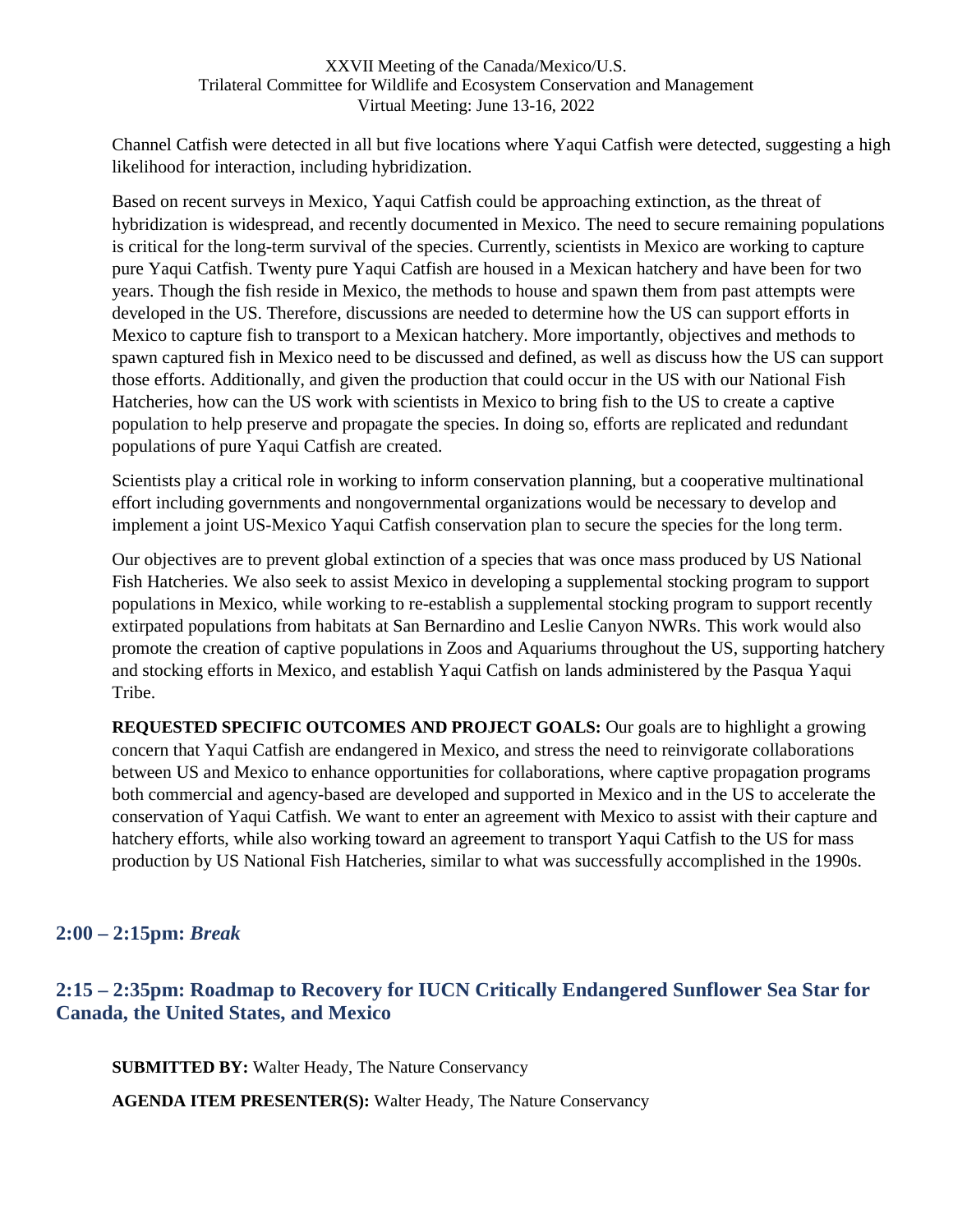Channel Catfish were detected in all but five locations where Yaqui Catfish were detected, suggesting a high likelihood for interaction, including hybridization.

Based on recent surveys in Mexico, Yaqui Catfish could be approaching extinction, as the threat of hybridization is widespread, and recently documented in Mexico. The need to secure remaining populations is critical for the long-term survival of the species. Currently, scientists in Mexico are working to capture pure Yaqui Catfish. Twenty pure Yaqui Catfish are housed in a Mexican hatchery and have been for two years. Though the fish reside in Mexico, the methods to house and spawn them from past attempts were developed in the US. Therefore, discussions are needed to determine how the US can support efforts in Mexico to capture fish to transport to a Mexican hatchery. More importantly, objectives and methods to spawn captured fish in Mexico need to be discussed and defined, as well as discuss how the US can support those efforts. Additionally, and given the production that could occur in the US with our National Fish Hatcheries, how can the US work with scientists in Mexico to bring fish to the US to create a captive population to help preserve and propagate the species. In doing so, efforts are replicated and redundant populations of pure Yaqui Catfish are created.

Scientists play a critical role in working to inform conservation planning, but a cooperative multinational effort including governments and nongovernmental organizations would be necessary to develop and implement a joint US-Mexico Yaqui Catfish conservation plan to secure the species for the long term.

Our objectives are to prevent global extinction of a species that was once mass produced by US National Fish Hatcheries. We also seek to assist Mexico in developing a supplemental stocking program to support populations in Mexico, while working to re-establish a supplemental stocking program to support recently extirpated populations from habitats at San Bernardino and Leslie Canyon NWRs. This work would also promote the creation of captive populations in Zoos and Aquariums throughout the US, supporting hatchery and stocking efforts in Mexico, and establish Yaqui Catfish on lands administered by the Pasqua Yaqui Tribe.

**REQUESTED SPECIFIC OUTCOMES AND PROJECT GOALS:** Our goals are to highlight a growing concern that Yaqui Catfish are endangered in Mexico, and stress the need to reinvigorate collaborations between US and Mexico to enhance opportunities for collaborations, where captive propagation programs both commercial and agency-based are developed and supported in Mexico and in the US to accelerate the conservation of Yaqui Catfish. We want to enter an agreement with Mexico to assist with their capture and hatchery efforts, while also working toward an agreement to transport Yaqui Catfish to the US for mass production by US National Fish Hatcheries, similar to what was successfully accomplished in the 1990s.

## <span id="page-25-0"></span>**2:00 – 2:15pm:** *Break*

# <span id="page-25-1"></span>**2:15 – 2:35pm: Roadmap to Recovery for IUCN Critically Endangered Sunflower Sea Star for Canada, the United States, and Mexico**

**SUBMITTED BY:** Walter Heady, The Nature Conservancy

**AGENDA ITEM PRESENTER(S):** Walter Heady, The Nature Conservancy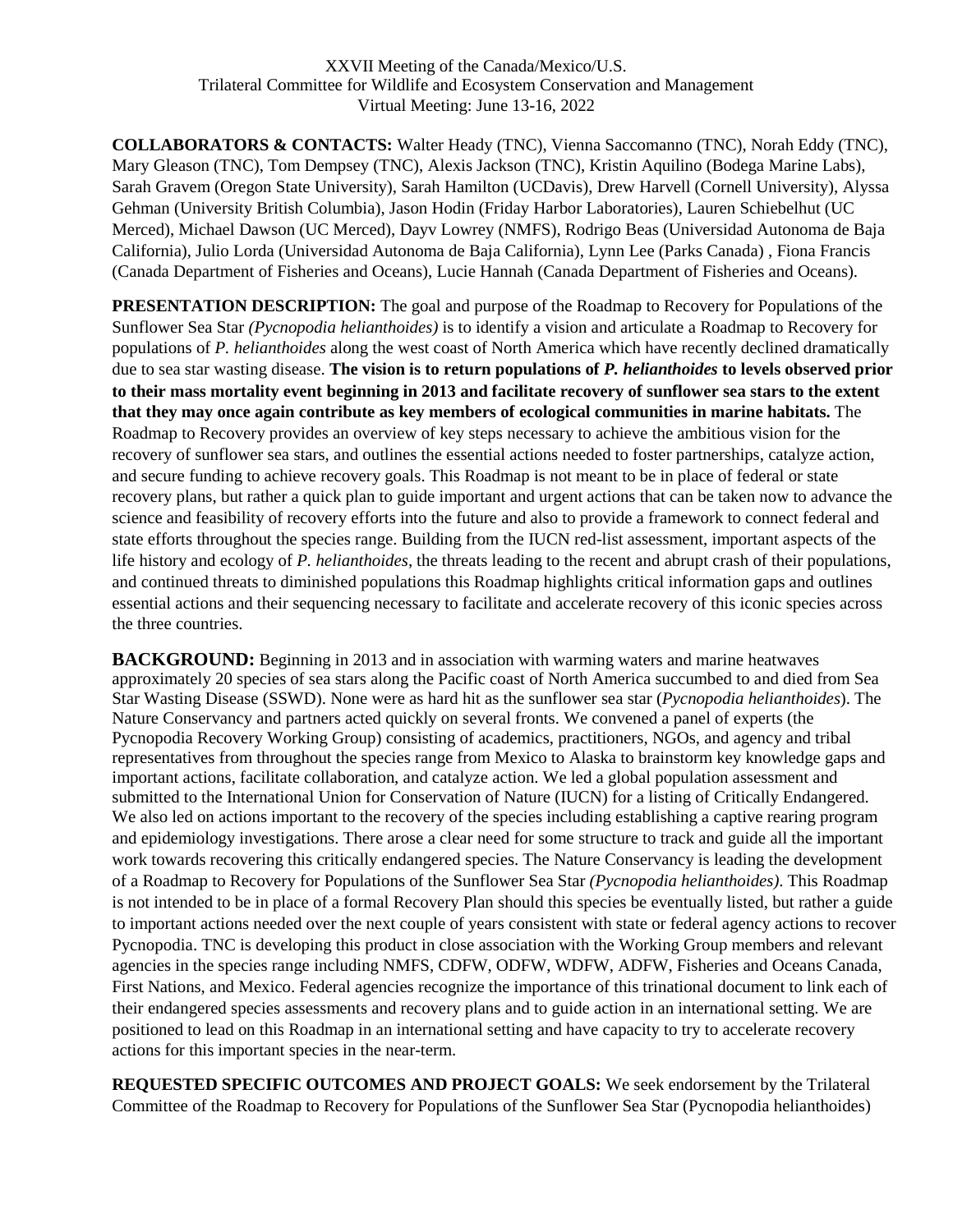**COLLABORATORS & CONTACTS:** Walter Heady (TNC), Vienna Saccomanno (TNC), Norah Eddy (TNC), Mary Gleason (TNC), Tom Dempsey (TNC), Alexis Jackson (TNC), Kristin Aquilino (Bodega Marine Labs), Sarah Gravem (Oregon State University), Sarah Hamilton (UCDavis), Drew Harvell (Cornell University), Alyssa Gehman (University British Columbia), Jason Hodin (Friday Harbor Laboratories), Lauren Schiebelhut (UC Merced), Michael Dawson (UC Merced), Dayv Lowrey (NMFS), Rodrigo Beas (Universidad Autonoma de Baja California), Julio Lorda (Universidad Autonoma de Baja California), Lynn Lee (Parks Canada) , Fiona Francis (Canada Department of Fisheries and Oceans), Lucie Hannah (Canada Department of Fisheries and Oceans).

**PRESENTATION DESCRIPTION:** The goal and purpose of the Roadmap to Recovery for Populations of the Sunflower Sea Star *(Pycnopodia helianthoides)* is to identify a vision and articulate a Roadmap to Recovery for populations of *P. helianthoides* along the west coast of North America which have recently declined dramatically due to sea star wasting disease. **The vision is to return populations of** *P. helianthoides* **to levels observed prior to their mass mortality event beginning in 2013 and facilitate recovery of sunflower sea stars to the extent that they may once again contribute as key members of ecological communities in marine habitats.** The Roadmap to Recovery provides an overview of key steps necessary to achieve the ambitious vision for the recovery of sunflower sea stars, and outlines the essential actions needed to foster partnerships, catalyze action, and secure funding to achieve recovery goals. This Roadmap is not meant to be in place of federal or state recovery plans, but rather a quick plan to guide important and urgent actions that can be taken now to advance the science and feasibility of recovery efforts into the future and also to provide a framework to connect federal and state efforts throughout the species range. Building from the IUCN red-list assessment, important aspects of the life history and ecology of *P. helianthoides*, the threats leading to the recent and abrupt crash of their populations, and continued threats to diminished populations this Roadmap highlights critical information gaps and outlines essential actions and their sequencing necessary to facilitate and accelerate recovery of this iconic species across the three countries.

**BACKGROUND:** Beginning in 2013 and in association with warming waters and marine heatwaves approximately 20 species of sea stars along the Pacific coast of North America succumbed to and died from Sea Star Wasting Disease (SSWD). None were as hard hit as the sunflower sea star (*Pycnopodia helianthoides*). The Nature Conservancy and partners acted quickly on several fronts. We convened a panel of experts (the Pycnopodia Recovery Working Group) consisting of academics, practitioners, NGOs, and agency and tribal representatives from throughout the species range from Mexico to Alaska to brainstorm key knowledge gaps and important actions, facilitate collaboration, and catalyze action. We led a global population assessment and submitted to the International Union for Conservation of Nature (IUCN) for a listing of Critically Endangered. We also led on actions important to the recovery of the species including establishing a captive rearing program and epidemiology investigations. There arose a clear need for some structure to track and guide all the important work towards recovering this critically endangered species. The Nature Conservancy is leading the development of a Roadmap to Recovery for Populations of the Sunflower Sea Star *(Pycnopodia helianthoides)*. This Roadmap is not intended to be in place of a formal Recovery Plan should this species be eventually listed, but rather a guide to important actions needed over the next couple of years consistent with state or federal agency actions to recover Pycnopodia. TNC is developing this product in close association with the Working Group members and relevant agencies in the species range including NMFS, CDFW, ODFW, WDFW, ADFW, Fisheries and Oceans Canada, First Nations, and Mexico. Federal agencies recognize the importance of this trinational document to link each of their endangered species assessments and recovery plans and to guide action in an international setting. We are positioned to lead on this Roadmap in an international setting and have capacity to try to accelerate recovery actions for this important species in the near-term.

**REQUESTED SPECIFIC OUTCOMES AND PROJECT GOALS:** We seek endorsement by the Trilateral Committee of the Roadmap to Recovery for Populations of the Sunflower Sea Star (Pycnopodia helianthoides)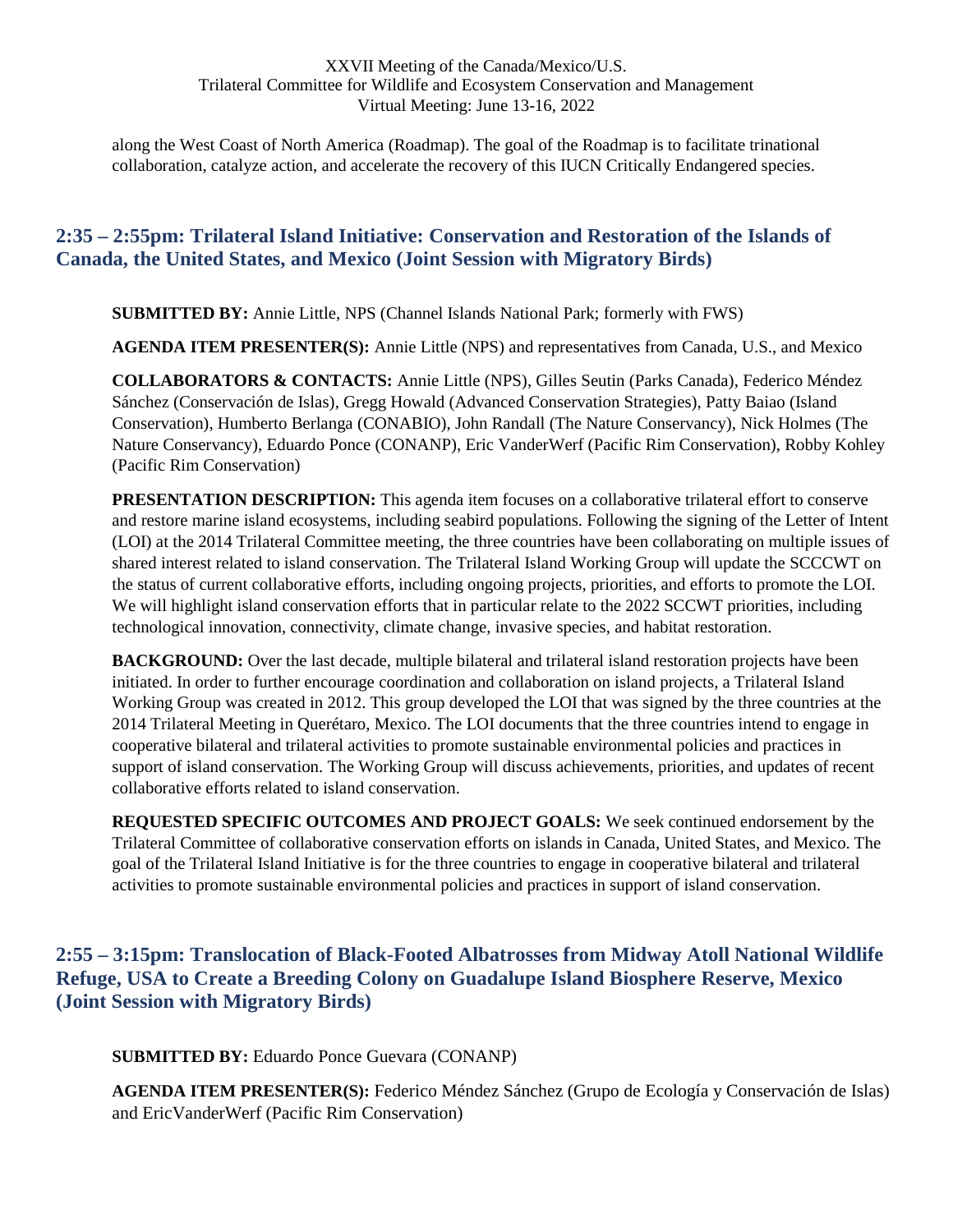along the West Coast of North America (Roadmap). The goal of the Roadmap is to facilitate trinational collaboration, catalyze action, and accelerate the recovery of this IUCN Critically Endangered species.

## <span id="page-27-0"></span>**2:35 – 2:55pm: Trilateral Island Initiative: Conservation and Restoration of the Islands of Canada, the United States, and Mexico (Joint Session with Migratory Birds)**

**SUBMITTED BY:** Annie Little, NPS (Channel Islands National Park; formerly with FWS)

**AGENDA ITEM PRESENTER(S):** Annie Little (NPS) and representatives from Canada, U.S., and Mexico

**COLLABORATORS & CONTACTS:** Annie Little (NPS), Gilles Seutin (Parks Canada), Federico Méndez Sánchez (Conservación de Islas), Gregg Howald (Advanced Conservation Strategies), Patty Baiao (Island Conservation), Humberto Berlanga (CONABIO), John Randall (The Nature Conservancy), Nick Holmes (The Nature Conservancy), Eduardo Ponce (CONANP), Eric VanderWerf (Pacific Rim Conservation), Robby Kohley (Pacific Rim Conservation)

**PRESENTATION DESCRIPTION:** This agenda item focuses on a collaborative trilateral effort to conserve and restore marine island ecosystems, including seabird populations. Following the signing of the Letter of Intent (LOI) at the 2014 Trilateral Committee meeting, the three countries have been collaborating on multiple issues of shared interest related to island conservation. The Trilateral Island Working Group will update the SCCCWT on the status of current collaborative efforts, including ongoing projects, priorities, and efforts to promote the LOI. We will highlight island conservation efforts that in particular relate to the 2022 SCCWT priorities, including technological innovation, connectivity, climate change, invasive species, and habitat restoration.

**BACKGROUND:** Over the last decade, multiple bilateral and trilateral island restoration projects have been initiated. In order to further encourage coordination and collaboration on island projects, a Trilateral Island Working Group was created in 2012. This group developed the LOI that was signed by the three countries at the 2014 Trilateral Meeting in Querétaro, Mexico. The LOI documents that the three countries intend to engage in cooperative bilateral and trilateral activities to promote sustainable environmental policies and practices in support of island conservation. The Working Group will discuss achievements, priorities, and updates of recent collaborative efforts related to island conservation.

**REQUESTED SPECIFIC OUTCOMES AND PROJECT GOALS:** We seek continued endorsement by the Trilateral Committee of collaborative conservation efforts on islands in Canada, United States, and Mexico. The goal of the Trilateral Island Initiative is for the three countries to engage in cooperative bilateral and trilateral activities to promote sustainable environmental policies and practices in support of island conservation.

## <span id="page-27-1"></span>**2:55 – 3:15pm: Translocation of Black-Footed Albatrosses from Midway Atoll National Wildlife Refuge, USA to Create a Breeding Colony on Guadalupe Island Biosphere Reserve, Mexico (Joint Session with Migratory Birds)**

**SUBMITTED BY:** Eduardo Ponce Guevara (CONANP)

**AGENDA ITEM PRESENTER(S):** Federico Méndez Sánchez (Grupo de Ecología y Conservación de Islas) and EricVanderWerf (Pacific Rim Conservation)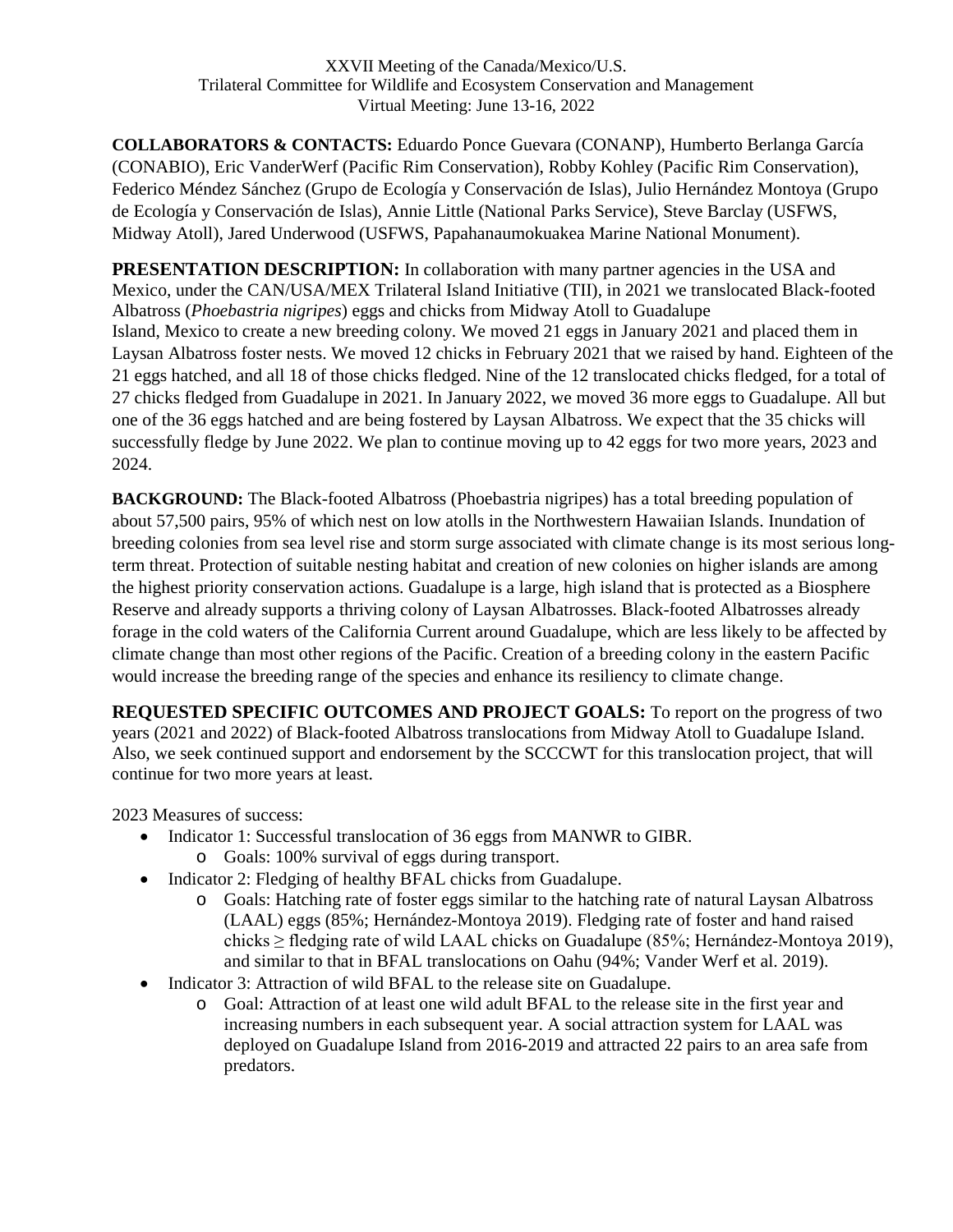**COLLABORATORS & CONTACTS:** Eduardo Ponce Guevara (CONANP), Humberto Berlanga García (CONABIO), Eric VanderWerf (Pacific Rim Conservation), Robby Kohley (Pacific Rim Conservation), Federico Méndez Sánchez (Grupo de Ecología y Conservación de Islas), Julio Hernández Montoya (Grupo de Ecología y Conservación de Islas), Annie Little (National Parks Service), Steve Barclay (USFWS, Midway Atoll), Jared Underwood (USFWS, Papahanaumokuakea Marine National Monument).

**PRESENTATION DESCRIPTION:** In collaboration with many partner agencies in the USA and Mexico, under the CAN/USA/MEX Trilateral Island Initiative (TII), in 2021 we translocated Black-footed Albatross (*Phoebastria nigripes*) eggs and chicks from Midway Atoll to Guadalupe Island, Mexico to create a new breeding colony. We moved 21 eggs in January 2021 and placed them in Laysan Albatross foster nests. We moved 12 chicks in February 2021 that we raised by hand. Eighteen of the 21 eggs hatched, and all 18 of those chicks fledged. Nine of the 12 translocated chicks fledged, for a total of 27 chicks fledged from Guadalupe in 2021. In January 2022, we moved 36 more eggs to Guadalupe. All but one of the 36 eggs hatched and are being fostered by Laysan Albatross. We expect that the 35 chicks will successfully fledge by June 2022. We plan to continue moving up to 42 eggs for two more years, 2023 and 2024.

**BACKGROUND:** The Black-footed Albatross (Phoebastria nigripes) has a total breeding population of about 57,500 pairs, 95% of which nest on low atolls in the Northwestern Hawaiian Islands. Inundation of breeding colonies from sea level rise and storm surge associated with climate change is its most serious longterm threat. Protection of suitable nesting habitat and creation of new colonies on higher islands are among the highest priority conservation actions. Guadalupe is a large, high island that is protected as a Biosphere Reserve and already supports a thriving colony of Laysan Albatrosses. Black-footed Albatrosses already forage in the cold waters of the California Current around Guadalupe, which are less likely to be affected by climate change than most other regions of the Pacific. Creation of a breeding colony in the eastern Pacific would increase the breeding range of the species and enhance its resiliency to climate change.

**REQUESTED SPECIFIC OUTCOMES AND PROJECT GOALS:** To report on the progress of two years (2021 and 2022) of Black-footed Albatross translocations from Midway Atoll to Guadalupe Island. Also, we seek continued support and endorsement by the SCCCWT for this translocation project, that will continue for two more years at least.

2023 Measures of success:

- Indicator 1: Successful translocation of 36 eggs from MANWR to GIBR.
	- o Goals: 100% survival of eggs during transport.
- Indicator 2: Fledging of healthy BFAL chicks from Guadalupe.
	- o Goals: Hatching rate of foster eggs similar to the hatching rate of natural Laysan Albatross (LAAL) eggs (85%; Hernández-Montoya 2019). Fledging rate of foster and hand raised chicks ≥ fledging rate of wild LAAL chicks on Guadalupe (85%; Hernández-Montoya 2019), and similar to that in BFAL translocations on Oahu (94%; Vander Werf et al. 2019).
- Indicator 3: Attraction of wild BFAL to the release site on Guadalupe.
	- o Goal: Attraction of at least one wild adult BFAL to the release site in the first year and increasing numbers in each subsequent year. A social attraction system for LAAL was deployed on Guadalupe Island from 2016-2019 and attracted 22 pairs to an area safe from predators.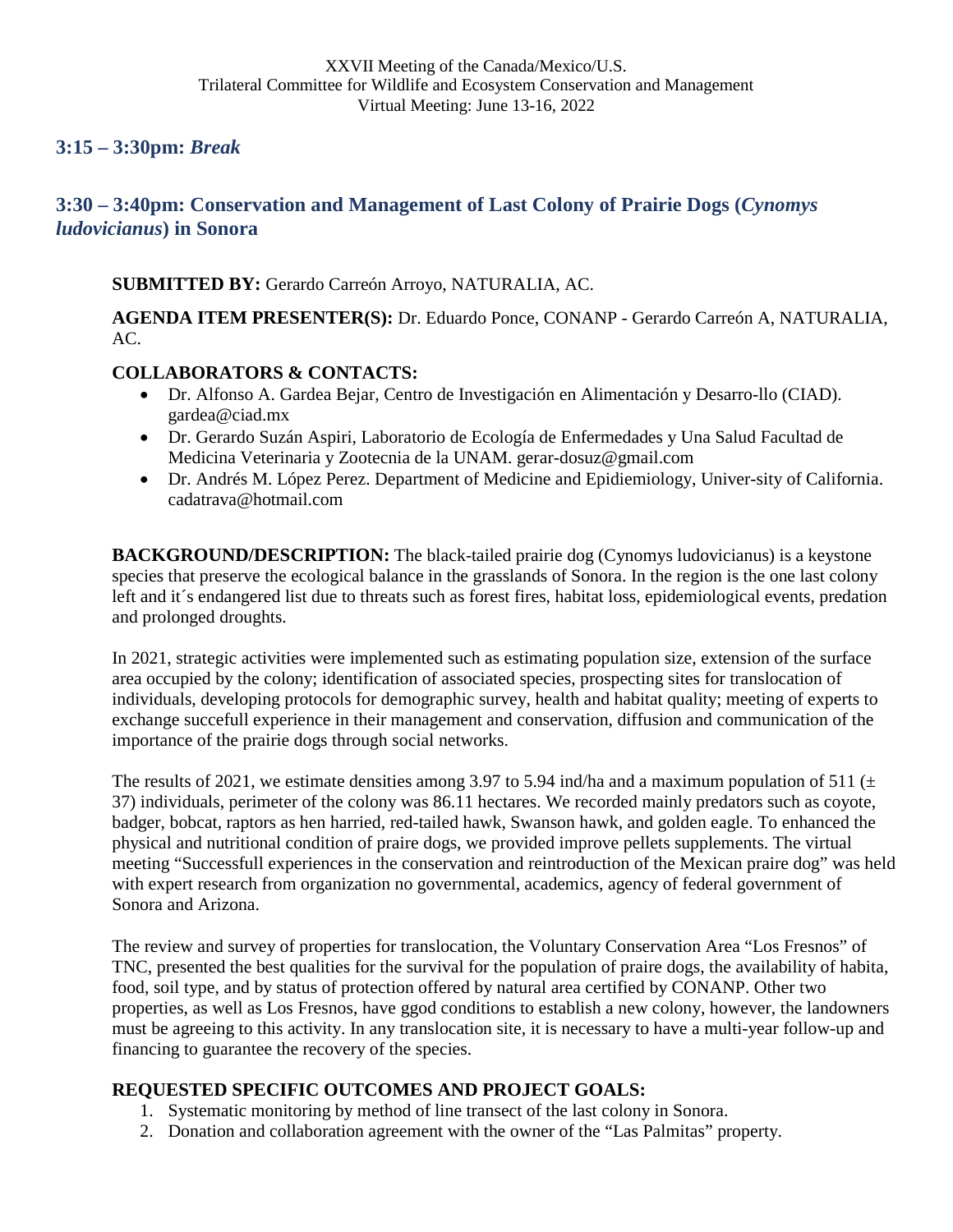<span id="page-29-0"></span>**3:15 – 3:30pm:** *Break* 

## <span id="page-29-1"></span>**3:30 – 3:40pm: Conservation and Management of Last Colony of Prairie Dogs (***Cynomys ludovicianus***) in Sonora**

### **SUBMITTED BY:** Gerardo Carreón Arroyo, NATURALIA, AC.

**AGENDA ITEM PRESENTER(S):** Dr. Eduardo Ponce, CONANP - Gerardo Carreón A, NATURALIA, AC.

### **COLLABORATORS & CONTACTS:**

- Dr. Alfonso A. Gardea Bejar, Centro de Investigación en Alimentación y Desarro-llo (CIAD). gardea@ciad.mx
- Dr. Gerardo Suzán Aspiri, Laboratorio de Ecología de Enfermedades y Una Salud Facultad de Medicina Veterinaria y Zootecnia de la UNAM. gerar-dosuz@gmail.com
- Dr. Andrés M. López Perez. Department of Medicine and Epidiemiology, Univer-sity of California. cadatrava@hotmail.com

**BACKGROUND/DESCRIPTION:** The black-tailed prairie dog (Cynomys ludovicianus) is a keystone species that preserve the ecological balance in the grasslands of Sonora. In the region is the one last colony left and it´s endangered list due to threats such as forest fires, habitat loss, epidemiological events, predation and prolonged droughts.

In 2021, strategic activities were implemented such as estimating population size, extension of the surface area occupied by the colony; identification of associated species, prospecting sites for translocation of individuals, developing protocols for demographic survey, health and habitat quality; meeting of experts to exchange succefull experience in their management and conservation, diffusion and communication of the importance of the prairie dogs through social networks.

The results of 2021, we estimate densities among 3.97 to 5.94 ind/ha and a maximum population of 511 ( $\pm$ ) 37) individuals, perimeter of the colony was 86.11 hectares. We recorded mainly predators such as coyote, badger, bobcat, raptors as hen harried, red-tailed hawk, Swanson hawk, and golden eagle. To enhanced the physical and nutritional condition of praire dogs, we provided improve pellets supplements. The virtual meeting "Successfull experiences in the conservation and reintroduction of the Mexican praire dog" was held with expert research from organization no governmental, academics, agency of federal government of Sonora and Arizona.

The review and survey of properties for translocation, the Voluntary Conservation Area "Los Fresnos" of TNC, presented the best qualities for the survival for the population of praire dogs, the availability of habita, food, soil type, and by status of protection offered by natural area certified by CONANP. Other two properties, as well as Los Fresnos, have ggod conditions to establish a new colony, however, the landowners must be agreeing to this activity. In any translocation site, it is necessary to have a multi-year follow-up and financing to guarantee the recovery of the species.

## **REQUESTED SPECIFIC OUTCOMES AND PROJECT GOALS:**

- 1. Systematic monitoring by method of line transect of the last colony in Sonora.
- 2. Donation and collaboration agreement with the owner of the "Las Palmitas" property.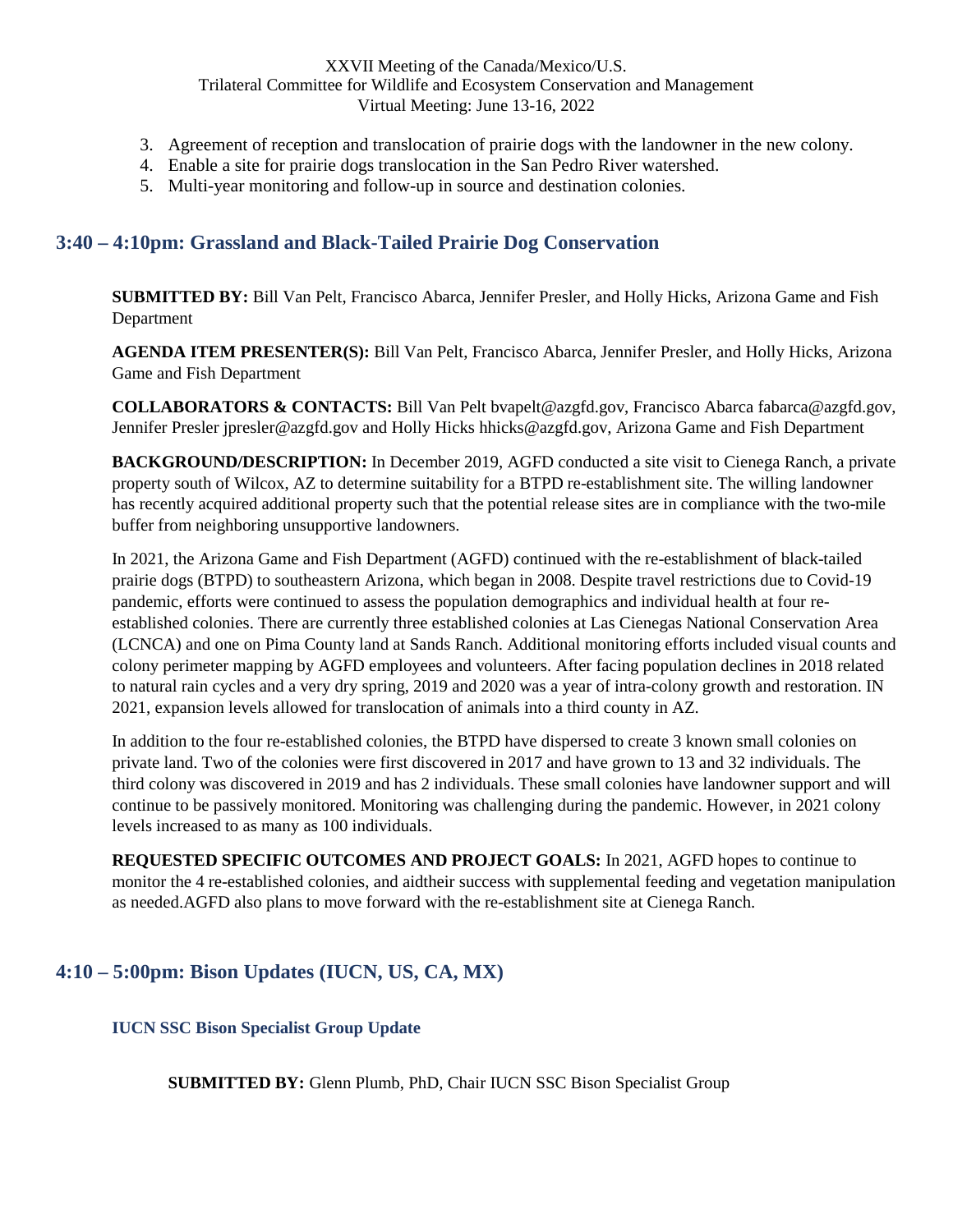- 3. Agreement of reception and translocation of prairie dogs with the landowner in the new colony.
- 4. Enable a site for prairie dogs translocation in the San Pedro River watershed.
- 5. Multi-year monitoring and follow-up in source and destination colonies.

### <span id="page-30-0"></span>**3:40 – 4:10pm: Grassland and Black-Tailed Prairie Dog Conservation**

**SUBMITTED BY:** Bill Van Pelt, Francisco Abarca, Jennifer Presler, and Holly Hicks, Arizona Game and Fish Department

**AGENDA ITEM PRESENTER(S):** Bill Van Pelt, Francisco Abarca, Jennifer Presler, and Holly Hicks, Arizona Game and Fish Department

**COLLABORATORS & CONTACTS:** Bill Van Pelt bvapelt@azgfd.gov, Francisco Abarca fabarca@azgfd.gov, Jennifer Presler jpresler@azgfd.gov and Holly Hicks hhicks@azgfd.gov, Arizona Game and Fish Department

**BACKGROUND/DESCRIPTION:** In December 2019, AGFD conducted a site visit to Cienega Ranch, a private property south of Wilcox, AZ to determine suitability for a BTPD re-establishment site. The willing landowner has recently acquired additional property such that the potential release sites are in compliance with the two-mile buffer from neighboring unsupportive landowners.

In 2021, the Arizona Game and Fish Department (AGFD) continued with the re-establishment of black-tailed prairie dogs (BTPD) to southeastern Arizona, which began in 2008. Despite travel restrictions due to Covid-19 pandemic, efforts were continued to assess the population demographics and individual health at four reestablished colonies. There are currently three established colonies at Las Cienegas National Conservation Area (LCNCA) and one on Pima County land at Sands Ranch. Additional monitoring efforts included visual counts and colony perimeter mapping by AGFD employees and volunteers. After facing population declines in 2018 related to natural rain cycles and a very dry spring, 2019 and 2020 was a year of intra-colony growth and restoration. IN 2021, expansion levels allowed for translocation of animals into a third county in AZ.

In addition to the four re-established colonies, the BTPD have dispersed to create 3 known small colonies on private land. Two of the colonies were first discovered in 2017 and have grown to 13 and 32 individuals. The third colony was discovered in 2019 and has 2 individuals. These small colonies have landowner support and will continue to be passively monitored. Monitoring was challenging during the pandemic. However, in 2021 colony levels increased to as many as 100 individuals.

**REQUESTED SPECIFIC OUTCOMES AND PROJECT GOALS:** In 2021, AGFD hopes to continue to monitor the 4 re-established colonies, and aidtheir success with supplemental feeding and vegetation manipulation as needed.AGFD also plans to move forward with the re-establishment site at Cienega Ranch.

## <span id="page-30-2"></span><span id="page-30-1"></span>**4:10 – 5:00pm: Bison Updates (IUCN, US, CA, MX)**

**IUCN SSC Bison Specialist Group Update** 

**SUBMITTED BY:** Glenn Plumb, PhD, Chair IUCN SSC Bison Specialist Group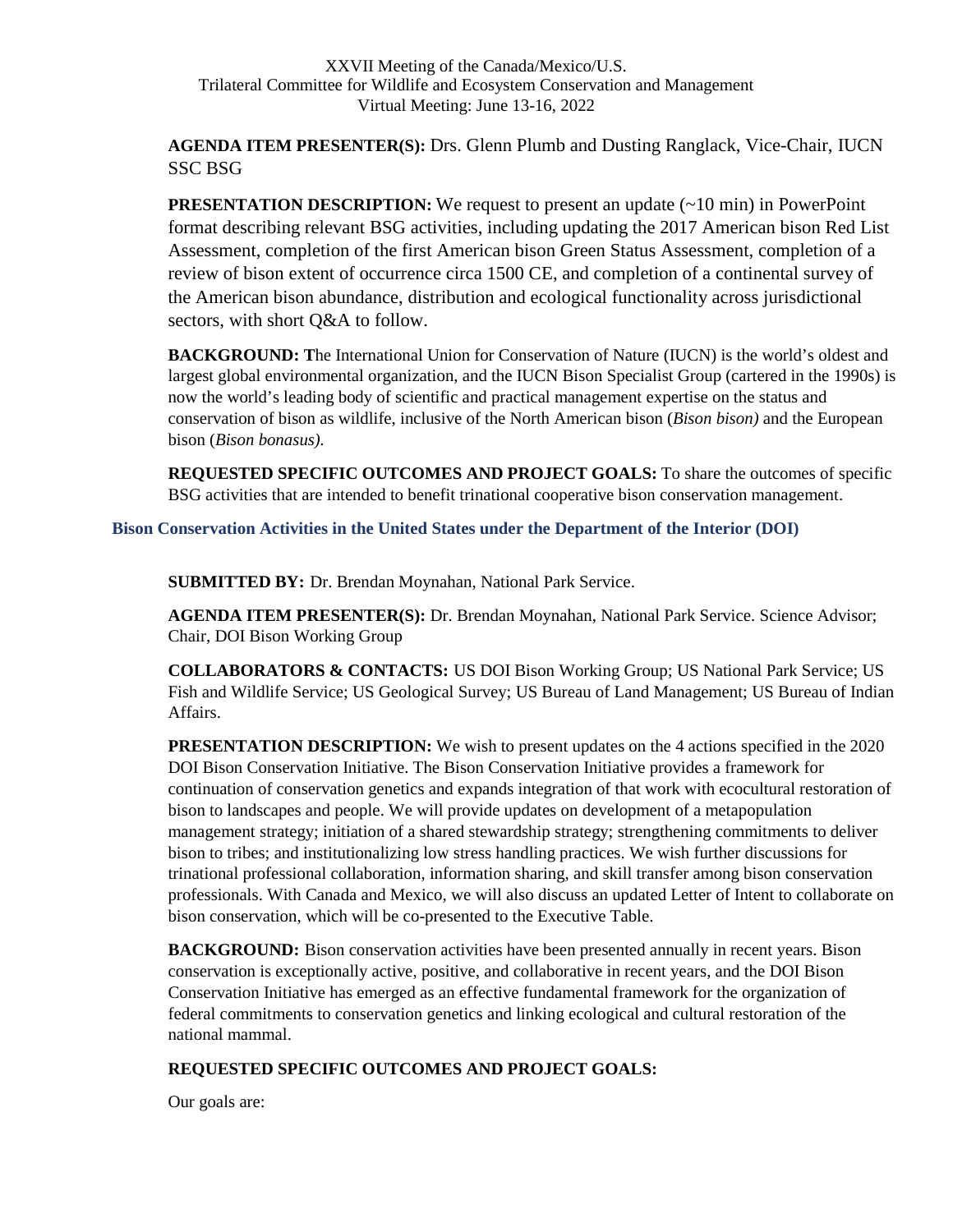**AGENDA ITEM PRESENTER(S):** Drs. Glenn Plumb and Dusting Ranglack, Vice-Chair, IUCN SSC BSG

**PRESENTATION DESCRIPTION:** We request to present an update (~10 min) in PowerPoint format describing relevant BSG activities, including updating the 2017 American bison Red List Assessment, completion of the first American bison Green Status Assessment, completion of a review of bison extent of occurrence circa 1500 CE, and completion of a continental survey of the American bison abundance, distribution and ecological functionality across jurisdictional sectors, with short Q&A to follow.

**BACKGROUND: T**he International Union for Conservation of Nature (IUCN) is the world's oldest and largest global environmental organization, and the IUCN Bison Specialist Group (cartered in the 1990s) is now the world's leading body of scientific and practical management expertise on the status and conservation of bison as wildlife, inclusive of the North American bison (*Bison bison)* and the European bison (*Bison bonasus).*

**REQUESTED SPECIFIC OUTCOMES AND PROJECT GOALS:** To share the outcomes of specific BSG activities that are intended to benefit trinational cooperative bison conservation management.

<span id="page-31-0"></span>**Bison Conservation Activities in the United States under the Department of the Interior (DOI)** 

**SUBMITTED BY:** Dr. Brendan Moynahan, National Park Service.

**AGENDA ITEM PRESENTER(S):** Dr. Brendan Moynahan, National Park Service. Science Advisor; Chair, DOI Bison Working Group

**COLLABORATORS & CONTACTS:** US DOI Bison Working Group; US National Park Service; US Fish and Wildlife Service; US Geological Survey; US Bureau of Land Management; US Bureau of Indian Affairs.

**PRESENTATION DESCRIPTION:** We wish to present updates on the 4 actions specified in the 2020 DOI Bison Conservation Initiative. The Bison Conservation Initiative provides a framework for continuation of conservation genetics and expands integration of that work with ecocultural restoration of bison to landscapes and people. We will provide updates on development of a metapopulation management strategy; initiation of a shared stewardship strategy; strengthening commitments to deliver bison to tribes; and institutionalizing low stress handling practices. We wish further discussions for trinational professional collaboration, information sharing, and skill transfer among bison conservation professionals. With Canada and Mexico, we will also discuss an updated Letter of Intent to collaborate on bison conservation, which will be co-presented to the Executive Table.

**BACKGROUND:** Bison conservation activities have been presented annually in recent years. Bison conservation is exceptionally active, positive, and collaborative in recent years, and the DOI Bison Conservation Initiative has emerged as an effective fundamental framework for the organization of federal commitments to conservation genetics and linking ecological and cultural restoration of the national mammal.

### **REQUESTED SPECIFIC OUTCOMES AND PROJECT GOALS:**

Our goals are: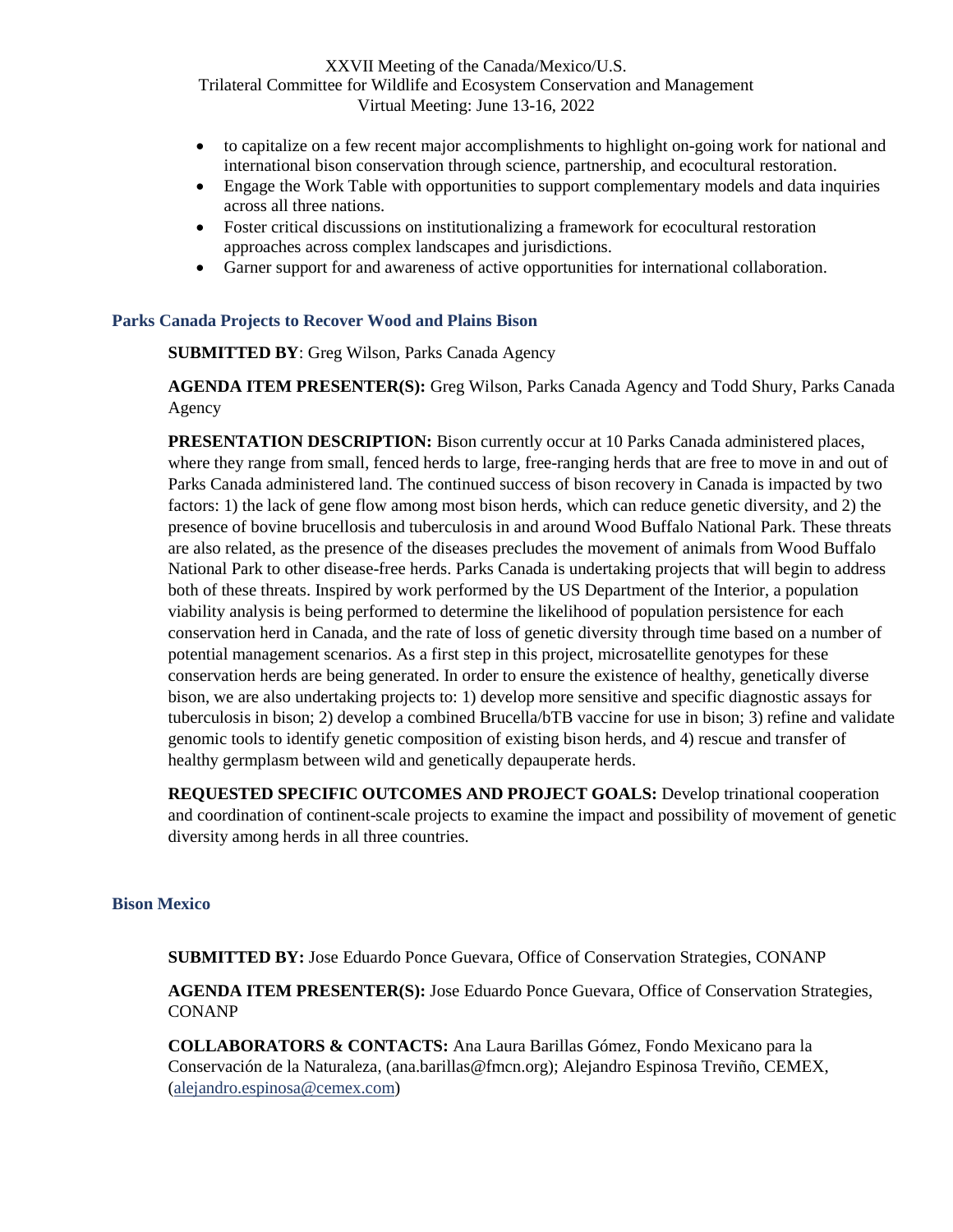- to capitalize on a few recent major accomplishments to highlight on-going work for national and international bison conservation through science, partnership, and ecocultural restoration.
- Engage the Work Table with opportunities to support complementary models and data inquiries across all three nations.
- Foster critical discussions on institutionalizing a framework for ecocultural restoration approaches across complex landscapes and jurisdictions.
- Garner support for and awareness of active opportunities for international collaboration.

#### <span id="page-32-0"></span>**Parks Canada Projects to Recover Wood and Plains Bison**

**SUBMITTED BY**: Greg Wilson, Parks Canada Agency

**AGENDA ITEM PRESENTER(S):** Greg Wilson, Parks Canada Agency and Todd Shury, Parks Canada Agency

**PRESENTATION DESCRIPTION:** Bison currently occur at 10 Parks Canada administered places, where they range from small, fenced herds to large, free-ranging herds that are free to move in and out of Parks Canada administered land. The continued success of bison recovery in Canada is impacted by two factors: 1) the lack of gene flow among most bison herds, which can reduce genetic diversity, and 2) the presence of bovine brucellosis and tuberculosis in and around Wood Buffalo National Park. These threats are also related, as the presence of the diseases precludes the movement of animals from Wood Buffalo National Park to other disease-free herds. Parks Canada is undertaking projects that will begin to address both of these threats. Inspired by work performed by the US Department of the Interior, a population viability analysis is being performed to determine the likelihood of population persistence for each conservation herd in Canada, and the rate of loss of genetic diversity through time based on a number of potential management scenarios. As a first step in this project, microsatellite genotypes for these conservation herds are being generated. In order to ensure the existence of healthy, genetically diverse bison, we are also undertaking projects to: 1) develop more sensitive and specific diagnostic assays for tuberculosis in bison; 2) develop a combined Brucella/bTB vaccine for use in bison; 3) refine and validate genomic tools to identify genetic composition of existing bison herds, and 4) rescue and transfer of healthy germplasm between wild and genetically depauperate herds.

**REQUESTED SPECIFIC OUTCOMES AND PROJECT GOALS:** Develop trinational cooperation and coordination of continent-scale projects to examine the impact and possibility of movement of genetic diversity among herds in all three countries.

#### <span id="page-32-1"></span>**Bison Mexico**

**SUBMITTED BY:** Jose Eduardo Ponce Guevara, Office of Conservation Strategies, CONANP

**AGENDA ITEM PRESENTER(S):** Jose Eduardo Ponce Guevara, Office of Conservation Strategies, **CONANP** 

**COLLABORATORS & CONTACTS:** Ana Laura Barillas Gómez, Fondo Mexicano para la Conservación de la Naturaleza, ([ana.barillas@fmcn.org](mailto:ana.barillas@fmcn.org)); Alejandro Espinosa Treviño, CEMEX, ([alejandro.espinosa@cemex.com\)](mailto:alejandro.espinosa@cemex.com)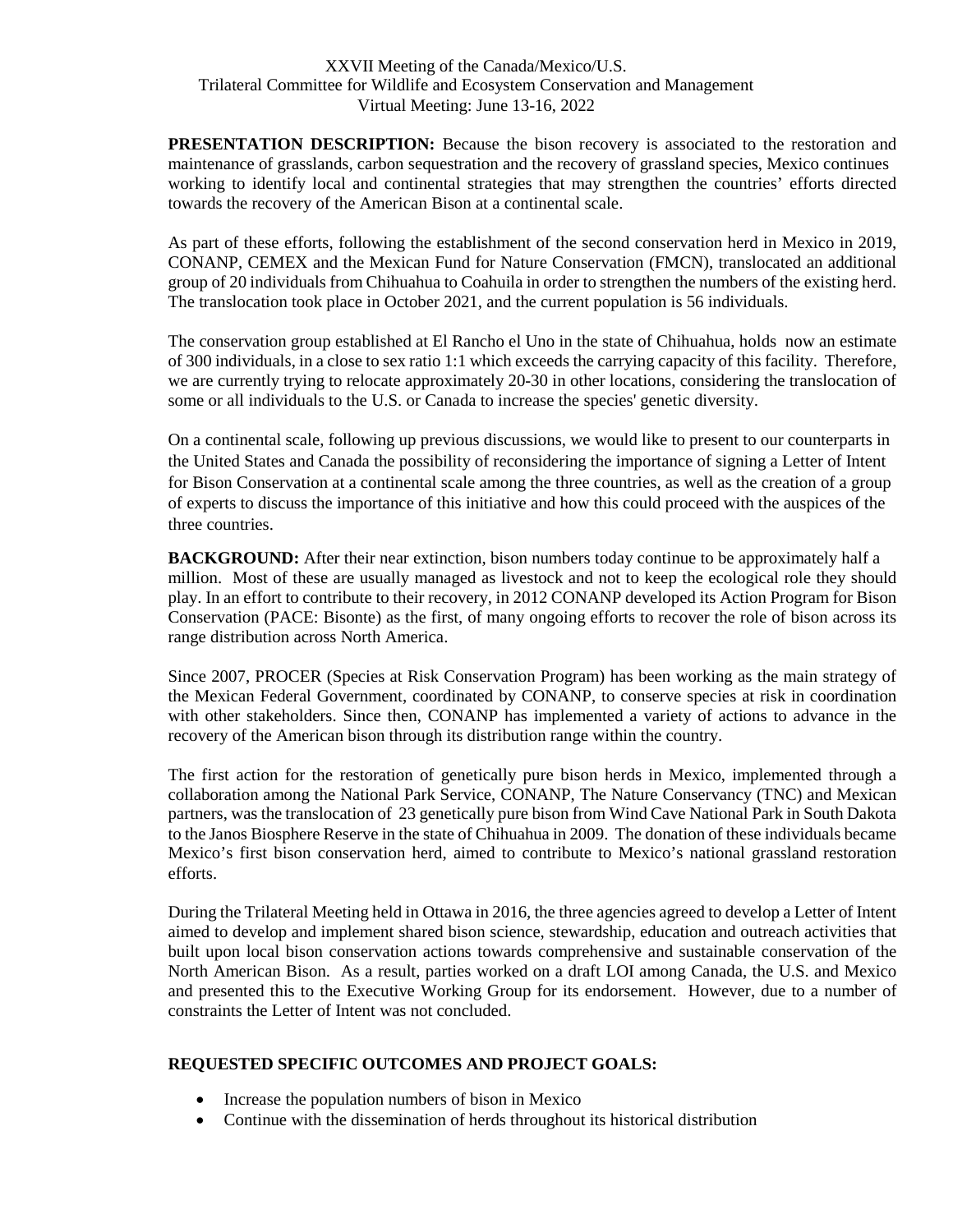**PRESENTATION DESCRIPTION:** Because the bison recovery is associated to the restoration and maintenance of grasslands, carbon sequestration and the recovery of grassland species, Mexico continues working to identify local and continental strategies that may strengthen the countries' efforts directed towards the recovery of the American Bison at a continental scale.

As part of these efforts, following the establishment of the second conservation herd in Mexico in 2019, CONANP, CEMEX and the Mexican Fund for Nature Conservation (FMCN), translocated an additional group of 20 individuals from Chihuahua to Coahuila in order to strengthen the numbers of the existing herd. The translocation took place in October 2021, and the current population is 56 individuals.

The conservation group established at El Rancho el Uno in the state of Chihuahua, holds now an estimate of 300 individuals, in a close to sex ratio 1:1 which exceeds the carrying capacity of this facility. Therefore, we are currently trying to relocate approximately 20-30 in other locations, considering the translocation of some or all individuals to the U.S. or Canada to increase the species' genetic diversity.

On a continental scale, following up previous discussions, we would like to present to our counterparts in the United States and Canada the possibility of reconsidering the importance of signing a Letter of Intent for Bison Conservation at a continental scale among the three countries, as well as the creation of a group of experts to discuss the importance of this initiative and how this could proceed with the auspices of the three countries.

**BACKGROUND:** After their near extinction, bison numbers today continue to be approximately half a million. Most of these are usually managed as livestock and not to keep the ecological role they should play. In an effort to contribute to their recovery, in 2012 CONANP developed its Action Program for Bison Conservation (PACE: Bisonte) as the first, of many ongoing efforts to recover the role of bison across its range distribution across North America.

Since 2007, PROCER (Species at Risk Conservation Program) has been working as the main strategy of the Mexican Federal Government, coordinated by CONANP, to conserve species at risk in coordination with other stakeholders. Since then, CONANP has implemented a variety of actions to advance in the recovery of the American bison through its distribution range within the country.

The first action for the restoration of genetically pure bison herds in Mexico, implemented through a collaboration among the National Park Service, CONANP, The Nature Conservancy (TNC) and Mexican partners, was the translocation of 23 genetically pure bison from Wind Cave National Park in South Dakota to the Janos Biosphere Reserve in the state of Chihuahua in 2009. The donation of these individuals became Mexico's first bison conservation herd, aimed to contribute to Mexico's national grassland restoration efforts.

During the Trilateral Meeting held in Ottawa in 2016, the three agencies agreed to develop a Letter of Intent aimed to develop and implement shared bison science, stewardship, education and outreach activities that built upon local bison conservation actions towards comprehensive and sustainable conservation of the North American Bison. As a result, parties worked on a draft LOI among Canada, the U.S. and Mexico and presented this to the Executive Working Group for its endorsement. However, due to a number of constraints the Letter of Intent was not concluded.

### **REQUESTED SPECIFIC OUTCOMES AND PROJECT GOALS:**

- Increase the population numbers of bison in Mexico
- Continue with the dissemination of herds throughout its historical distribution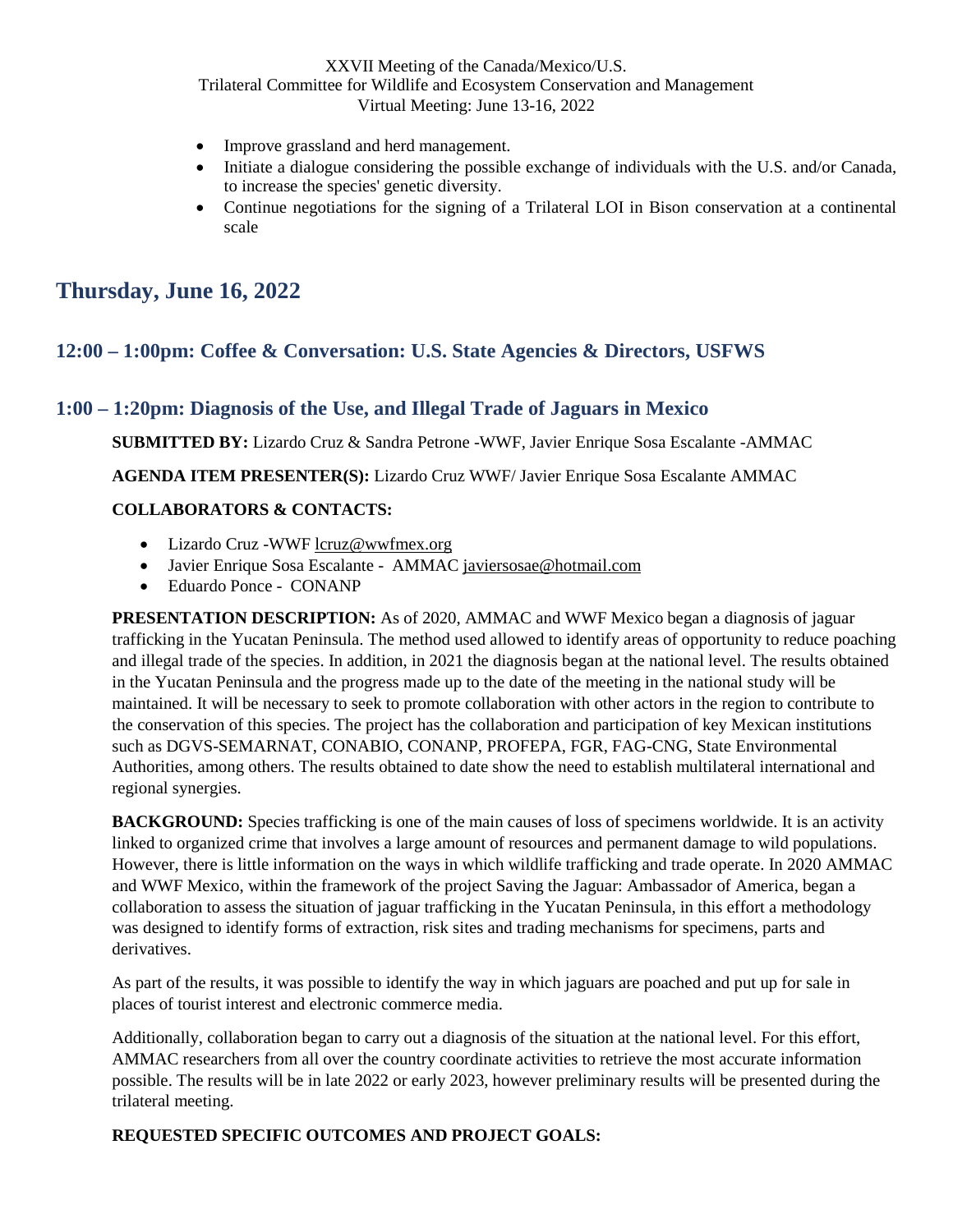- Improve grassland and herd management.
- Initiate a dialogue considering the possible exchange of individuals with the U.S. and/or Canada, to increase the species' genetic diversity.
- Continue negotiations for the signing of a Trilateral LOI in Bison conservation at a continental scale

# <span id="page-34-0"></span>**Thursday, June 16, 2022**

### <span id="page-34-1"></span>**12:00 – 1:00pm: Coffee & Conversation: U.S. State Agencies & Directors, USFWS**

### <span id="page-34-2"></span>**1:00 – 1:20pm: Diagnosis of the Use, and Illegal Trade of Jaguars in Mexico**

**SUBMITTED BY:** Lizardo Cruz & Sandra Petrone -WWF, Javier Enrique Sosa Escalante -AMMAC

**AGENDA ITEM PRESENTER(S):** Lizardo Cruz WWF/ Javier Enrique Sosa Escalante AMMAC

### **COLLABORATORS & CONTACTS:**

- Lizardo Cruz -WWF [lcruz@wwfmex.org](mailto:lcruz@wwfmex.org)
- Javier Enrique Sosa Escalante AMMAC [javiersosae@hotmail.com](mailto:javiersosae@hotmail.com)
- Eduardo Ponce CONANP

**PRESENTATION DESCRIPTION:** As of 2020, AMMAC and WWF Mexico began a diagnosis of jaguar trafficking in the Yucatan Peninsula. The method used allowed to identify areas of opportunity to reduce poaching and illegal trade of the species. In addition, in 2021 the diagnosis began at the national level. The results obtained in the Yucatan Peninsula and the progress made up to the date of the meeting in the national study will be maintained. It will be necessary to seek to promote collaboration with other actors in the region to contribute to the conservation of this species. The project has the collaboration and participation of key Mexican institutions such as DGVS-SEMARNAT, CONABIO, CONANP, PROFEPA, FGR, FAG-CNG, State Environmental Authorities, among others. The results obtained to date show the need to establish multilateral international and regional synergies.

**BACKGROUND:** Species trafficking is one of the main causes of loss of specimens worldwide. It is an activity linked to organized crime that involves a large amount of resources and permanent damage to wild populations. However, there is little information on the ways in which wildlife trafficking and trade operate. In 2020 AMMAC and WWF Mexico, within the framework of the project Saving the Jaguar: Ambassador of America, began a collaboration to assess the situation of jaguar trafficking in the Yucatan Peninsula, in this effort a methodology was designed to identify forms of extraction, risk sites and trading mechanisms for specimens, parts and derivatives.

As part of the results, it was possible to identify the way in which jaguars are poached and put up for sale in places of tourist interest and electronic commerce media.

Additionally, collaboration began to carry out a diagnosis of the situation at the national level. For this effort, AMMAC researchers from all over the country coordinate activities to retrieve the most accurate information possible. The results will be in late 2022 or early 2023, however preliminary results will be presented during the trilateral meeting.

#### **REQUESTED SPECIFIC OUTCOMES AND PROJECT GOALS:**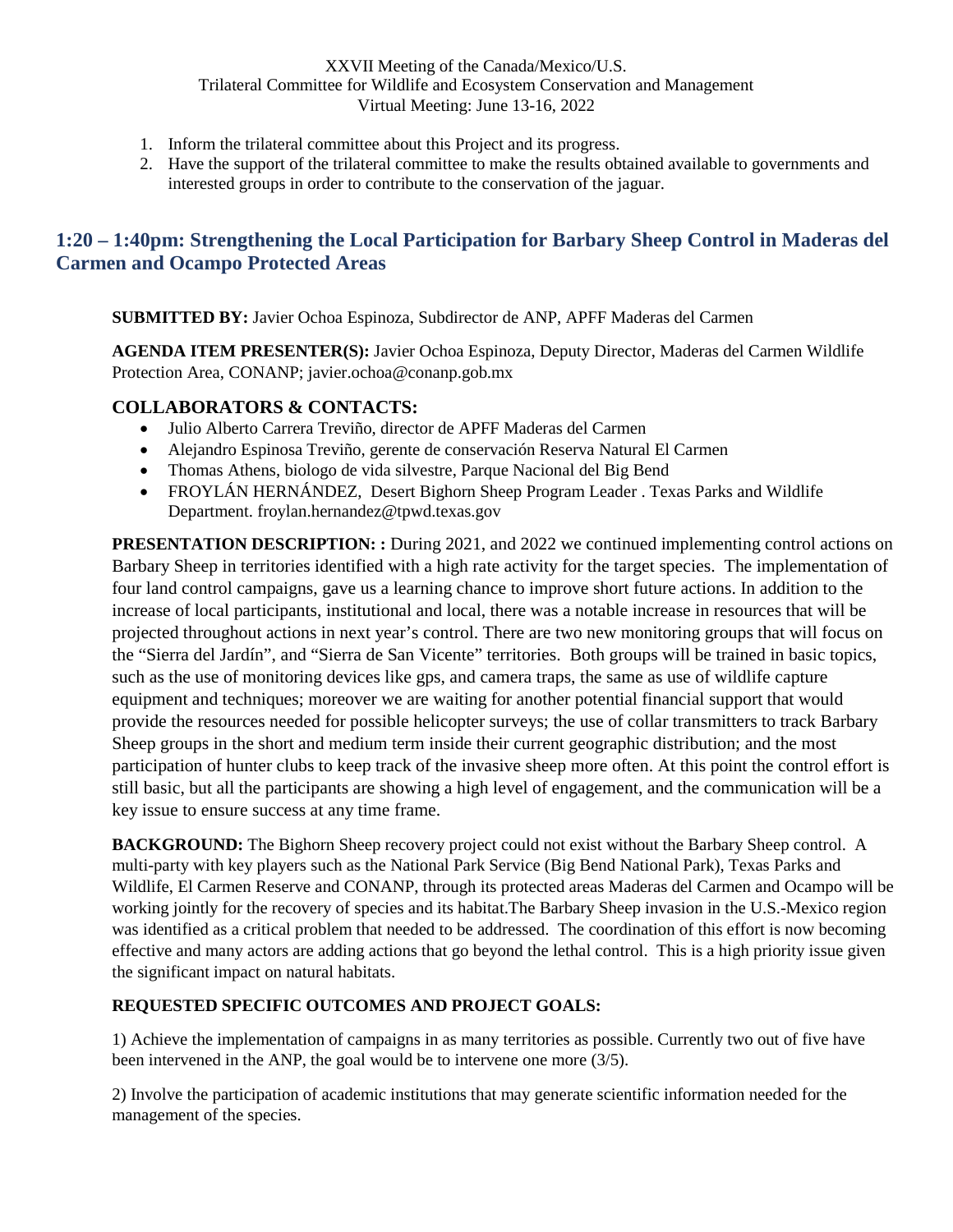- 1. Inform the trilateral committee about this Project and its progress.
- 2. Have the support of the trilateral committee to make the results obtained available to governments and interested groups in order to contribute to the conservation of the jaguar.

### <span id="page-35-0"></span>**1:20 – 1:40pm: Strengthening the Local Participation for Barbary Sheep Control in Maderas del Carmen and Ocampo Protected Areas**

**SUBMITTED BY:** Javier Ochoa Espinoza, Subdirector de ANP, APFF Maderas del Carmen

**AGENDA ITEM PRESENTER(S):** Javier Ochoa Espinoza, Deputy Director, Maderas del Carmen Wildlife Protection Area, CONANP; [javier.ochoa@conanp.gob.mx](mailto:javier.ochoa@conanp.gob.mx)

### **COLLABORATORS & CONTACTS:**

- Julio Alberto Carrera Treviño, director de APFF Maderas del Carmen
- Alejandro Espinosa Treviño, gerente de conservación Reserva Natural El Carmen
- Thomas Athens, biologo de vida silvestre, Parque Nacional del Big Bend
- FROYLÁN HERNÁNDEZ, Desert Bighorn Sheep Program Leader . Texas Parks and Wildlife Department. froylan.hernandez@tpwd.texas.gov

**PRESENTATION DESCRIPTION:** : During 2021, and 2022 we continued implementing control actions on Barbary Sheep in territories identified with a high rate activity for the target species. The implementation of four land control campaigns, gave us a learning chance to improve short future actions. In addition to the increase of local participants, institutional and local, there was a notable increase in resources that will be projected throughout actions in next year's control. There are two new monitoring groups that will focus on the "Sierra del Jardín", and "Sierra de San Vicente" territories. Both groups will be trained in basic topics, such as the use of monitoring devices like gps, and camera traps, the same as use of wildlife capture equipment and techniques; moreover we are waiting for another potential financial support that would provide the resources needed for possible helicopter surveys; the use of collar transmitters to track Barbary Sheep groups in the short and medium term inside their current geographic distribution; and the most participation of hunter clubs to keep track of the invasive sheep more often. At this point the control effort is still basic, but all the participants are showing a high level of engagement, and the communication will be a key issue to ensure success at any time frame.

**BACKGROUND:** The Bighorn Sheep recovery project could not exist without the Barbary Sheep control. A multi-party with key players such as the National Park Service (Big Bend National Park), Texas Parks and Wildlife, El Carmen Reserve and CONANP, through its protected areas Maderas del Carmen and Ocampo will be working jointly for the recovery of species and its habitat.The Barbary Sheep invasion in the U.S.-Mexico region was identified as a critical problem that needed to be addressed. The coordination of this effort is now becoming effective and many actors are adding actions that go beyond the lethal control. This is a high priority issue given the significant impact on natural habitats.

### **REQUESTED SPECIFIC OUTCOMES AND PROJECT GOALS:**

1) Achieve the implementation of campaigns in as many territories as possible. Currently two out of five have been intervened in the ANP, the goal would be to intervene one more (3/5).

2) Involve the participation of academic institutions that may generate scientific information needed for the management of the species.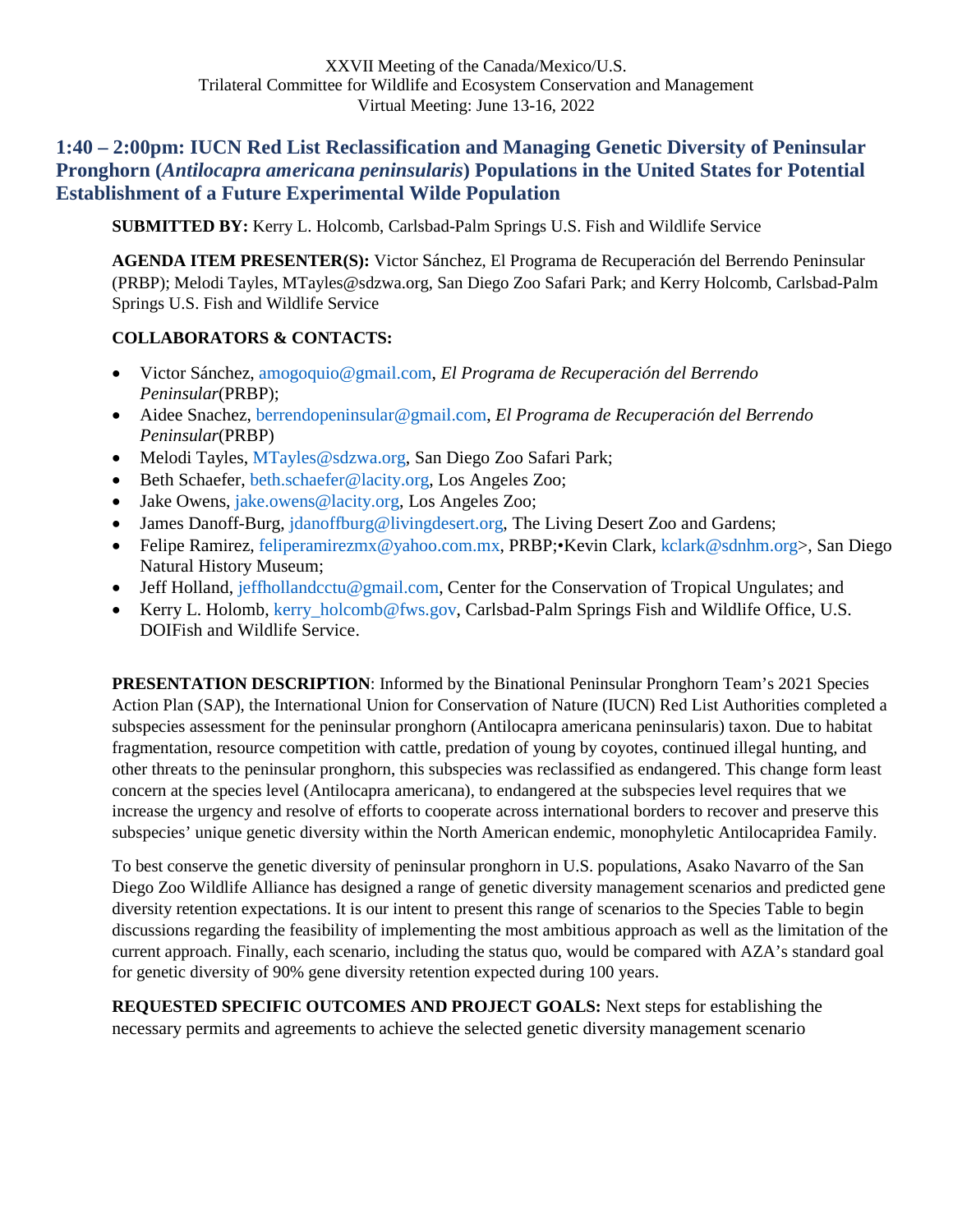## <span id="page-36-0"></span>**1:40 – 2:00pm: IUCN Red List Reclassification and Managing Genetic Diversity of Peninsular Pronghorn (***Antilocapra americana peninsularis***) Populations in the United States for Potential Establishment of a Future Experimental Wilde Population**

**SUBMITTED BY:** Kerry L. Holcomb, Carlsbad-Palm Springs U.S. Fish and Wildlife Service

**AGENDA ITEM PRESENTER(S):** Victor Sánchez, El Programa de Recuperación del Berrendo Peninsular (PRBP); Melodi Tayles, MTayles@sdzwa.org, San Diego Zoo Safari Park; and Kerry Holcomb, Carlsbad-Palm Springs U.S. Fish and Wildlife Service

### **COLLABORATORS & CONTACTS:**

- Victor Sánchez, amogoquio@gmail.com, *El Programa de Recuperación del Berrendo Peninsular*(PRBP);
- Aidee Snachez, berrendopeninsular@gmail.com, *El Programa de Recuperación del Berrendo Peninsular*(PRBP)
- Melodi Tayles, MTayles@sdzwa.org, San Diego Zoo Safari Park;
- Beth Schaefer, beth.schaefer@lacity.org, Los Angeles Zoo;
- Jake Owens, jake.owens@lacity.org, Los Angeles Zoo;
- James Danoff-Burg, jdanoffburg@livingdesert.org, The Living Desert Zoo and Gardens;
- Felipe Ramirez, feliperamirezmx@yahoo.com.mx, PRBP;•Kevin Clark, kclark@sdnhm.org>, San Diego Natural History Museum;
- Jeff Holland, jeffhollandcctu@gmail.com, Center for the Conservation of Tropical Ungulates; and
- Kerry L. Holomb, kerry\_holcomb@fws.gov, Carlsbad-Palm Springs Fish and Wildlife Office, U.S. DOIFish and Wildlife Service.

**PRESENTATION DESCRIPTION**: Informed by the Binational Peninsular Pronghorn Team's 2021 Species Action Plan (SAP), the International Union for Conservation of Nature (IUCN) Red List Authorities completed a subspecies assessment for the peninsular pronghorn (Antilocapra americana peninsularis) taxon. Due to habitat fragmentation, resource competition with cattle, predation of young by coyotes, continued illegal hunting, and other threats to the peninsular pronghorn, this subspecies was reclassified as endangered. This change form least concern at the species level (Antilocapra americana), to endangered at the subspecies level requires that we increase the urgency and resolve of efforts to cooperate across international borders to recover and preserve this subspecies' unique genetic diversity within the North American endemic, monophyletic Antilocapridea Family.

To best conserve the genetic diversity of peninsular pronghorn in U.S. populations, Asako Navarro of the San Diego Zoo Wildlife Alliance has designed a range of genetic diversity management scenarios and predicted gene diversity retention expectations. It is our intent to present this range of scenarios to the Species Table to begin discussions regarding the feasibility of implementing the most ambitious approach as well as the limitation of the current approach. Finally, each scenario, including the status quo, would be compared with AZA's standard goal for genetic diversity of 90% gene diversity retention expected during 100 years.

**REQUESTED SPECIFIC OUTCOMES AND PROJECT GOALS:** Next steps for establishing the necessary permits and agreements to achieve the selected genetic diversity management scenario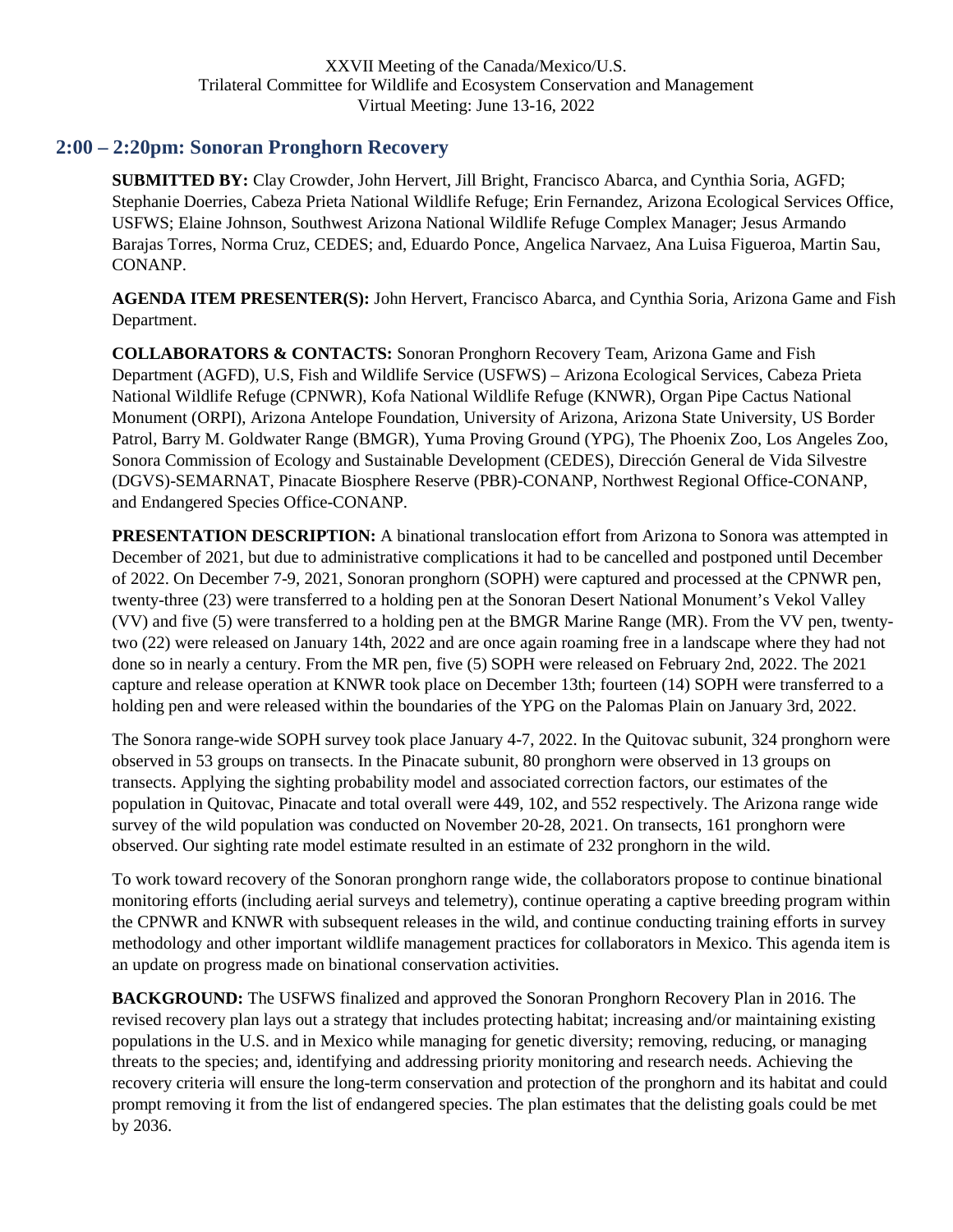## <span id="page-37-0"></span>**2:00 – 2:20pm: Sonoran Pronghorn Recovery**

**SUBMITTED BY:** Clay Crowder, John Hervert, Jill Bright, Francisco Abarca, and Cynthia Soria, AGFD; Stephanie Doerries, Cabeza Prieta National Wildlife Refuge; Erin Fernandez, Arizona Ecological Services Office, USFWS; Elaine Johnson, Southwest Arizona National Wildlife Refuge Complex Manager; Jesus Armando Barajas Torres, Norma Cruz, CEDES; and, Eduardo Ponce, Angelica Narvaez, Ana Luisa Figueroa, Martin Sau, CONANP.

**AGENDA ITEM PRESENTER(S):** John Hervert, Francisco Abarca, and Cynthia Soria, Arizona Game and Fish Department.

**COLLABORATORS & CONTACTS:** Sonoran Pronghorn Recovery Team, Arizona Game and Fish Department (AGFD), U.S, Fish and Wildlife Service (USFWS) – Arizona Ecological Services, Cabeza Prieta National Wildlife Refuge (CPNWR), Kofa National Wildlife Refuge (KNWR), Organ Pipe Cactus National Monument (ORPI), Arizona Antelope Foundation, University of Arizona, Arizona State University, US Border Patrol, Barry M. Goldwater Range (BMGR), Yuma Proving Ground (YPG), The Phoenix Zoo, Los Angeles Zoo, Sonora Commission of Ecology and Sustainable Development (CEDES), Dirección General de Vida Silvestre (DGVS)-SEMARNAT, Pinacate Biosphere Reserve (PBR)-CONANP, Northwest Regional Office-CONANP, and Endangered Species Office-CONANP.

**PRESENTATION DESCRIPTION:** A binational translocation effort from Arizona to Sonora was attempted in December of 2021, but due to administrative complications it had to be cancelled and postponed until December of 2022. On December 7-9, 2021, Sonoran pronghorn (SOPH) were captured and processed at the CPNWR pen, twenty-three (23) were transferred to a holding pen at the Sonoran Desert National Monument's Vekol Valley (VV) and five (5) were transferred to a holding pen at the BMGR Marine Range (MR). From the VV pen, twentytwo (22) were released on January 14th, 2022 and are once again roaming free in a landscape where they had not done so in nearly a century. From the MR pen, five (5) SOPH were released on February 2nd, 2022. The 2021 capture and release operation at KNWR took place on December 13th; fourteen (14) SOPH were transferred to a holding pen and were released within the boundaries of the YPG on the Palomas Plain on January 3rd, 2022.

The Sonora range-wide SOPH survey took place January 4-7, 2022. In the Quitovac subunit, 324 pronghorn were observed in 53 groups on transects. In the Pinacate subunit, 80 pronghorn were observed in 13 groups on transects. Applying the sighting probability model and associated correction factors, our estimates of the population in Quitovac, Pinacate and total overall were 449, 102, and 552 respectively. The Arizona range wide survey of the wild population was conducted on November 20-28, 2021. On transects, 161 pronghorn were observed. Our sighting rate model estimate resulted in an estimate of 232 pronghorn in the wild.

To work toward recovery of the Sonoran pronghorn range wide, the collaborators propose to continue binational monitoring efforts (including aerial surveys and telemetry), continue operating a captive breeding program within the CPNWR and KNWR with subsequent releases in the wild, and continue conducting training efforts in survey methodology and other important wildlife management practices for collaborators in Mexico. This agenda item is an update on progress made on binational conservation activities.

**BACKGROUND:** The USFWS finalized and approved the Sonoran Pronghorn Recovery Plan in 2016. The revised recovery plan lays out a strategy that includes protecting habitat; increasing and/or maintaining existing populations in the U.S. and in Mexico while managing for genetic diversity; removing, reducing, or managing threats to the species; and, identifying and addressing priority monitoring and research needs. Achieving the recovery criteria will ensure the long-term conservation and protection of the pronghorn and its habitat and could prompt removing it from the list of endangered species. The plan estimates that the delisting goals could be met by 2036.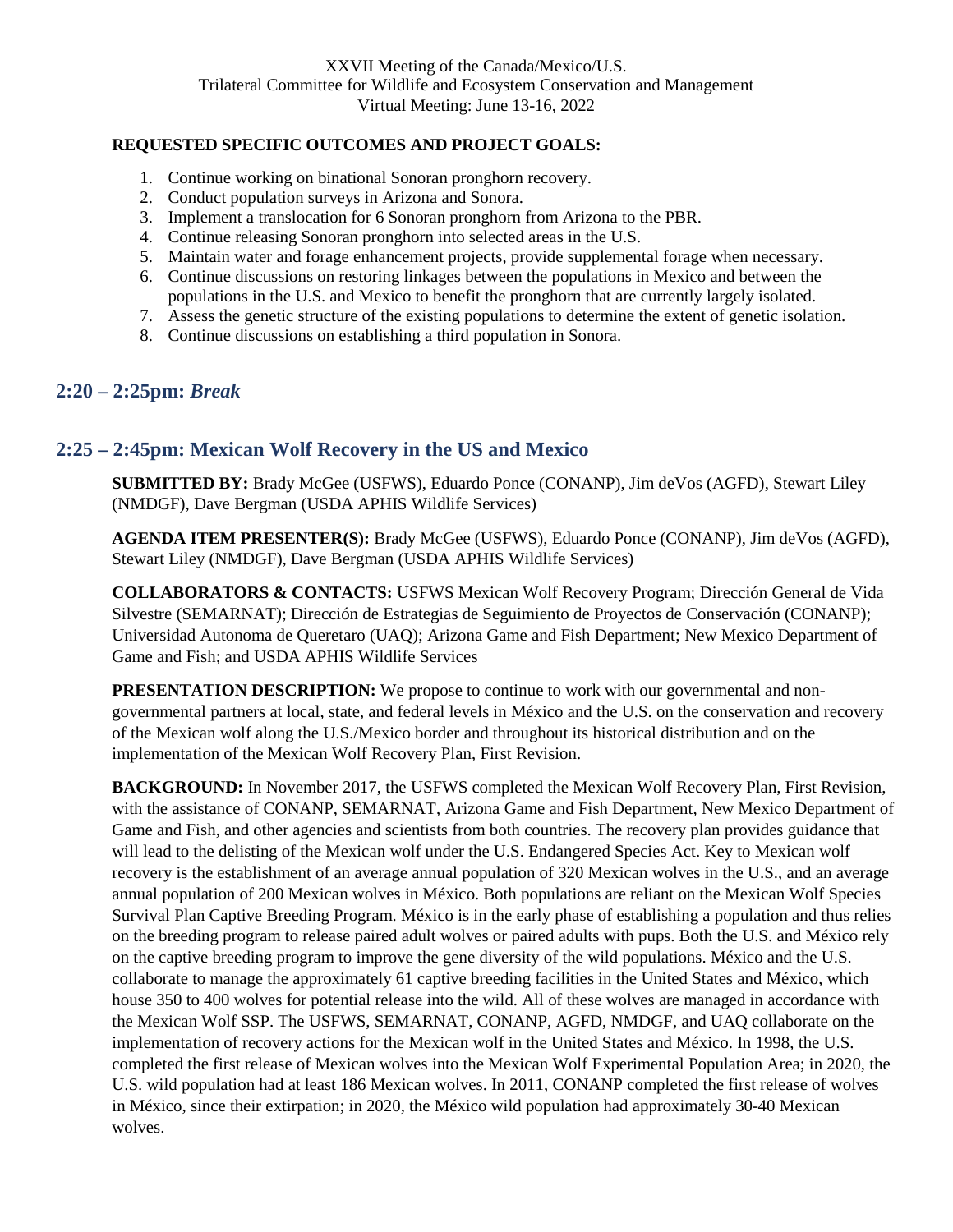### **REQUESTED SPECIFIC OUTCOMES AND PROJECT GOALS:**

- 1. Continue working on binational Sonoran pronghorn recovery.
- 2. Conduct population surveys in Arizona and Sonora.
- 3. Implement a translocation for 6 Sonoran pronghorn from Arizona to the PBR.
- 4. Continue releasing Sonoran pronghorn into selected areas in the U.S.
- 5. Maintain water and forage enhancement projects, provide supplemental forage when necessary.
- 6. Continue discussions on restoring linkages between the populations in Mexico and between the populations in the U.S. and Mexico to benefit the pronghorn that are currently largely isolated.
- 7. Assess the genetic structure of the existing populations to determine the extent of genetic isolation.
- 8. Continue discussions on establishing a third population in Sonora.

### <span id="page-38-0"></span>**2:20 – 2:25pm:** *Break*

### <span id="page-38-1"></span>**2:25 – 2:45pm: Mexican Wolf Recovery in the US and Mexico**

**SUBMITTED BY:** Brady McGee (USFWS), Eduardo Ponce (CONANP), Jim deVos (AGFD), Stewart Liley (NMDGF), Dave Bergman (USDA APHIS Wildlife Services)

**AGENDA ITEM PRESENTER(S):** Brady McGee (USFWS), Eduardo Ponce (CONANP), Jim deVos (AGFD), Stewart Liley (NMDGF), Dave Bergman (USDA APHIS Wildlife Services)

**COLLABORATORS & CONTACTS:** USFWS Mexican Wolf Recovery Program; Dirección General de Vida Silvestre (SEMARNAT); Dirección de Estrategias de Seguimiento de Proyectos de Conservación (CONANP); Universidad Autonoma de Queretaro (UAQ); Arizona Game and Fish Department; New Mexico Department of Game and Fish; and USDA APHIS Wildlife Services

**PRESENTATION DESCRIPTION:** We propose to continue to work with our governmental and nongovernmental partners at local, state, and federal levels in México and the U.S. on the conservation and recovery of the Mexican wolf along the U.S./Mexico border and throughout its historical distribution and on the implementation of the Mexican Wolf Recovery Plan, First Revision.

**BACKGROUND:** In November 2017, the USFWS completed the Mexican Wolf Recovery Plan, First Revision, with the assistance of CONANP, SEMARNAT, Arizona Game and Fish Department, New Mexico Department of Game and Fish, and other agencies and scientists from both countries. The recovery plan provides guidance that will lead to the delisting of the Mexican wolf under the U.S. Endangered Species Act. Key to Mexican wolf recovery is the establishment of an average annual population of 320 Mexican wolves in the U.S., and an average annual population of 200 Mexican wolves in México. Both populations are reliant on the Mexican Wolf Species Survival Plan Captive Breeding Program. México is in the early phase of establishing a population and thus relies on the breeding program to release paired adult wolves or paired adults with pups. Both the U.S. and México rely on the captive breeding program to improve the gene diversity of the wild populations. México and the U.S. collaborate to manage the approximately 61 captive breeding facilities in the United States and México, which house 350 to 400 wolves for potential release into the wild. All of these wolves are managed in accordance with the Mexican Wolf SSP. The USFWS, SEMARNAT, CONANP, AGFD, NMDGF, and UAQ collaborate on the implementation of recovery actions for the Mexican wolf in the United States and México. In 1998, the U.S. completed the first release of Mexican wolves into the Mexican Wolf Experimental Population Area; in 2020, the U.S. wild population had at least 186 Mexican wolves. In 2011, CONANP completed the first release of wolves in México, since their extirpation; in 2020, the México wild population had approximately 30-40 Mexican wolves.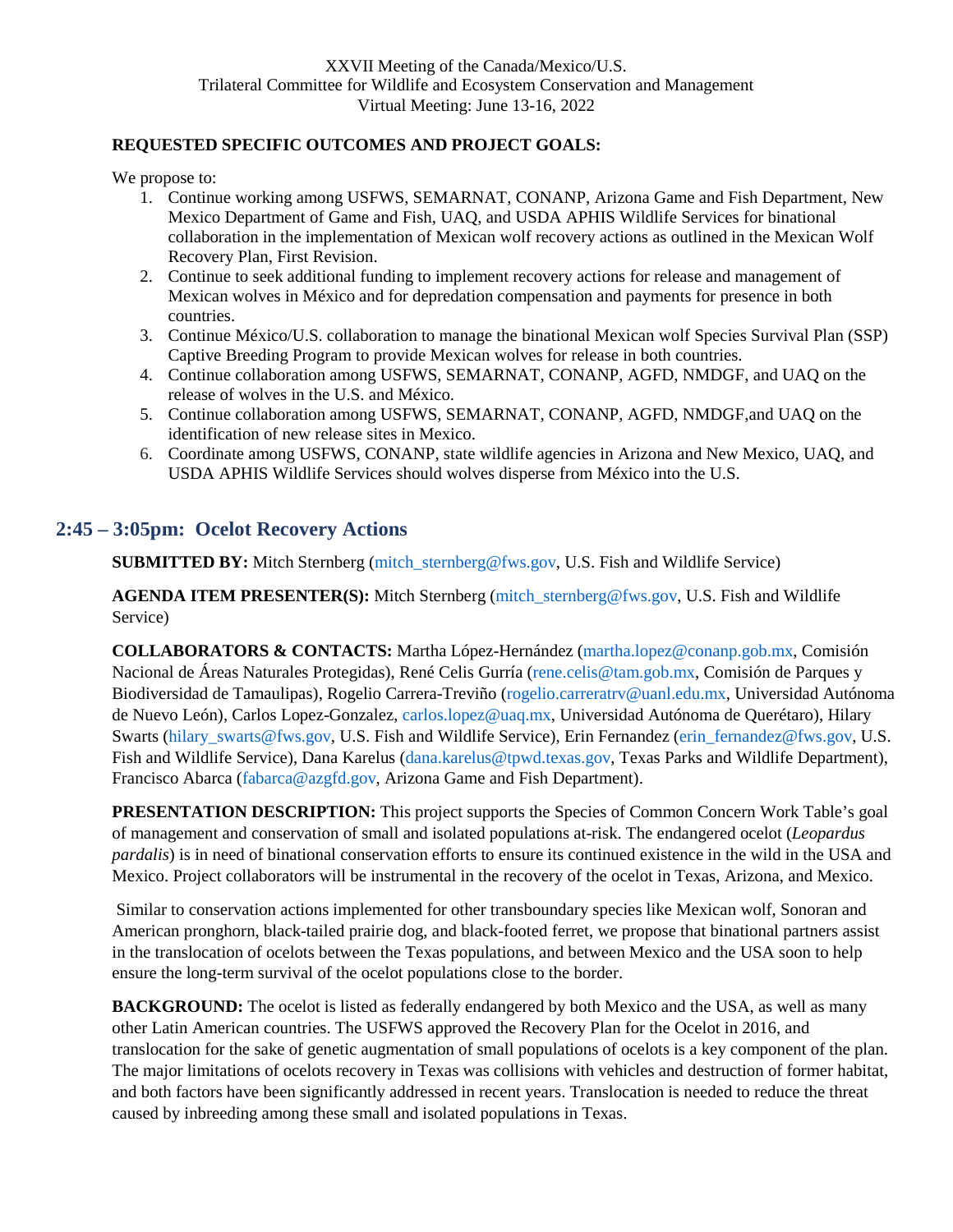### **REQUESTED SPECIFIC OUTCOMES AND PROJECT GOALS:**

We propose to:

- 1. Continue working among USFWS, SEMARNAT, CONANP, Arizona Game and Fish Department, New Mexico Department of Game and Fish, UAQ, and USDA APHIS Wildlife Services for binational collaboration in the implementation of Mexican wolf recovery actions as outlined in the Mexican Wolf Recovery Plan, First Revision.
- 2. Continue to seek additional funding to implement recovery actions for release and management of Mexican wolves in México and for depredation compensation and payments for presence in both countries.
- 3. Continue México/U.S. collaboration to manage the binational Mexican wolf Species Survival Plan (SSP) Captive Breeding Program to provide Mexican wolves for release in both countries.
- 4. Continue collaboration among USFWS, SEMARNAT, CONANP, AGFD, NMDGF, and UAQ on the release of wolves in the U.S. and México.
- 5. Continue collaboration among USFWS, SEMARNAT, CONANP, AGFD, NMDGF,and UAQ on the identification of new release sites in Mexico.
- 6. Coordinate among USFWS, CONANP, state wildlife agencies in Arizona and New Mexico, UAQ, and USDA APHIS Wildlife Services should wolves disperse from México into the U.S.

### <span id="page-39-0"></span>**2:45 – 3:05pm: Ocelot Recovery Actions**

**SUBMITTED BY:** Mitch Sternberg (mitch\_sternberg@fws.gov, U.S. Fish and Wildlife Service)

**AGENDA ITEM PRESENTER(S):** Mitch Sternberg (mitch\_sternberg@fws.gov, U.S. Fish and Wildlife Service)

**COLLABORATORS & CONTACTS:** Martha López-Hernández (martha.lopez@conanp.gob.mx, Comisión Nacional de Áreas Naturales Protegidas), René Celis Gurría (rene.celis@tam.gob.mx, Comisión de Parques y Biodiversidad de Tamaulipas), Rogelio Carrera-Treviño (rogelio.carreratrv@uanl.edu.mx, Universidad Autónoma de Nuevo León), Carlos Lopez-Gonzalez, carlos.lopez@uaq.mx, Universidad Autónoma de Querétaro), Hilary Swarts (hilary\_swarts@fws.gov, U.S. Fish and Wildlife Service), Erin Fernandez (erin\_fernandez@fws.gov, U.S. Fish and Wildlife Service), Dana Karelus (dana.karelus@tpwd.texas.gov, Texas Parks and Wildlife Department), Francisco Abarca (fabarca@azgfd.gov, Arizona Game and Fish Department).

**PRESENTATION DESCRIPTION:** This project supports the Species of Common Concern Work Table's goal of management and conservation of small and isolated populations at-risk. The endangered ocelot (*Leopardus pardalis*) is in need of binational conservation efforts to ensure its continued existence in the wild in the USA and Mexico. Project collaborators will be instrumental in the recovery of the ocelot in Texas, Arizona, and Mexico.

 Similar to conservation actions implemented for other transboundary species like Mexican wolf, Sonoran and American pronghorn, black-tailed prairie dog, and black-footed ferret, we propose that binational partners assist in the translocation of ocelots between the Texas populations, and between Mexico and the USA soon to help ensure the long-term survival of the ocelot populations close to the border.

**BACKGROUND:** The ocelot is listed as federally endangered by both Mexico and the USA, as well as many other Latin American countries. The USFWS approved the Recovery Plan for the Ocelot in 2016, and translocation for the sake of genetic augmentation of small populations of ocelots is a key component of the plan. The major limitations of ocelots recovery in Texas was collisions with vehicles and destruction of former habitat, and both factors have been significantly addressed in recent years. Translocation is needed to reduce the threat caused by inbreeding among these small and isolated populations in Texas.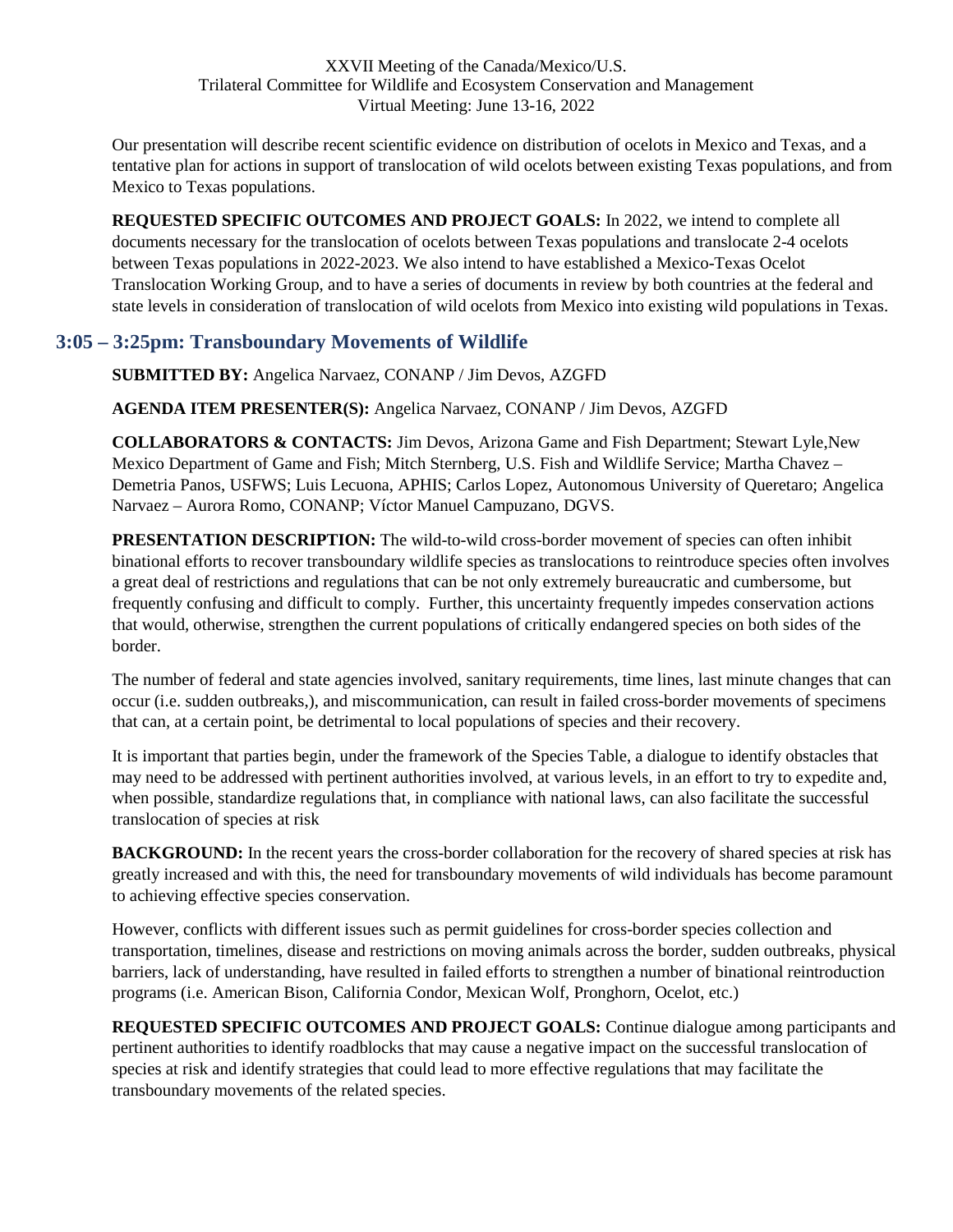Our presentation will describe recent scientific evidence on distribution of ocelots in Mexico and Texas, and a tentative plan for actions in support of translocation of wild ocelots between existing Texas populations, and from Mexico to Texas populations.

**REQUESTED SPECIFIC OUTCOMES AND PROJECT GOALS:** In 2022, we intend to complete all documents necessary for the translocation of ocelots between Texas populations and translocate 2-4 ocelots between Texas populations in 2022-2023. We also intend to have established a Mexico-Texas Ocelot Translocation Working Group, and to have a series of documents in review by both countries at the federal and state levels in consideration of translocation of wild ocelots from Mexico into existing wild populations in Texas.

### <span id="page-40-0"></span>**3:05 – 3:25pm: Transboundary Movements of Wildlife**

**SUBMITTED BY:** Angelica Narvaez, CONANP / Jim Devos, AZGFD

**AGENDA ITEM PRESENTER(S):** Angelica Narvaez, CONANP / Jim Devos, AZGFD

**COLLABORATORS & CONTACTS:** Jim Devos, Arizona Game and Fish Department; Stewart Lyle,New Mexico Department of Game and Fish; Mitch Sternberg, U.S. Fish and Wildlife Service; Martha Chavez – Demetria Panos, USFWS; Luis Lecuona, APHIS; Carlos Lopez, Autonomous University of Queretaro; Angelica Narvaez – Aurora Romo, CONANP; Víctor Manuel Campuzano, DGVS.

**PRESENTATION DESCRIPTION:** The wild-to-wild cross-border movement of species can often inhibit binational efforts to recover transboundary wildlife species as translocations to reintroduce species often involves a great deal of restrictions and regulations that can be not only extremely bureaucratic and cumbersome, but frequently confusing and difficult to comply. Further, this uncertainty frequently impedes conservation actions that would, otherwise, strengthen the current populations of critically endangered species on both sides of the border.

The number of federal and state agencies involved, sanitary requirements, time lines, last minute changes that can occur (i.e. sudden outbreaks,), and miscommunication, can result in failed cross-border movements of specimens that can, at a certain point, be detrimental to local populations of species and their recovery.

It is important that parties begin, under the framework of the Species Table, a dialogue to identify obstacles that may need to be addressed with pertinent authorities involved, at various levels, in an effort to try to expedite and, when possible, standardize regulations that, in compliance with national laws, can also facilitate the successful translocation of species at risk

**BACKGROUND:** In the recent years the cross-border collaboration for the recovery of shared species at risk has greatly increased and with this, the need for transboundary movements of wild individuals has become paramount to achieving effective species conservation.

However, conflicts with different issues such as permit guidelines for cross-border species collection and transportation, timelines, disease and restrictions on moving animals across the border, sudden outbreaks, physical barriers, lack of understanding, have resulted in failed efforts to strengthen a number of binational reintroduction programs (i.e. American Bison, California Condor, Mexican Wolf, Pronghorn, Ocelot, etc.)

**REQUESTED SPECIFIC OUTCOMES AND PROJECT GOALS:** Continue dialogue among participants and pertinent authorities to identify roadblocks that may cause a negative impact on the successful translocation of species at risk and identify strategies that could lead to more effective regulations that may facilitate the transboundary movements of the related species.